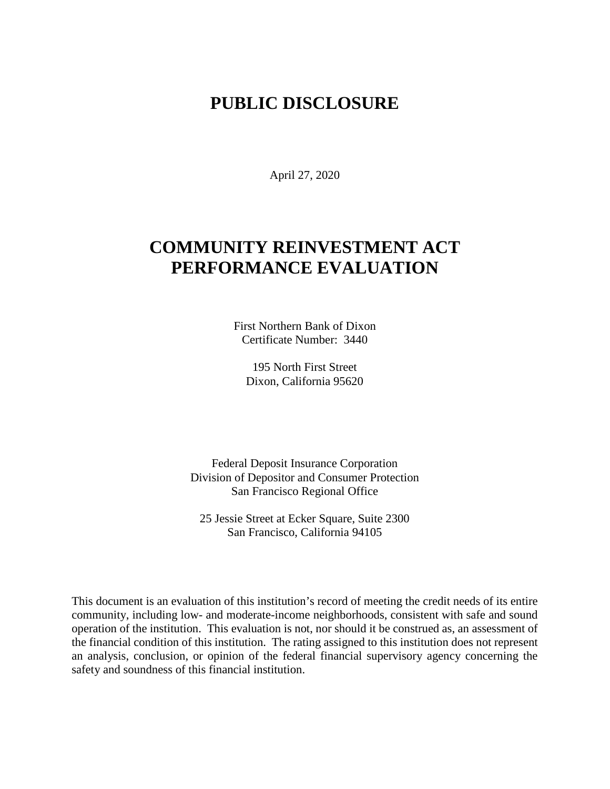# **PUBLIC DISCLOSURE**

April 27, 2020

# **COMMUNITY REINVESTMENT ACT PERFORMANCE EVALUATION**

First Northern Bank of Dixon Certificate Number: 3440

195 North First Street Dixon, California 95620

Federal Deposit Insurance Corporation Division of Depositor and Consumer Protection San Francisco Regional Office

25 Jessie Street at Ecker Square, Suite 2300 San Francisco, California 94105

This document is an evaluation of this institution's record of meeting the credit needs of its entire community, including low- and moderate-income neighborhoods, consistent with safe and sound operation of the institution.This evaluation is not, nor should it be construed as, an assessment of the financial condition of this institution. The rating assigned to this institution does not represent an analysis, conclusion, or opinion of the federal financial supervisory agency concerning the safety and soundness of this financial institution.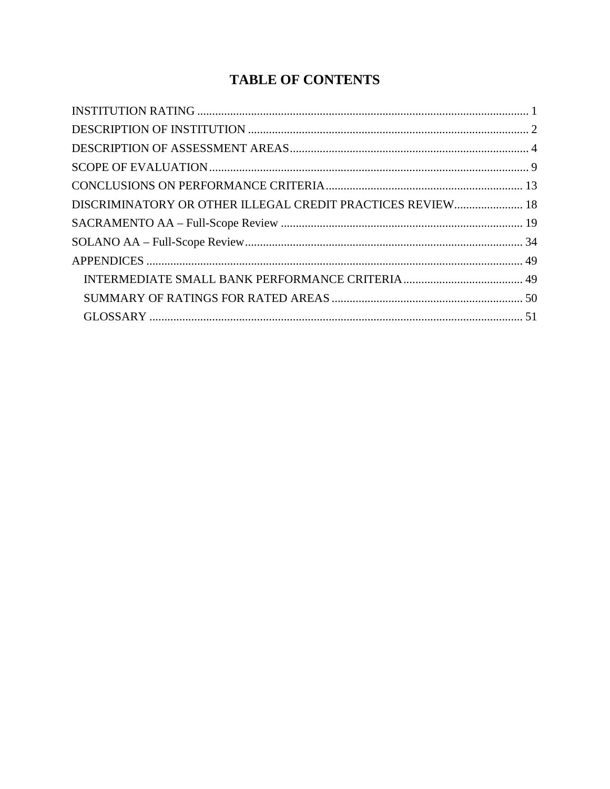# **TABLE OF CONTENTS**

| DISCRIMINATORY OR OTHER ILLEGAL CREDIT PRACTICES REVIEW 18 |  |
|------------------------------------------------------------|--|
|                                                            |  |
|                                                            |  |
|                                                            |  |
|                                                            |  |
|                                                            |  |
|                                                            |  |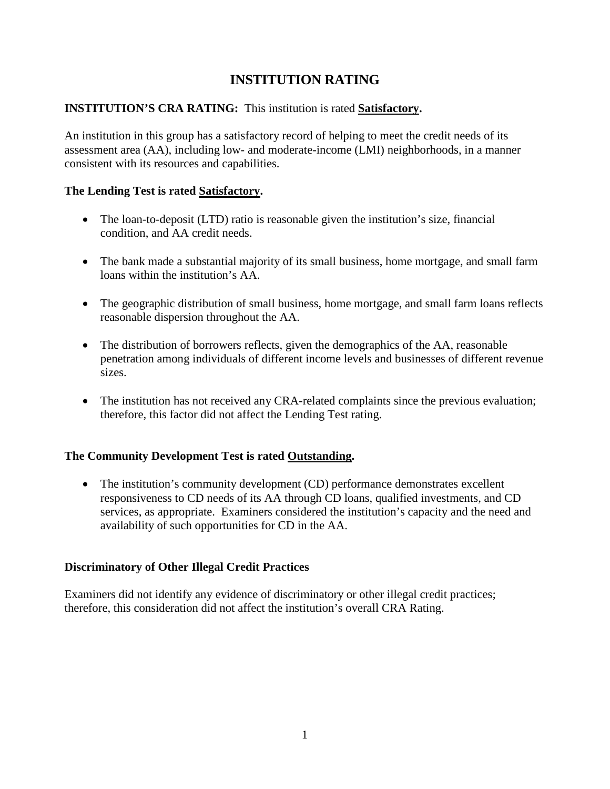# **INSTITUTION RATING**

### <span id="page-2-0"></span>**INSTITUTION'S CRA RATING:** This institution is rated **Satisfactory.**

An institution in this group has a satisfactory record of helping to meet the credit needs of its assessment area (AA), including low- and moderate-income (LMI) neighborhoods, in a manner consistent with its resources and capabilities.

#### **The Lending Test is rated Satisfactory.**

- The loan-to-deposit (LTD) ratio is reasonable given the institution's size, financial condition, and AA credit needs.
- The bank made a substantial majority of its small business, home mortgage, and small farm loans within the institution's AA.
- The geographic distribution of small business, home mortgage, and small farm loans reflects reasonable dispersion throughout the AA.
- The distribution of borrowers reflects, given the demographics of the AA, reasonable penetration among individuals of different income levels and businesses of different revenue sizes.
- The institution has not received any CRA-related complaints since the previous evaluation; therefore, this factor did not affect the Lending Test rating.

#### **The Community Development Test is rated Outstanding.**

• The institution's community development (CD) performance demonstrates excellent responsiveness to CD needs of its AA through CD loans, qualified investments, and CD services, as appropriate. Examiners considered the institution's capacity and the need and availability of such opportunities for CD in the AA.

#### **Discriminatory of Other Illegal Credit Practices**

Examiners did not identify any evidence of discriminatory or other illegal credit practices; therefore, this consideration did not affect the institution's overall CRA Rating.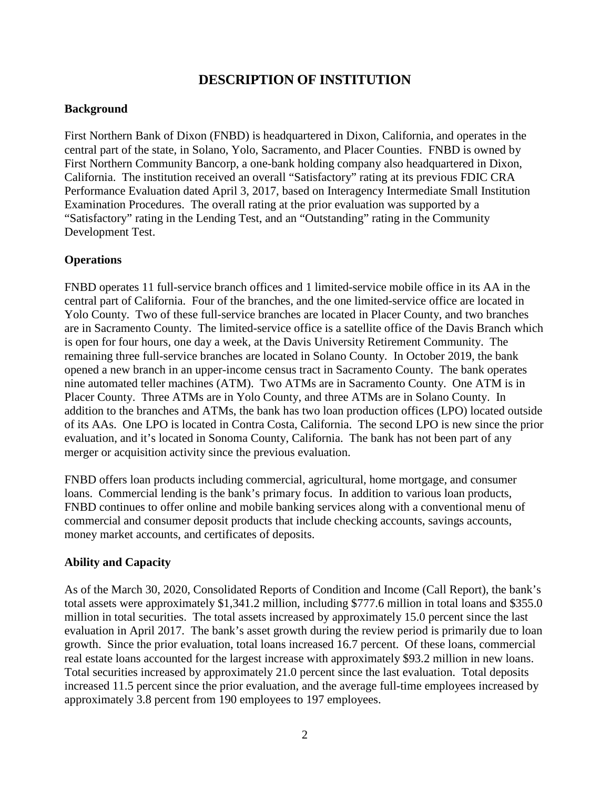# **DESCRIPTION OF INSTITUTION**

#### <span id="page-3-0"></span>**Background**

First Northern Bank of Dixon (FNBD) is headquartered in Dixon, California, and operates in the central part of the state, in Solano, Yolo, Sacramento, and Placer Counties. FNBD is owned by First Northern Community Bancorp, a one-bank holding company also headquartered in Dixon, California. The institution received an overall "Satisfactory" rating at its previous FDIC CRA Performance Evaluation dated April 3, 2017, based on Interagency Intermediate Small Institution Examination Procedures. The overall rating at the prior evaluation was supported by a "Satisfactory" rating in the Lending Test, and an "Outstanding" rating in the Community Development Test.

#### **Operations**

FNBD operates 11 full-service branch offices and 1 limited-service mobile office in its AA in the central part of California. Four of the branches, and the one limited-service office are located in Yolo County. Two of these full-service branches are located in Placer County, and two branches are in Sacramento County. The limited-service office is a satellite office of the Davis Branch which is open for four hours, one day a week, at the Davis University Retirement Community. The remaining three full-service branches are located in Solano County. In October 2019, the bank opened a new branch in an upper-income census tract in Sacramento County. The bank operates nine automated teller machines (ATM). Two ATMs are in Sacramento County. One ATM is in Placer County. Three ATMs are in Yolo County, and three ATMs are in Solano County. In addition to the branches and ATMs, the bank has two loan production offices (LPO) located outside of its AAs. One LPO is located in Contra Costa, California. The second LPO is new since the prior evaluation, and it's located in Sonoma County, California. The bank has not been part of any merger or acquisition activity since the previous evaluation.

FNBD offers loan products including commercial, agricultural, home mortgage, and consumer loans. Commercial lending is the bank's primary focus. In addition to various loan products, FNBD continues to offer online and mobile banking services along with a conventional menu of commercial and consumer deposit products that include checking accounts, savings accounts, money market accounts, and certificates of deposits.

#### **Ability and Capacity**

As of the March 30, 2020, Consolidated Reports of Condition and Income (Call Report), the bank's total assets were approximately \$1,341.2 million, including \$777.6 million in total loans and \$355.0 million in total securities. The total assets increased by approximately 15.0 percent since the last evaluation in April 2017. The bank's asset growth during the review period is primarily due to loan growth. Since the prior evaluation, total loans increased 16.7 percent. Of these loans, commercial real estate loans accounted for the largest increase with approximately \$93.2 million in new loans. Total securities increased by approximately 21.0 percent since the last evaluation. Total deposits increased 11.5 percent since the prior evaluation, and the average full-time employees increased by approximately 3.8 percent from 190 employees to 197 employees.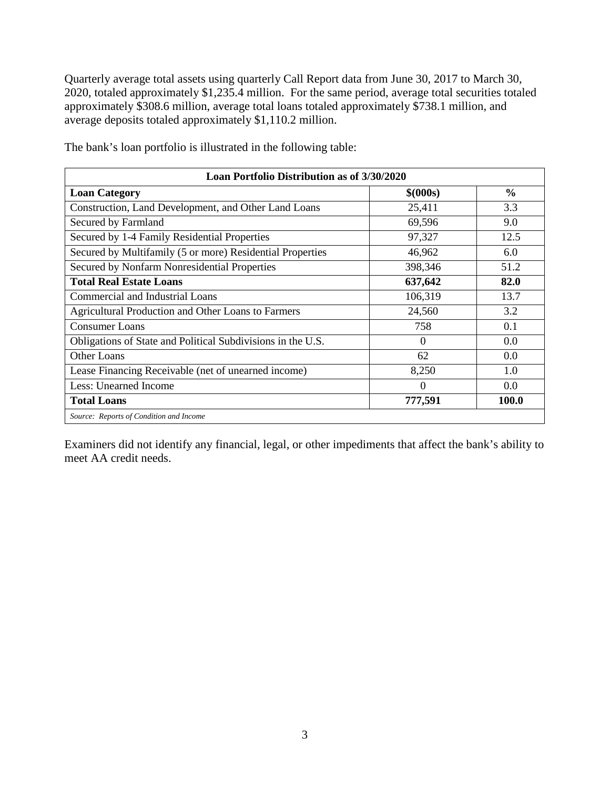Quarterly average total assets using quarterly Call Report data from June 30, 2017 to March 30, 2020, totaled approximately \$1,235.4 million. For the same period, average total securities totaled approximately \$308.6 million, average total loans totaled approximately \$738.1 million, and average deposits totaled approximately \$1,110.2 million.

| Loan Portfolio Distribution as of 3/30/2020                 |           |               |  |  |  |  |  |  |  |
|-------------------------------------------------------------|-----------|---------------|--|--|--|--|--|--|--|
| <b>Loan Category</b>                                        | \$ (000s) | $\frac{0}{0}$ |  |  |  |  |  |  |  |
| Construction, Land Development, and Other Land Loans        | 25,411    | 3.3           |  |  |  |  |  |  |  |
| Secured by Farmland                                         | 69,596    | 9.0           |  |  |  |  |  |  |  |
| Secured by 1-4 Family Residential Properties                | 97,327    | 12.5          |  |  |  |  |  |  |  |
| Secured by Multifamily (5 or more) Residential Properties   | 46,962    | 6.0           |  |  |  |  |  |  |  |
| Secured by Nonfarm Nonresidential Properties                | 398,346   | 51.2          |  |  |  |  |  |  |  |
| <b>Total Real Estate Loans</b>                              | 637,642   | 82.0          |  |  |  |  |  |  |  |
| Commercial and Industrial Loans                             | 106,319   | 13.7          |  |  |  |  |  |  |  |
| Agricultural Production and Other Loans to Farmers          | 24,560    | 3.2           |  |  |  |  |  |  |  |
| <b>Consumer Loans</b>                                       | 758       | 0.1           |  |  |  |  |  |  |  |
| Obligations of State and Political Subdivisions in the U.S. | $\Omega$  | 0.0           |  |  |  |  |  |  |  |
| Other Loans                                                 | 62        | 0.0           |  |  |  |  |  |  |  |
| Lease Financing Receivable (net of unearned income)         | 8,250     | 1.0           |  |  |  |  |  |  |  |
| Less: Unearned Income                                       | $\Omega$  | 0.0           |  |  |  |  |  |  |  |
| <b>Total Loans</b>                                          | 777,591   | 100.0         |  |  |  |  |  |  |  |
| Source: Reports of Condition and Income                     |           |               |  |  |  |  |  |  |  |

The bank's loan portfolio is illustrated in the following table:

Examiners did not identify any financial, legal, or other impediments that affect the bank's ability to meet AA credit needs.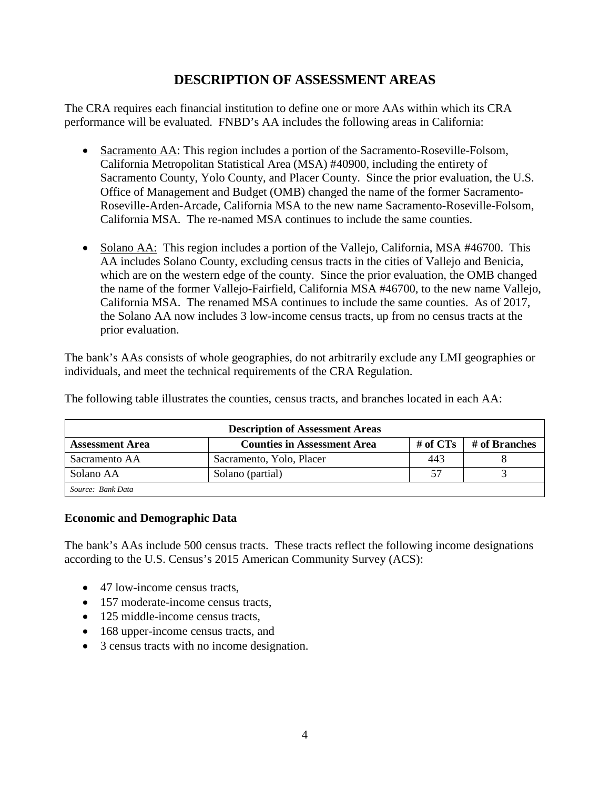# **DESCRIPTION OF ASSESSMENT AREAS**

<span id="page-5-0"></span>The CRA requires each financial institution to define one or more AAs within which its CRA performance will be evaluated. FNBD's AA includes the following areas in California:

- Sacramento AA: This region includes a portion of the Sacramento-Roseville-Folsom, California Metropolitan Statistical Area (MSA) #40900, including the entirety of Sacramento County, Yolo County, and Placer County. Since the prior evaluation, the U.S. Office of Management and Budget (OMB) changed the name of the former Sacramento-Roseville-Arden-Arcade, California MSA to the new name Sacramento-Roseville-Folsom, California MSA. The re-named MSA continues to include the same counties.
- Solano AA: This region includes a portion of the Vallejo, California, MSA #46700. This AA includes Solano County, excluding census tracts in the cities of Vallejo and Benicia, which are on the western edge of the county. Since the prior evaluation, the OMB changed the name of the former Vallejo-Fairfield, California MSA #46700, to the new name Vallejo, California MSA. The renamed MSA continues to include the same counties. As of 2017, the Solano AA now includes 3 low-income census tracts, up from no census tracts at the prior evaluation.

The bank's AAs consists of whole geographies, do not arbitrarily exclude any LMI geographies or individuals, and meet the technical requirements of the CRA Regulation.

| <b>Description of Assessment Areas</b> |                                    |          |               |  |  |  |  |  |  |
|----------------------------------------|------------------------------------|----------|---------------|--|--|--|--|--|--|
| <b>Assessment Area</b>                 | <b>Counties in Assessment Area</b> | # of CTs | # of Branches |  |  |  |  |  |  |
| Sacramento AA                          | Sacramento, Yolo, Placer           | 443      |               |  |  |  |  |  |  |
| Solano AA                              | Solano (partial)                   | 57       |               |  |  |  |  |  |  |
| Source: Bank Data                      |                                    |          |               |  |  |  |  |  |  |

The following table illustrates the counties, census tracts, and branches located in each AA:

#### **Economic and Demographic Data**

The bank's AAs include 500 census tracts. These tracts reflect the following income designations according to the U.S. Census's 2015 American Community Survey (ACS):

- 47 low-income census tracts,
- 157 moderate-income census tracts,
- 125 middle-income census tracts,
- 168 upper-income census tracts, and
- 3 census tracts with no income designation.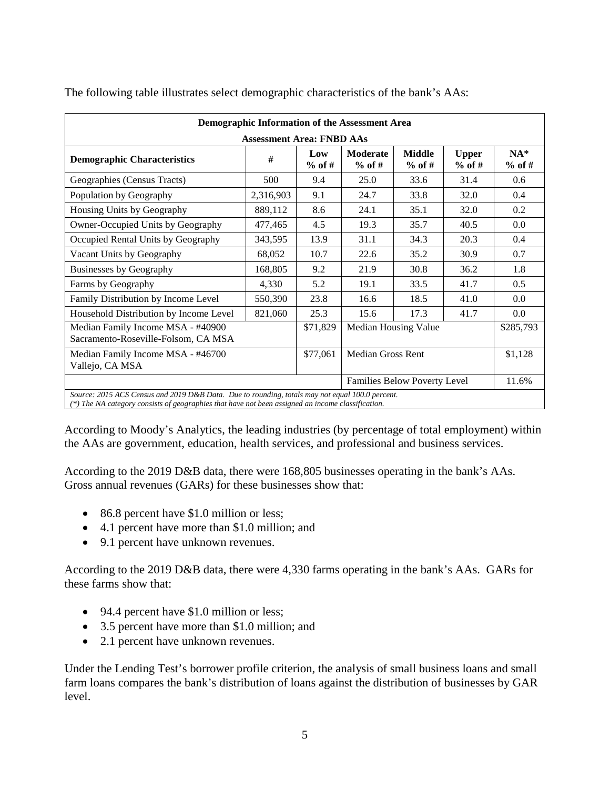| Demographic Information of the Assessment Area                                                                                                                                                       |           |                 |                                   |                              |                          |                    |  |  |  |  |  |
|------------------------------------------------------------------------------------------------------------------------------------------------------------------------------------------------------|-----------|-----------------|-----------------------------------|------------------------------|--------------------------|--------------------|--|--|--|--|--|
| <b>Assessment Area: FNBD AAs</b>                                                                                                                                                                     |           |                 |                                   |                              |                          |                    |  |  |  |  |  |
| <b>Demographic Characteristics</b>                                                                                                                                                                   | #         | Low<br>$%$ of # | <b>Moderate</b><br>$%$ of #       | <b>Middle</b><br>$%$ of #    | <b>Upper</b><br>$%$ of # | $NA^*$<br>$%$ of # |  |  |  |  |  |
| Geographies (Census Tracts)                                                                                                                                                                          | 500       | 9.4             | 25.0                              | 33.6                         | 31.4                     | 0.6                |  |  |  |  |  |
| Population by Geography                                                                                                                                                                              | 2,316,903 | 9.1             | 24.7                              | 33.8                         | 32.0                     | 0.4                |  |  |  |  |  |
| Housing Units by Geography                                                                                                                                                                           | 889,112   | 8.6             | 24.1                              | 35.1                         | 32.0                     | 0.2                |  |  |  |  |  |
| Owner-Occupied Units by Geography                                                                                                                                                                    | 477,465   | 4.5             | 19.3                              | 35.7                         | 40.5                     | 0.0                |  |  |  |  |  |
| Occupied Rental Units by Geography                                                                                                                                                                   | 343,595   | 13.9            | 31.1                              | 34.3                         | 20.3                     | 0.4                |  |  |  |  |  |
| Vacant Units by Geography                                                                                                                                                                            | 68,052    | 10.7            | 22.6                              | 35.2                         | 30.9                     | 0.7                |  |  |  |  |  |
| <b>Businesses by Geography</b>                                                                                                                                                                       | 168,805   | 9.2             | 21.9                              | 30.8                         | 36.2                     | 1.8                |  |  |  |  |  |
| Farms by Geography                                                                                                                                                                                   | 4,330     | 5.2             | 19.1                              | 33.5                         | 41.7                     | 0.5                |  |  |  |  |  |
| Family Distribution by Income Level                                                                                                                                                                  | 550,390   | 23.8            | 16.6                              | 18.5                         | 41.0                     | 0.0                |  |  |  |  |  |
| Household Distribution by Income Level                                                                                                                                                               | 821,060   | 25.3            | 15.6                              | 17.3                         | 41.7                     | $0.0\,$            |  |  |  |  |  |
| Median Family Income MSA - #40900<br>Sacramento-Roseville-Folsom, CA MSA                                                                                                                             |           | \$71,829        | Median Housing Value<br>\$285,793 |                              |                          |                    |  |  |  |  |  |
| Median Family Income MSA - #46700<br>Vallejo, CA MSA                                                                                                                                                 |           | \$77,061        | <b>Median Gross Rent</b>          |                              |                          | \$1,128            |  |  |  |  |  |
|                                                                                                                                                                                                      |           |                 |                                   | Families Below Poverty Level |                          | 11.6%              |  |  |  |  |  |
| Source: 2015 ACS Census and 2019 D&B Data. Due to rounding, totals may not equal 100.0 percent.<br>(*) The NA category consists of geographies that have not been assigned an income classification. |           |                 |                                   |                              |                          |                    |  |  |  |  |  |

The following table illustrates select demographic characteristics of the bank's AAs:

According to Moody's Analytics, the leading industries (by percentage of total employment) within the AAs are government, education, health services, and professional and business services.

According to the 2019 D&B data, there were 168,805 businesses operating in the bank's AAs. Gross annual revenues (GARs) for these businesses show that:

- 86.8 percent have \$1.0 million or less;
- 4.1 percent have more than \$1.0 million; and
- 9.1 percent have unknown revenues.

According to the 2019 D&B data, there were 4,330 farms operating in the bank's AAs. GARs for these farms show that:

- 94.4 percent have \$1.0 million or less;
- 3.5 percent have more than \$1.0 million; and
- 2.1 percent have unknown revenues.

Under the Lending Test's borrower profile criterion, the analysis of small business loans and small farm loans compares the bank's distribution of loans against the distribution of businesses by GAR level.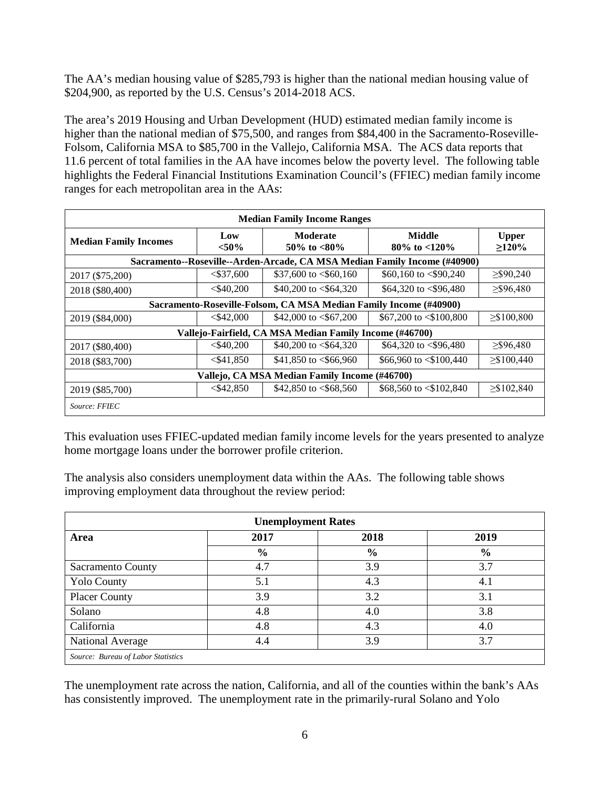The AA's median housing value of \$285,793 is higher than the national median housing value of \$204,900, as reported by the U.S. Census's 2014-2018 ACS.

The area's 2019 Housing and Urban Development (HUD) estimated median family income is higher than the national median of \$75,500, and ranges from \$84,400 in the Sacramento-Roseville-Folsom, California MSA to \$85,700 in the Vallejo, California MSA. The ACS data reports that 11.6 percent of total families in the AA have incomes below the poverty level. The following table highlights the Federal Financial Institutions Examination Council's (FFIEC) median family income ranges for each metropolitan area in the AAs:

| <b>Median Family Income Ranges</b>            |                |                                                                   |                                                                           |                          |  |  |  |  |  |  |  |
|-----------------------------------------------|----------------|-------------------------------------------------------------------|---------------------------------------------------------------------------|--------------------------|--|--|--|--|--|--|--|
| <b>Median Family Incomes</b>                  | Low<br>$<$ 50% | Moderate<br>50\% to $<80\%$                                       | Middle<br>$80\%$ to $< 120\%$                                             | <b>Upper</b><br>$>120\%$ |  |  |  |  |  |  |  |
|                                               |                |                                                                   | Sacramento--Roseville--Arden-Arcade, CA MSA Median Family Income (#40900) |                          |  |  |  |  |  |  |  |
| 2017 (\$75,200)                               | $<$ \$37,600   | \$37,600 to $<$ \$60,160                                          | \$60,160 to $\langle$ \$90,240                                            | $\geq$ \$90,240          |  |  |  |  |  |  |  |
| 2018 (\$80,400)                               | $<$ \$40,200   | \$40,200 to $<$ \$64,320                                          | \$64,320 to $<$ \$96,480                                                  | $\geq$ \$96,480          |  |  |  |  |  |  |  |
|                                               |                | Sacramento-Roseville-Folsom, CA MSA Median Family Income (#40900) |                                                                           |                          |  |  |  |  |  |  |  |
| 2019 (\$84,000)                               | $<$ \$42,000   | \$42,000 to $< $67,200$                                           | \$67,200 to $\leq$ \$100,800                                              | $\geq$ \$100,800         |  |  |  |  |  |  |  |
|                                               |                | Vallejo-Fairfield, CA MSA Median Family Income (#46700)           |                                                                           |                          |  |  |  |  |  |  |  |
| 2017 (\$80,400)                               | $<$ \$40.200   | \$40,200 to $<$ \$64,320                                          | \$64,320 to $\langle$ \$96,480                                            | $\geq$ \$96,480          |  |  |  |  |  |  |  |
| 2018 (\$83,700)                               | $<$ \$41,850   | \$41,850 to $<$ \$66,960                                          | \$66,960 to $\leq$ \$100,440                                              | $\geq$ \$100,440         |  |  |  |  |  |  |  |
| Vallejo, CA MSA Median Family Income (#46700) |                |                                                                   |                                                                           |                          |  |  |  |  |  |  |  |
| 2019 (\$85,700)                               | < \$42.850     | \$42,850 to $<$ \$68,560                                          | \$68,560 to $\leq$ \$102,840                                              | $\geq$ \$102,840         |  |  |  |  |  |  |  |
| Source: FFIEC                                 |                |                                                                   |                                                                           |                          |  |  |  |  |  |  |  |

This evaluation uses FFIEC-updated median family income levels for the years presented to analyze home mortgage loans under the borrower profile criterion.

The analysis also considers unemployment data within the AAs. The following table shows improving employment data throughout the review period:

| <b>Unemployment Rates</b>          |      |               |               |  |  |  |  |  |
|------------------------------------|------|---------------|---------------|--|--|--|--|--|
| Area                               | 2017 | 2018          | 2019          |  |  |  |  |  |
|                                    | $\%$ | $\frac{6}{6}$ | $\frac{6}{6}$ |  |  |  |  |  |
| Sacramento County                  | 4.7  | 3.9           | 3.7           |  |  |  |  |  |
| <b>Yolo County</b>                 | 5.1  | 4.3           | 4.1           |  |  |  |  |  |
| <b>Placer County</b>               | 3.9  | 3.2           | 3.1           |  |  |  |  |  |
| Solano                             | 4.8  | 4.0           | 3.8           |  |  |  |  |  |
| California                         | 4.8  | 4.3           | 4.0           |  |  |  |  |  |
| National Average                   | 4.4  | 3.9           | 3.7           |  |  |  |  |  |
| Source: Bureau of Labor Statistics |      |               |               |  |  |  |  |  |

The unemployment rate across the nation, California, and all of the counties within the bank's AAs has consistently improved. The unemployment rate in the primarily-rural Solano and Yolo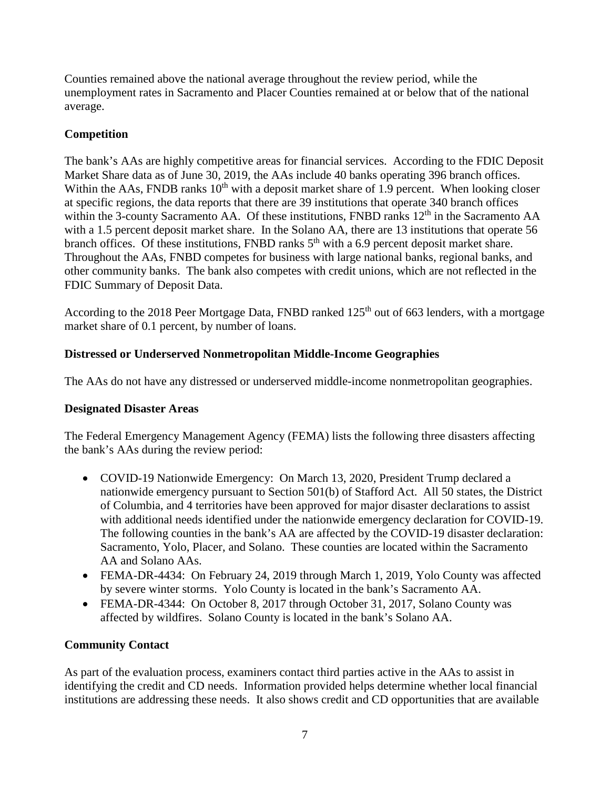Counties remained above the national average throughout the review period, while the unemployment rates in Sacramento and Placer Counties remained at or below that of the national average.

### **Competition**

The bank's AAs are highly competitive areas for financial services. According to the FDIC Deposit Market Share data as of June 30, 2019, the AAs include 40 banks operating 396 branch offices. Within the AAs, FNDB ranks  $10<sup>th</sup>$  with a deposit market share of 1.9 percent. When looking closer at specific regions, the data reports that there are 39 institutions that operate 340 branch offices within the 3-county Sacramento AA. Of these institutions, FNBD ranks 12<sup>th</sup> in the Sacramento AA with a 1.5 percent deposit market share. In the Solano AA, there are 13 institutions that operate 56 branch offices. Of these institutions, FNBD ranks  $5<sup>th</sup>$  with a 6.9 percent deposit market share. Throughout the AAs, FNBD competes for business with large national banks, regional banks, and other community banks. The bank also competes with credit unions, which are not reflected in the FDIC Summary of Deposit Data.

According to the 2018 Peer Mortgage Data, FNBD ranked 125<sup>th</sup> out of 663 lenders, with a mortgage market share of 0.1 percent, by number of loans.

### **Distressed or Underserved Nonmetropolitan Middle-Income Geographies**

The AAs do not have any distressed or underserved middle-income nonmetropolitan geographies.

#### **Designated Disaster Areas**

The Federal Emergency Management Agency (FEMA) lists the following three disasters affecting the bank's AAs during the review period:

- COVID-19 Nationwide Emergency: On March 13, 2020, President Trump declared a nationwide emergency pursuant to Section 501(b) of Stafford Act. All 50 states, the District of Columbia, and 4 territories have been approved for major disaster declarations to assist with additional needs identified under the nationwide emergency declaration for COVID-19. The following counties in the bank's AA are affected by the COVID-19 disaster declaration: Sacramento, Yolo, Placer, and Solano. These counties are located within the Sacramento AA and Solano AAs.
- FEMA-DR-4434: On February 24, 2019 through March 1, 2019, Yolo County was affected by severe winter storms. Yolo County is located in the bank's Sacramento AA.
- FEMA-DR-4344: On October 8, 2017 through October 31, 2017, Solano County was affected by wildfires. Solano County is located in the bank's Solano AA.

#### **Community Contact**

As part of the evaluation process, examiners contact third parties active in the AAs to assist in identifying the credit and CD needs. Information provided helps determine whether local financial institutions are addressing these needs. It also shows credit and CD opportunities that are available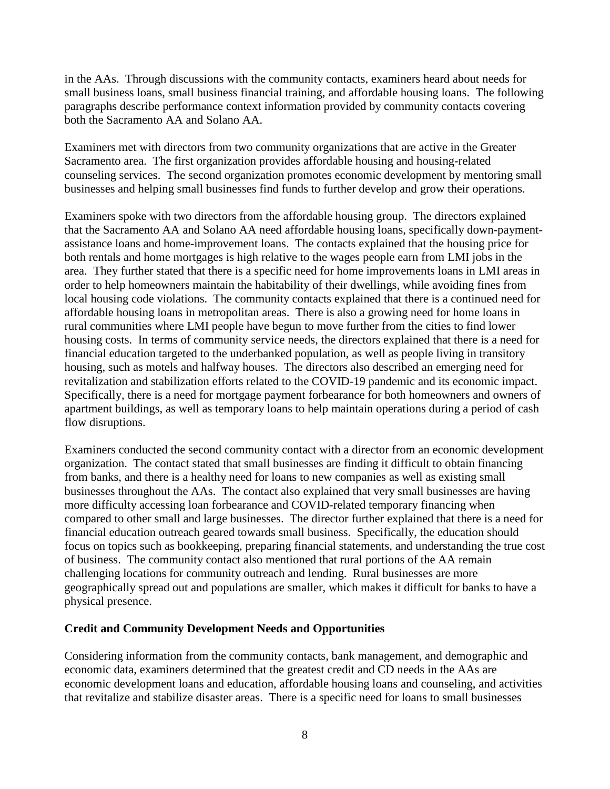in the AAs. Through discussions with the community contacts, examiners heard about needs for small business loans, small business financial training, and affordable housing loans. The following paragraphs describe performance context information provided by community contacts covering both the Sacramento AA and Solano AA.

Examiners met with directors from two community organizations that are active in the Greater Sacramento area. The first organization provides affordable housing and housing-related counseling services. The second organization promotes economic development by mentoring small businesses and helping small businesses find funds to further develop and grow their operations.

Examiners spoke with two directors from the affordable housing group. The directors explained that the Sacramento AA and Solano AA need affordable housing loans, specifically down-paymentassistance loans and home-improvement loans. The contacts explained that the housing price for both rentals and home mortgages is high relative to the wages people earn from LMI jobs in the area. They further stated that there is a specific need for home improvements loans in LMI areas in order to help homeowners maintain the habitability of their dwellings, while avoiding fines from local housing code violations. The community contacts explained that there is a continued need for affordable housing loans in metropolitan areas. There is also a growing need for home loans in rural communities where LMI people have begun to move further from the cities to find lower housing costs. In terms of community service needs, the directors explained that there is a need for financial education targeted to the underbanked population, as well as people living in transitory housing, such as motels and halfway houses. The directors also described an emerging need for revitalization and stabilization efforts related to the COVID-19 pandemic and its economic impact. Specifically, there is a need for mortgage payment forbearance for both homeowners and owners of apartment buildings, as well as temporary loans to help maintain operations during a period of cash flow disruptions.

Examiners conducted the second community contact with a director from an economic development organization. The contact stated that small businesses are finding it difficult to obtain financing from banks, and there is a healthy need for loans to new companies as well as existing small businesses throughout the AAs. The contact also explained that very small businesses are having more difficulty accessing loan forbearance and COVID-related temporary financing when compared to other small and large businesses. The director further explained that there is a need for financial education outreach geared towards small business. Specifically, the education should focus on topics such as bookkeeping, preparing financial statements, and understanding the true cost of business. The community contact also mentioned that rural portions of the AA remain challenging locations for community outreach and lending. Rural businesses are more geographically spread out and populations are smaller, which makes it difficult for banks to have a physical presence.

#### **Credit and Community Development Needs and Opportunities**

Considering information from the community contacts, bank management, and demographic and economic data, examiners determined that the greatest credit and CD needs in the AAs are economic development loans and education, affordable housing loans and counseling, and activities that revitalize and stabilize disaster areas. There is a specific need for loans to small businesses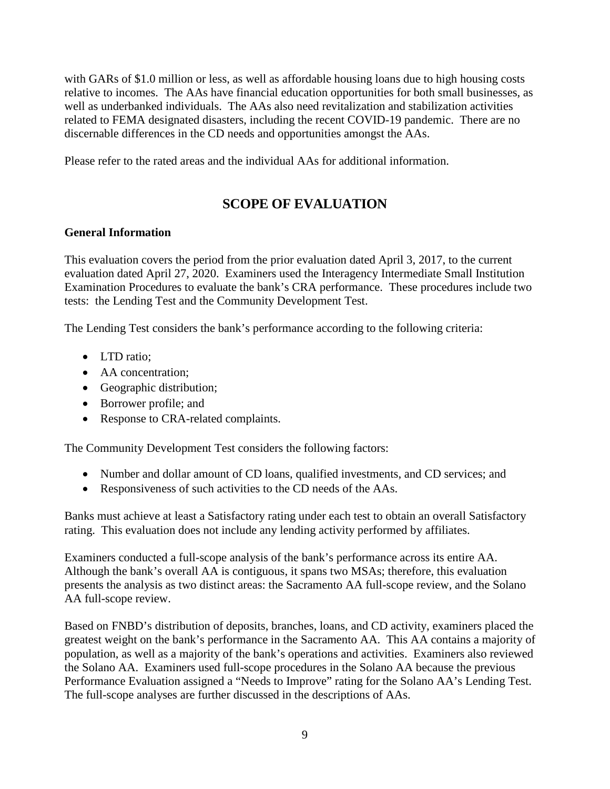with GARs of \$1.0 million or less, as well as affordable housing loans due to high housing costs relative to incomes. The AAs have financial education opportunities for both small businesses, as well as underbanked individuals. The AAs also need revitalization and stabilization activities related to FEMA designated disasters, including the recent COVID-19 pandemic. There are no discernable differences in the CD needs and opportunities amongst the AAs.

Please refer to the rated areas and the individual AAs for additional information.

# **SCOPE OF EVALUATION**

#### <span id="page-10-0"></span>**General Information**

This evaluation covers the period from the prior evaluation dated April 3, 2017, to the current evaluation dated April 27, 2020. Examiners used the Interagency Intermediate Small Institution Examination Procedures to evaluate the bank's CRA performance. These procedures include two tests: the Lending Test and the Community Development Test.

The Lending Test considers the bank's performance according to the following criteria:

- LTD ratio;
- AA concentration;
- Geographic distribution;
- Borrower profile; and
- Response to CRA-related complaints.

The Community Development Test considers the following factors:

- Number and dollar amount of CD loans, qualified investments, and CD services; and
- Responsiveness of such activities to the CD needs of the AAs.

Banks must achieve at least a Satisfactory rating under each test to obtain an overall Satisfactory rating. This evaluation does not include any lending activity performed by affiliates.

Examiners conducted a full-scope analysis of the bank's performance across its entire AA. Although the bank's overall AA is contiguous, it spans two MSAs; therefore, this evaluation presents the analysis as two distinct areas: the Sacramento AA full-scope review, and the Solano AA full-scope review.

Based on FNBD's distribution of deposits, branches, loans, and CD activity, examiners placed the greatest weight on the bank's performance in the Sacramento AA. This AA contains a majority of population, as well as a majority of the bank's operations and activities. Examiners also reviewed the Solano AA. Examiners used full-scope procedures in the Solano AA because the previous Performance Evaluation assigned a "Needs to Improve" rating for the Solano AA's Lending Test. The full-scope analyses are further discussed in the descriptions of AAs.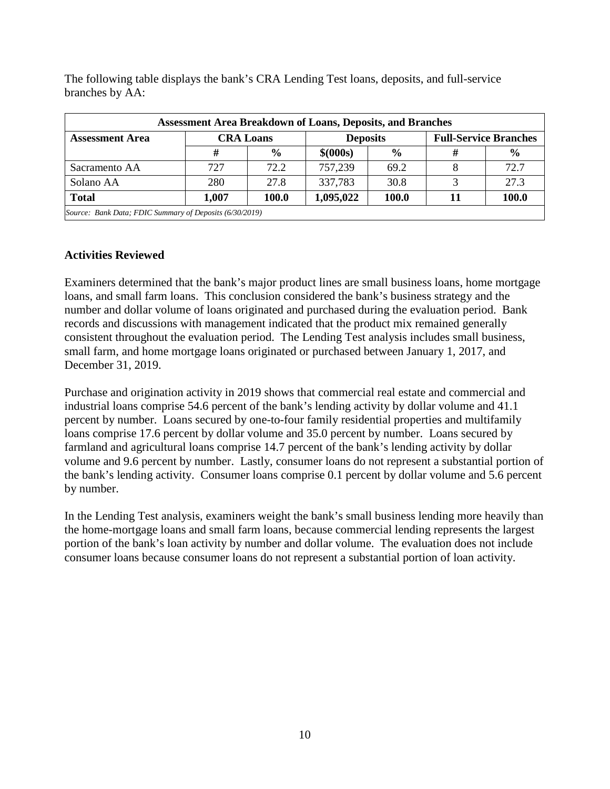| <b>Assessment Area Breakdown of Loans, Deposits, and Branches</b> |       |                  |                 |               |  |                              |  |  |  |  |
|-------------------------------------------------------------------|-------|------------------|-----------------|---------------|--|------------------------------|--|--|--|--|
| <b>Assessment Area</b>                                            |       | <b>CRA Loans</b> | <b>Deposits</b> |               |  | <b>Full-Service Branches</b> |  |  |  |  |
|                                                                   | #     | $\frac{6}{9}$    | \$ (000s)       | $\frac{0}{0}$ |  | $\frac{6}{9}$                |  |  |  |  |
| Sacramento AA                                                     | 727   | 72.2             | 757,239         | 69.2          |  | 72.7                         |  |  |  |  |
| Solano AA                                                         | 280   | 27.8             | 337,783         | 30.8          |  | 27.3                         |  |  |  |  |
| <b>Total</b>                                                      | 1,007 | <b>100.0</b>     | 1,095,022       | 100.0         |  | 100.0                        |  |  |  |  |
| Source: Bank Data; FDIC Summary of Deposits (6/30/2019)           |       |                  |                 |               |  |                              |  |  |  |  |

The following table displays the bank's CRA Lending Test loans, deposits, and full-service branches by AA:

#### **Activities Reviewed**

Examiners determined that the bank's major product lines are small business loans, home mortgage loans, and small farm loans. This conclusion considered the bank's business strategy and the number and dollar volume of loans originated and purchased during the evaluation period. Bank records and discussions with management indicated that the product mix remained generally consistent throughout the evaluation period. The Lending Test analysis includes small business, small farm, and home mortgage loans originated or purchased between January 1, 2017, and December 31, 2019.

Purchase and origination activity in 2019 shows that commercial real estate and commercial and industrial loans comprise 54.6 percent of the bank's lending activity by dollar volume and 41.1 percent by number. Loans secured by one-to-four family residential properties and multifamily loans comprise 17.6 percent by dollar volume and 35.0 percent by number. Loans secured by farmland and agricultural loans comprise 14.7 percent of the bank's lending activity by dollar volume and 9.6 percent by number. Lastly, consumer loans do not represent a substantial portion of the bank's lending activity. Consumer loans comprise 0.1 percent by dollar volume and 5.6 percent by number.

In the Lending Test analysis, examiners weight the bank's small business lending more heavily than the home-mortgage loans and small farm loans, because commercial lending represents the largest portion of the bank's loan activity by number and dollar volume. The evaluation does not include consumer loans because consumer loans do not represent a substantial portion of loan activity.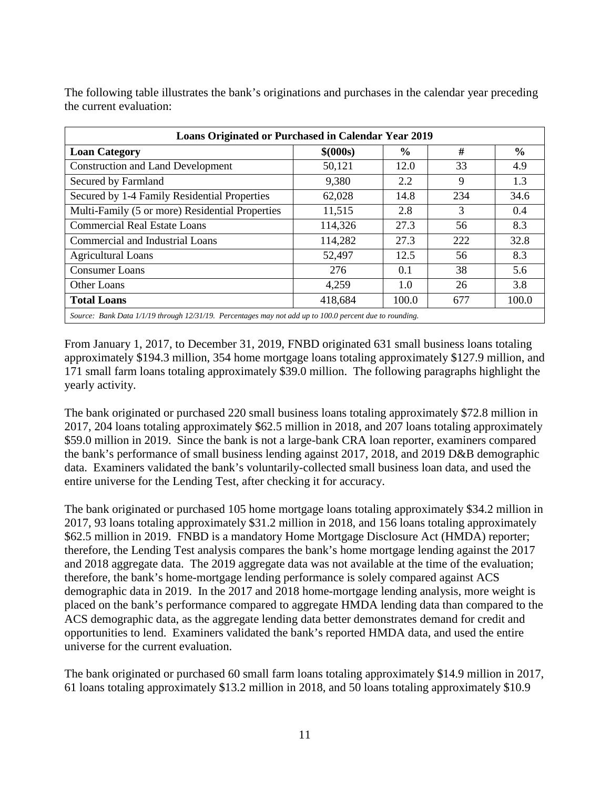| <b>Loans Originated or Purchased in Calendar Year 2019</b>                                              |           |               |     |               |  |  |  |  |  |  |  |
|---------------------------------------------------------------------------------------------------------|-----------|---------------|-----|---------------|--|--|--|--|--|--|--|
| <b>Loan Category</b>                                                                                    | \$ (000s) | $\frac{0}{0}$ | #   | $\frac{0}{0}$ |  |  |  |  |  |  |  |
| <b>Construction and Land Development</b>                                                                | 50,121    | 12.0          | 33  | 4.9           |  |  |  |  |  |  |  |
| Secured by Farmland                                                                                     | 9,380     | 2.2           | 9   | 1.3           |  |  |  |  |  |  |  |
| Secured by 1-4 Family Residential Properties                                                            | 62,028    | 14.8          | 234 | 34.6          |  |  |  |  |  |  |  |
| Multi-Family (5 or more) Residential Properties                                                         | 11,515    | 2.8           | 3   | 0.4           |  |  |  |  |  |  |  |
| <b>Commercial Real Estate Loans</b>                                                                     | 114,326   | 27.3          | 56  | 8.3           |  |  |  |  |  |  |  |
| Commercial and Industrial Loans                                                                         | 114,282   | 27.3          | 222 | 32.8          |  |  |  |  |  |  |  |
| <b>Agricultural Loans</b>                                                                               | 52,497    | 12.5          | 56  | 8.3           |  |  |  |  |  |  |  |
| <b>Consumer Loans</b>                                                                                   | 276       | 0.1           | 38  | 5.6           |  |  |  |  |  |  |  |
| Other Loans                                                                                             | 4,259     | 1.0           | 26  | 3.8           |  |  |  |  |  |  |  |
| 418,684<br>100.0<br>100.0<br>677<br><b>Total Loans</b>                                                  |           |               |     |               |  |  |  |  |  |  |  |
| Source: Bank Data 1/1/19 through 12/31/19. Percentages may not add up to 100.0 percent due to rounding. |           |               |     |               |  |  |  |  |  |  |  |

The following table illustrates the bank's originations and purchases in the calendar year preceding the current evaluation:

From January 1, 2017, to December 31, 2019, FNBD originated 631 small business loans totaling approximately \$194.3 million, 354 home mortgage loans totaling approximately \$127.9 million, and 171 small farm loans totaling approximately \$39.0 million. The following paragraphs highlight the yearly activity.

The bank originated or purchased 220 small business loans totaling approximately \$72.8 million in 2017, 204 loans totaling approximately \$62.5 million in 2018, and 207 loans totaling approximately \$59.0 million in 2019. Since the bank is not a large-bank CRA loan reporter, examiners compared the bank's performance of small business lending against 2017, 2018, and 2019 D&B demographic data. Examiners validated the bank's voluntarily-collected small business loan data, and used the entire universe for the Lending Test, after checking it for accuracy.

The bank originated or purchased 105 home mortgage loans totaling approximately \$34.2 million in 2017, 93 loans totaling approximately \$31.2 million in 2018, and 156 loans totaling approximately \$62.5 million in 2019. FNBD is a mandatory Home Mortgage Disclosure Act (HMDA) reporter; therefore, the Lending Test analysis compares the bank's home mortgage lending against the 2017 and 2018 aggregate data. The 2019 aggregate data was not available at the time of the evaluation; therefore, the bank's home-mortgage lending performance is solely compared against ACS demographic data in 2019. In the 2017 and 2018 home-mortgage lending analysis, more weight is placed on the bank's performance compared to aggregate HMDA lending data than compared to the ACS demographic data, as the aggregate lending data better demonstrates demand for credit and opportunities to lend. Examiners validated the bank's reported HMDA data, and used the entire universe for the current evaluation.

The bank originated or purchased 60 small farm loans totaling approximately \$14.9 million in 2017, 61 loans totaling approximately \$13.2 million in 2018, and 50 loans totaling approximately \$10.9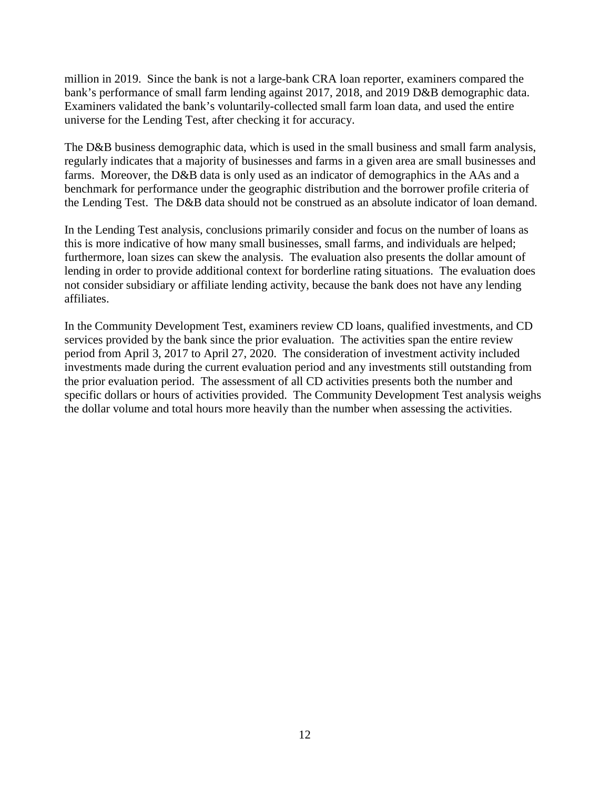million in 2019. Since the bank is not a large-bank CRA loan reporter, examiners compared the bank's performance of small farm lending against 2017, 2018, and 2019 D&B demographic data. Examiners validated the bank's voluntarily-collected small farm loan data, and used the entire universe for the Lending Test, after checking it for accuracy.

The D&B business demographic data, which is used in the small business and small farm analysis, regularly indicates that a majority of businesses and farms in a given area are small businesses and farms. Moreover, the D&B data is only used as an indicator of demographics in the AAs and a benchmark for performance under the geographic distribution and the borrower profile criteria of the Lending Test. The D&B data should not be construed as an absolute indicator of loan demand.

In the Lending Test analysis, conclusions primarily consider and focus on the number of loans as this is more indicative of how many small businesses, small farms, and individuals are helped; furthermore, loan sizes can skew the analysis. The evaluation also presents the dollar amount of lending in order to provide additional context for borderline rating situations. The evaluation does not consider subsidiary or affiliate lending activity, because the bank does not have any lending affiliates.

In the Community Development Test, examiners review CD loans, qualified investments, and CD services provided by the bank since the prior evaluation. The activities span the entire review period from April 3, 2017 to April 27, 2020. The consideration of investment activity included investments made during the current evaluation period and any investments still outstanding from the prior evaluation period. The assessment of all CD activities presents both the number and specific dollars or hours of activities provided. The Community Development Test analysis weighs the dollar volume and total hours more heavily than the number when assessing the activities.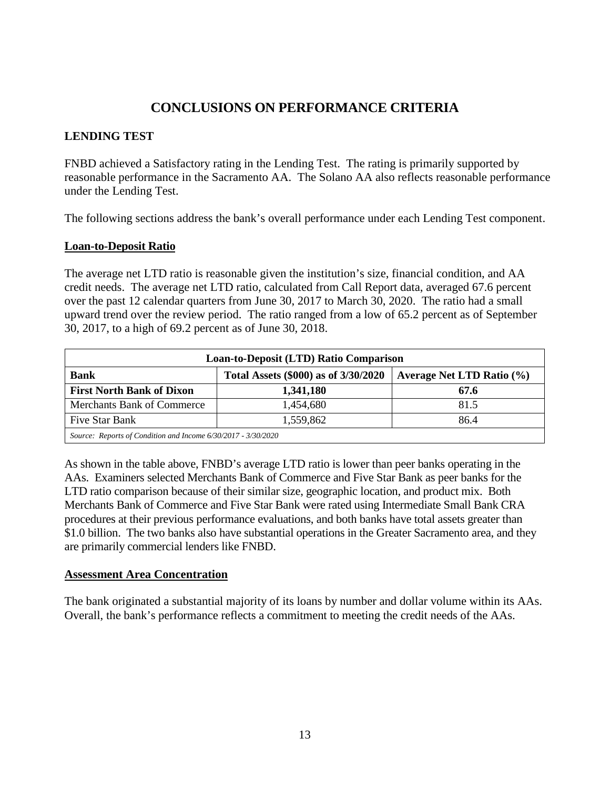## **CONCLUSIONS ON PERFORMANCE CRITERIA**

### <span id="page-14-0"></span>**LENDING TEST**

FNBD achieved a Satisfactory rating in the Lending Test. The rating is primarily supported by reasonable performance in the Sacramento AA. The Solano AA also reflects reasonable performance under the Lending Test.

The following sections address the bank's overall performance under each Lending Test component.

#### **Loan-to-Deposit Ratio**

The average net LTD ratio is reasonable given the institution's size, financial condition, and AA credit needs. The average net LTD ratio, calculated from Call Report data, averaged 67.6 percent over the past 12 calendar quarters from June 30, 2017 to March 30, 2020. The ratio had a small upward trend over the review period. The ratio ranged from a low of 65.2 percent as of September 30, 2017, to a high of 69.2 percent as of June 30, 2018.

| Loan-to-Deposit (LTD) Ratio Comparison                        |                               |      |  |  |  |  |  |  |
|---------------------------------------------------------------|-------------------------------|------|--|--|--|--|--|--|
| <b>Bank</b>                                                   | Average Net LTD Ratio $(\% )$ |      |  |  |  |  |  |  |
| <b>First North Bank of Dixon</b>                              | 1,341,180                     | 67.6 |  |  |  |  |  |  |
| <b>Merchants Bank of Commerce</b>                             | 1,454,680                     | 81.5 |  |  |  |  |  |  |
| Five Star Bank                                                | 1,559,862                     | 86.4 |  |  |  |  |  |  |
| Source: Reports of Condition and Income 6/30/2017 - 3/30/2020 |                               |      |  |  |  |  |  |  |

As shown in the table above, FNBD's average LTD ratio is lower than peer banks operating in the AAs. Examiners selected Merchants Bank of Commerce and Five Star Bank as peer banks for the LTD ratio comparison because of their similar size, geographic location, and product mix. Both Merchants Bank of Commerce and Five Star Bank were rated using Intermediate Small Bank CRA procedures at their previous performance evaluations, and both banks have total assets greater than \$1.0 billion. The two banks also have substantial operations in the Greater Sacramento area, and they are primarily commercial lenders like FNBD.

#### **Assessment Area Concentration**

The bank originated a substantial majority of its loans by number and dollar volume within its AAs. Overall, the bank's performance reflects a commitment to meeting the credit needs of the AAs.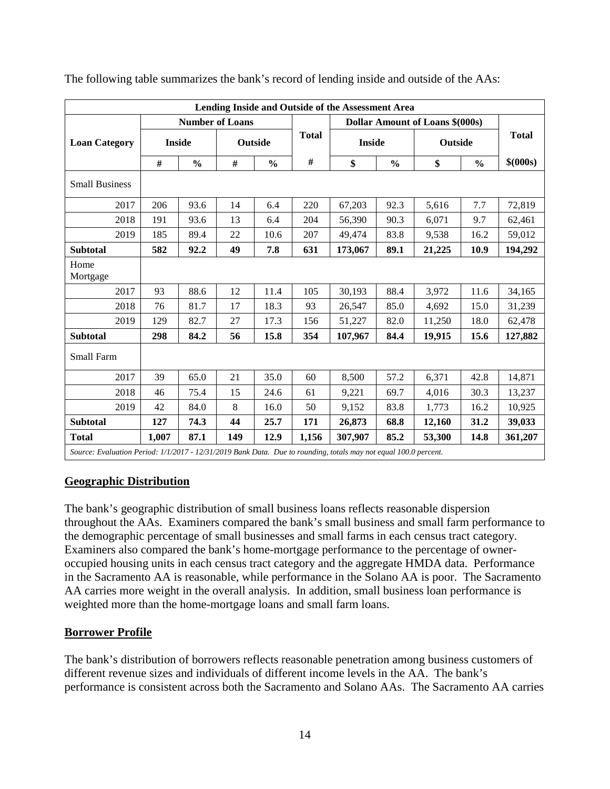| Lending Inside and Outside of the Assessment Area                                                                |       |                        |      |               |              |                          |               |                                 |               |           |
|------------------------------------------------------------------------------------------------------------------|-------|------------------------|------|---------------|--------------|--------------------------|---------------|---------------------------------|---------------|-----------|
|                                                                                                                  |       | <b>Number of Loans</b> |      |               |              |                          |               | Dollar Amount of Loans \$(000s) |               |           |
| <b>Loan Category</b>                                                                                             |       | <b>Inside</b>          |      | Outside       | <b>Total</b> | <b>Inside</b><br>Outside |               | <b>Total</b>                    |               |           |
|                                                                                                                  | #     | $\frac{0}{0}$          | $\#$ | $\frac{0}{0}$ | $\#$         | \$                       | $\frac{0}{0}$ | \$                              | $\frac{0}{0}$ | \$ (000s) |
| <b>Small Business</b>                                                                                            |       |                        |      |               |              |                          |               |                                 |               |           |
| 2017                                                                                                             | 206   | 93.6                   | 14   | 6.4           | 220          | 67,203                   | 92.3          | 5,616                           | 7.7           | 72,819    |
| 2018                                                                                                             | 191   | 93.6                   | 13   | 6.4           | 204          | 56,390                   | 90.3          | 6,071                           | 9.7           | 62,461    |
| 2019                                                                                                             | 185   | 89.4                   | 22   | 10.6          | 207          | 49,474                   | 83.8          | 9,538                           | 16.2          | 59,012    |
| <b>Subtotal</b>                                                                                                  | 582   | 92.2                   | 49   | 7.8           | 631          | 173,067                  | 89.1          | 21,225                          | 10.9          | 194,292   |
| Home<br>Mortgage                                                                                                 |       |                        |      |               |              |                          |               |                                 |               |           |
| 2017                                                                                                             | 93    | 88.6                   | 12   | 11.4          | 105          | 30,193                   | 88.4          | 3,972                           | 11.6          | 34,165    |
| 2018                                                                                                             | 76    | 81.7                   | 17   | 18.3          | 93           | 26,547                   | 85.0          | 4,692                           | 15.0          | 31,239    |
| 2019                                                                                                             | 129   | 82.7                   | 27   | 17.3          | 156          | 51,227                   | 82.0          | 11,250                          | 18.0          | 62,478    |
| <b>Subtotal</b>                                                                                                  | 298   | 84.2                   | 56   | 15.8          | 354          | 107,967                  | 84.4          | 19,915                          | 15.6          | 127,882   |
| Small Farm                                                                                                       |       |                        |      |               |              |                          |               |                                 |               |           |
| 2017                                                                                                             | 39    | 65.0                   | 21   | 35.0          | 60           | 8,500                    | 57.2          | 6,371                           | 42.8          | 14,871    |
| 2018                                                                                                             | 46    | 75.4                   | 15   | 24.6          | 61           | 9,221                    | 69.7          | 4,016                           | 30.3          | 13,237    |
| 2019                                                                                                             | 42    | 84.0                   | 8    | 16.0          | 50           | 9,152                    | 83.8          | 1,773                           | 16.2          | 10,925    |
| <b>Subtotal</b>                                                                                                  | 127   | 74.3                   | 44   | 25.7          | 171          | 26,873                   | 68.8          | 12,160                          | 31.2          | 39,033    |
| <b>Total</b>                                                                                                     | 1,007 | 87.1                   | 149  | 12.9          | 1,156        | 307,907                  | 85.2          | 53,300                          | 14.8          | 361,207   |
| Source: Evaluation Period: 1/1/2017 - 12/31/2019 Bank Data. Due to rounding, totals may not equal 100.0 percent. |       |                        |      |               |              |                          |               |                                 |               |           |

The following table summarizes the bank's record of lending inside and outside of the AAs:

#### **Geographic Distribution**

The bank's geographic distribution of small business loans reflects reasonable dispersion throughout the AAs. Examiners compared the bank's small business and small farm performance to the demographic percentage of small businesses and small farms in each census tract category. Examiners also compared the bank's home-mortgage performance to the percentage of owneroccupied housing units in each census tract category and the aggregate HMDA data. Performance in the Sacramento AA is reasonable, while performance in the Solano AA is poor. The Sacramento AA carries more weight in the overall analysis. In addition, small business loan performance is weighted more than the home-mortgage loans and small farm loans.

#### **Borrower Profile**

The bank's distribution of borrowers reflects reasonable penetration among business customers of different revenue sizes and individuals of different income levels in the AA. The bank's performance is consistent across both the Sacramento and Solano AAs. The Sacramento AA carries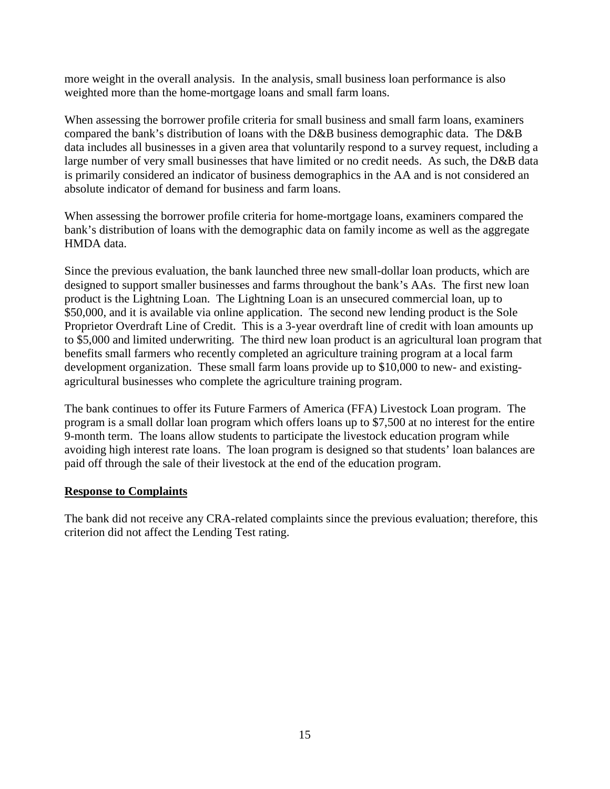more weight in the overall analysis. In the analysis, small business loan performance is also weighted more than the home-mortgage loans and small farm loans.

When assessing the borrower profile criteria for small business and small farm loans, examiners compared the bank's distribution of loans with the D&B business demographic data. The D&B data includes all businesses in a given area that voluntarily respond to a survey request, including a large number of very small businesses that have limited or no credit needs. As such, the D&B data is primarily considered an indicator of business demographics in the AA and is not considered an absolute indicator of demand for business and farm loans.

When assessing the borrower profile criteria for home-mortgage loans, examiners compared the bank's distribution of loans with the demographic data on family income as well as the aggregate HMDA data.

Since the previous evaluation, the bank launched three new small-dollar loan products, which are designed to support smaller businesses and farms throughout the bank's AAs. The first new loan product is the Lightning Loan. The Lightning Loan is an unsecured commercial loan, up to \$50,000, and it is available via online application. The second new lending product is the Sole Proprietor Overdraft Line of Credit. This is a 3-year overdraft line of credit with loan amounts up to \$5,000 and limited underwriting. The third new loan product is an agricultural loan program that benefits small farmers who recently completed an agriculture training program at a local farm development organization. These small farm loans provide up to \$10,000 to new- and existingagricultural businesses who complete the agriculture training program.

The bank continues to offer its Future Farmers of America (FFA) Livestock Loan program. The program is a small dollar loan program which offers loans up to \$7,500 at no interest for the entire 9-month term. The loans allow students to participate the livestock education program while avoiding high interest rate loans. The loan program is designed so that students' loan balances are paid off through the sale of their livestock at the end of the education program.

#### **Response to Complaints**

The bank did not receive any CRA-related complaints since the previous evaluation; therefore, this criterion did not affect the Lending Test rating.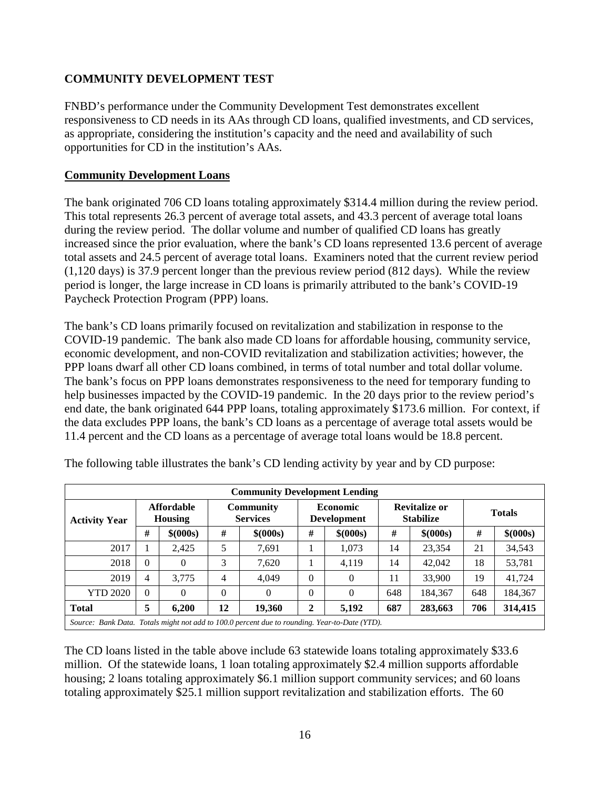### **COMMUNITY DEVELOPMENT TEST**

FNBD's performance under the Community Development Test demonstrates excellent responsiveness to CD needs in its AAs through CD loans, qualified investments, and CD services, as appropriate, considering the institution's capacity and the need and availability of such opportunities for CD in the institution's AAs.

#### **Community Development Loans**

The bank originated 706 CD loans totaling approximately \$314.4 million during the review period. This total represents 26.3 percent of average total assets, and 43.3 percent of average total loans during the review period. The dollar volume and number of qualified CD loans has greatly increased since the prior evaluation, where the bank's CD loans represented 13.6 percent of average total assets and 24.5 percent of average total loans. Examiners noted that the current review period (1,120 days) is 37.9 percent longer than the previous review period (812 days). While the review period is longer, the large increase in CD loans is primarily attributed to the bank's COVID-19 Paycheck Protection Program (PPP) loans.

The bank's CD loans primarily focused on revitalization and stabilization in response to the COVID-19 pandemic. The bank also made CD loans for affordable housing, community service, economic development, and non-COVID revitalization and stabilization activities; however, the PPP loans dwarf all other CD loans combined, in terms of total number and total dollar volume. The bank's focus on PPP loans demonstrates responsiveness to the need for temporary funding to help businesses impacted by the COVID-19 pandemic. In the 20 days prior to the review period's end date, the bank originated 644 PPP loans, totaling approximately \$173.6 million. For context, if the data excludes PPP loans, the bank's CD loans as a percentage of average total assets would be 11.4 percent and the CD loans as a percentage of average total loans would be 18.8 percent.

| <b>Community Development Lending</b>                                                          |                                     |           |                                     |           |                                       |           |                                          |           |               |           |  |  |
|-----------------------------------------------------------------------------------------------|-------------------------------------|-----------|-------------------------------------|-----------|---------------------------------------|-----------|------------------------------------------|-----------|---------------|-----------|--|--|
| <b>Activity Year</b>                                                                          | <b>Affordable</b><br><b>Housing</b> |           | <b>Community</b><br><b>Services</b> |           | <b>Economic</b><br><b>Development</b> |           | <b>Revitalize or</b><br><b>Stabilize</b> |           | <b>Totals</b> |           |  |  |
|                                                                                               | #                                   | \$ (000s) | #                                   | \$ (000s) | #                                     | \$ (000s) | #                                        | \$ (000s) | #             | \$ (000s) |  |  |
| 2017                                                                                          |                                     | 2.425     | 5                                   | 7,691     |                                       | 1,073     | 14                                       | 23,354    | 21            | 34,543    |  |  |
| 2018                                                                                          | $\Omega$                            | $\Omega$  | 3                                   | 7,620     |                                       | 4.119     | 14                                       | 42,042    | 18            | 53,781    |  |  |
| 2019                                                                                          | 4                                   | 3.775     | 4                                   | 4.049     | $\Omega$                              | $\theta$  | 11                                       | 33,900    | 19            | 41.724    |  |  |
| <b>YTD 2020</b>                                                                               | $\Omega$                            | $\theta$  | $\theta$                            | $\theta$  | $\theta$                              | $\Omega$  | 648                                      | 184.367   | 648           | 184,367   |  |  |
| <b>Total</b>                                                                                  | 5                                   | 6,200     | 12                                  | 19,360    | 2                                     | 5,192     | 687                                      | 283,663   | 706           | 314,415   |  |  |
| Source: Bank Data. Totals might not add to 100.0 percent due to rounding. Year-to-Date (YTD). |                                     |           |                                     |           |                                       |           |                                          |           |               |           |  |  |

The following table illustrates the bank's CD lending activity by year and by CD purpose:

The CD loans listed in the table above include 63 statewide loans totaling approximately \$33.6 million. Of the statewide loans, 1 loan totaling approximately \$2.4 million supports affordable housing; 2 loans totaling approximately \$6.1 million support community services; and 60 loans totaling approximately \$25.1 million support revitalization and stabilization efforts. The 60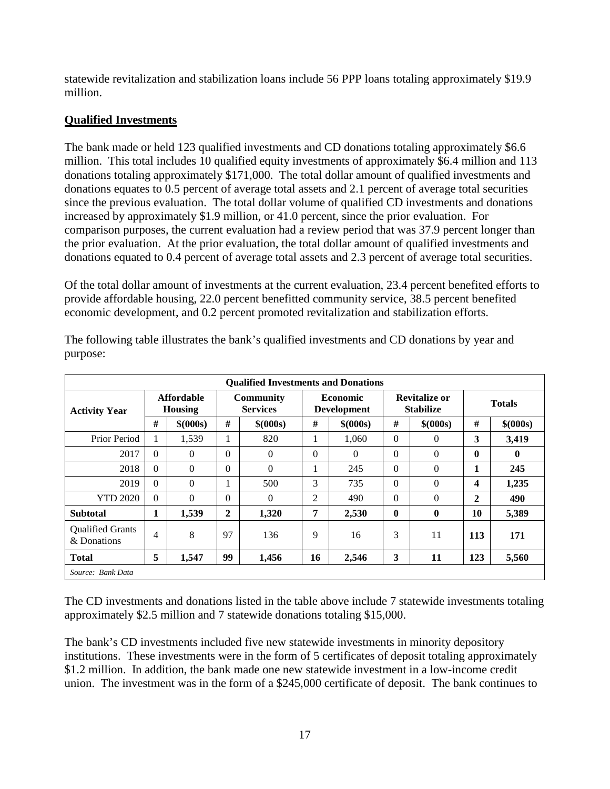statewide revitalization and stabilization loans include 56 PPP loans totaling approximately \$19.9 million.

### **Qualified Investments**

The bank made or held 123 qualified investments and CD donations totaling approximately \$6.6 million. This total includes 10 qualified equity investments of approximately \$6.4 million and 113 donations totaling approximately \$171,000. The total dollar amount of qualified investments and donations equates to 0.5 percent of average total assets and 2.1 percent of average total securities since the previous evaluation. The total dollar volume of qualified CD investments and donations increased by approximately \$1.9 million, or 41.0 percent, since the prior evaluation. For comparison purposes, the current evaluation had a review period that was 37.9 percent longer than the prior evaluation. At the prior evaluation, the total dollar amount of qualified investments and donations equated to 0.4 percent of average total assets and 2.3 percent of average total securities.

Of the total dollar amount of investments at the current evaluation, 23.4 percent benefited efforts to provide affordable housing, 22.0 percent benefitted community service, 38.5 percent benefited economic development, and 0.2 percent promoted revitalization and stabilization efforts.

| <b>Qualified Investments and Donations</b> |                              |           |                                     |           |                                       |           |                                          |                |               |           |  |
|--------------------------------------------|------------------------------|-----------|-------------------------------------|-----------|---------------------------------------|-----------|------------------------------------------|----------------|---------------|-----------|--|
| <b>Activity Year</b>                       | Affordable<br><b>Housing</b> |           | <b>Community</b><br><b>Services</b> |           | <b>Economic</b><br><b>Development</b> |           | <b>Revitalize or</b><br><b>Stabilize</b> |                | <b>Totals</b> |           |  |
|                                            | #                            | \$ (000s) | #                                   | \$ (000s) | #                                     | \$ (000s) | #                                        | \$ (000s)      | #             | \$ (000s) |  |
| Prior Period                               | 1                            | 1,539     | 1                                   | 820       | 1                                     | 1,060     | $\Omega$                                 | $\theta$       | 3             | 3,419     |  |
| 2017                                       | $\Omega$                     | $\Omega$  | $\theta$                            | $\theta$  | 0                                     | $\Omega$  | $\Omega$                                 | $\overline{0}$ | 0             | $\bf{0}$  |  |
| 2018                                       | $\Omega$                     | $\Omega$  | $\Omega$                            | $\theta$  |                                       | 245       | $\Omega$                                 | $\Omega$       | 1             | 245       |  |
| 2019                                       | $\theta$                     | $\Omega$  | 1                                   | 500       | 3                                     | 735       | $\Omega$                                 | $\Omega$       | 4             | 1,235     |  |
| <b>YTD 2020</b>                            | $\Omega$                     | $\Omega$  | $\theta$                            | $\theta$  | 2                                     | 490       | $\Omega$                                 | $\Omega$       | 2             | 490       |  |
| <b>Subtotal</b>                            | 1                            | 1,539     | $\mathbf{2}$                        | 1,320     | 7                                     | 2,530     | $\bf{0}$                                 | $\mathbf 0$    | 10            | 5,389     |  |
| <b>Oualified Grants</b><br>& Donations     | 4                            | 8         | 97                                  | 136       | 9                                     | 16        | 3                                        | 11             | 113           | 171       |  |
| <b>Total</b>                               | 5                            | 1,547     | 99                                  | 1,456     | 16                                    | 2,546     | 3                                        | 11             | 123           | 5,560     |  |
| Source: Bank Data                          |                              |           |                                     |           |                                       |           |                                          |                |               |           |  |

The following table illustrates the bank's qualified investments and CD donations by year and purpose:

The CD investments and donations listed in the table above include 7 statewide investments totaling approximately \$2.5 million and 7 statewide donations totaling \$15,000.

The bank's CD investments included five new statewide investments in minority depository institutions. These investments were in the form of 5 certificates of deposit totaling approximately \$1.2 million. In addition, the bank made one new statewide investment in a low-income credit union. The investment was in the form of a \$245,000 certificate of deposit. The bank continues to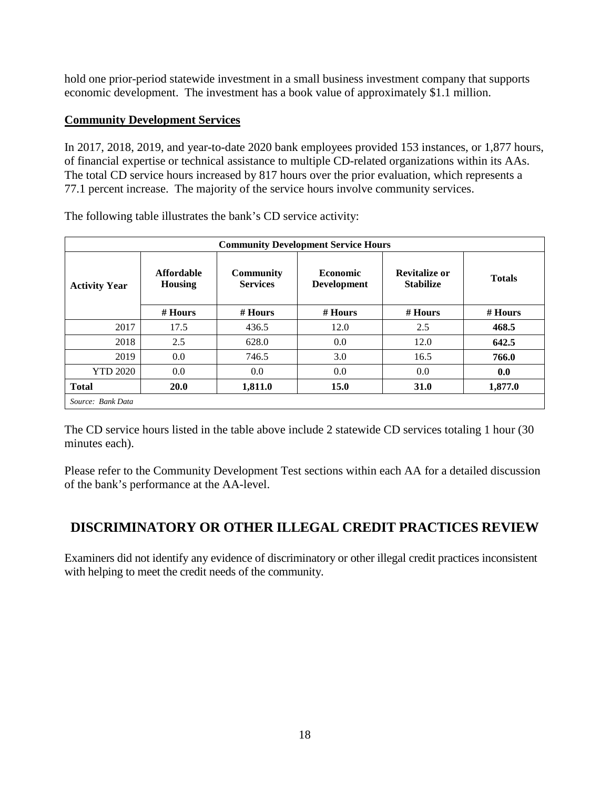hold one prior-period statewide investment in a small business investment company that supports economic development. The investment has a book value of approximately \$1.1 million.

### **Community Development Services**

In 2017, 2018, 2019, and year-to-date 2020 bank employees provided 153 instances, or 1,877 hours, of financial expertise or technical assistance to multiple CD-related organizations within its AAs. The total CD service hours increased by 817 hours over the prior evaluation, which represents a 77.1 percent increase. The majority of the service hours involve community services.

| <b>Community Development Service Hours</b> |                                     |                                     |                                       |                                   |               |  |  |  |  |  |
|--------------------------------------------|-------------------------------------|-------------------------------------|---------------------------------------|-----------------------------------|---------------|--|--|--|--|--|
| <b>Activity Year</b>                       | <b>Affordable</b><br><b>Housing</b> | <b>Community</b><br><b>Services</b> | <b>Economic</b><br><b>Development</b> | Revitalize or<br><b>Stabilize</b> | <b>Totals</b> |  |  |  |  |  |
|                                            | $#$ Hours                           | $#$ Hours                           | $#$ Hours                             | # Hours                           | $#$ Hours     |  |  |  |  |  |
| 2017                                       | 17.5                                | 436.5                               | 12.0                                  | 2.5                               | 468.5         |  |  |  |  |  |
| 2018                                       | 2.5                                 | 628.0                               | 0.0                                   | 12.0                              | 642.5         |  |  |  |  |  |
| 2019                                       | 0.0                                 | 746.5                               | 3.0                                   | 16.5                              | 766.0         |  |  |  |  |  |
| <b>YTD 2020</b>                            | 0.0                                 | 0.0                                 | 0.0                                   | 0.0                               | 0.0           |  |  |  |  |  |
| <b>Total</b>                               | <b>20.0</b>                         | 1,811.0                             | 15.0                                  | 31.0                              | 1,877.0       |  |  |  |  |  |
| Source: Bank Data                          |                                     |                                     |                                       |                                   |               |  |  |  |  |  |

The following table illustrates the bank's CD service activity:

The CD service hours listed in the table above include 2 statewide CD services totaling 1 hour (30 minutes each).

Please refer to the Community Development Test sections within each AA for a detailed discussion of the bank's performance at the AA-level.

# <span id="page-19-0"></span>**DISCRIMINATORY OR OTHER ILLEGAL CREDIT PRACTICES REVIEW**

Examiners did not identify any evidence of discriminatory or other illegal credit practices inconsistent with helping to meet the credit needs of the community.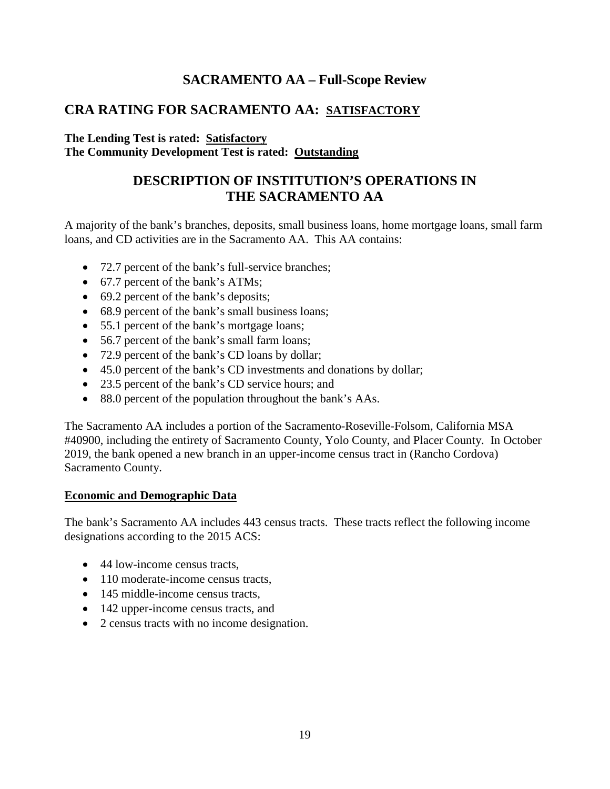## **SACRAMENTO AA – Full-Scope Review**

## <span id="page-20-0"></span>**CRA RATING FOR SACRAMENTO AA: SATISFACTORY**

#### **The Lending Test is rated: Satisfactory The Community Development Test is rated: Outstanding**

# **DESCRIPTION OF INSTITUTION'S OPERATIONS IN THE SACRAMENTO AA**

A majority of the bank's branches, deposits, small business loans, home mortgage loans, small farm loans, and CD activities are in the Sacramento AA. This AA contains:

- 72.7 percent of the bank's full-service branches;
- 67.7 percent of the bank's ATMs;
- 69.2 percent of the bank's deposits;
- 68.9 percent of the bank's small business loans;
- 55.1 percent of the bank's mortgage loans;
- 56.7 percent of the bank's small farm loans;
- 72.9 percent of the bank's CD loans by dollar;
- 45.0 percent of the bank's CD investments and donations by dollar;
- 23.5 percent of the bank's CD service hours; and
- 88.0 percent of the population throughout the bank's AAs.

The Sacramento AA includes a portion of the Sacramento-Roseville-Folsom, California MSA #40900, including the entirety of Sacramento County, Yolo County, and Placer County. In October 2019, the bank opened a new branch in an upper-income census tract in (Rancho Cordova) Sacramento County.

#### **Economic and Demographic Data**

The bank's Sacramento AA includes 443 census tracts. These tracts reflect the following income designations according to the 2015 ACS:

- 44 low-income census tracts,
- 110 moderate-income census tracts,
- 145 middle-income census tracts.
- 142 upper-income census tracts, and
- 2 census tracts with no income designation.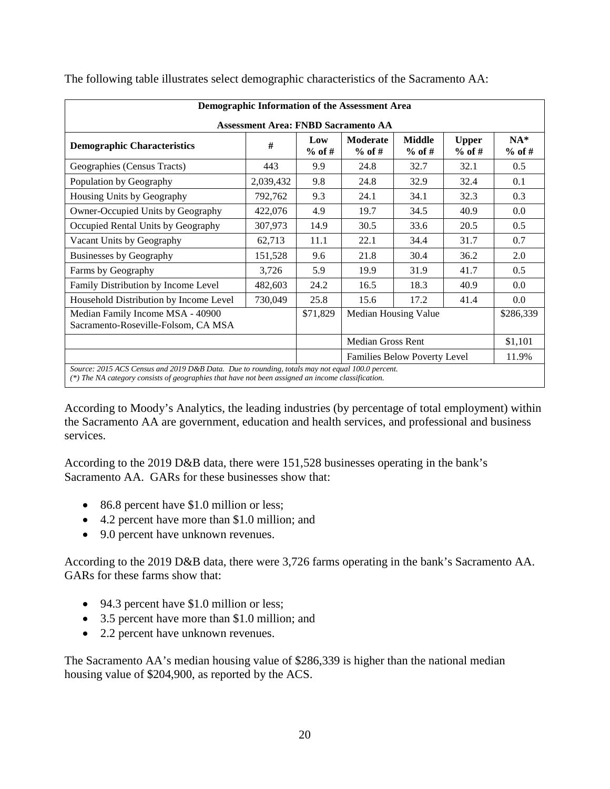|                                                                                                                                                                                                     | Demographic Information of the Assessment Area |                 |                              |                           |                          |                   |  |  |  |  |  |  |
|-----------------------------------------------------------------------------------------------------------------------------------------------------------------------------------------------------|------------------------------------------------|-----------------|------------------------------|---------------------------|--------------------------|-------------------|--|--|--|--|--|--|
|                                                                                                                                                                                                     | <b>Assessment Area: FNBD Sacramento AA</b>     |                 |                              |                           |                          |                   |  |  |  |  |  |  |
| <b>Demographic Characteristics</b>                                                                                                                                                                  | #                                              | Low<br>$%$ of # | Moderate<br>$%$ of #         | <b>Middle</b><br>$%$ of # | <b>Upper</b><br>$%$ of # | $NA*$<br>$%$ of # |  |  |  |  |  |  |
| Geographies (Census Tracts)                                                                                                                                                                         | 443                                            | 9.9             | 24.8                         | 32.7                      | 32.1                     | 0.5               |  |  |  |  |  |  |
| Population by Geography                                                                                                                                                                             | 2,039,432                                      | 9.8             | 24.8                         | 32.9                      | 32.4                     | 0.1               |  |  |  |  |  |  |
| Housing Units by Geography                                                                                                                                                                          | 792,762                                        | 9.3             | 24.1                         | 34.1                      | 32.3                     | 0.3               |  |  |  |  |  |  |
| Owner-Occupied Units by Geography                                                                                                                                                                   | 422,076                                        | 4.9             | 19.7                         | 34.5                      | 40.9                     | 0.0               |  |  |  |  |  |  |
| Occupied Rental Units by Geography                                                                                                                                                                  | 307,973                                        | 14.9            | 30.5                         | 33.6                      | 20.5                     | 0.5               |  |  |  |  |  |  |
| Vacant Units by Geography                                                                                                                                                                           | 62,713                                         | 11.1            | 22.1                         | 34.4                      | 31.7                     | 0.7               |  |  |  |  |  |  |
| <b>Businesses by Geography</b>                                                                                                                                                                      | 151,528                                        | 9.6             | 21.8                         | 30.4                      | 36.2                     | 2.0               |  |  |  |  |  |  |
| Farms by Geography                                                                                                                                                                                  | 3,726                                          | 5.9             | 19.9                         | 31.9                      | 41.7                     | 0.5               |  |  |  |  |  |  |
| Family Distribution by Income Level                                                                                                                                                                 | 482,603                                        | 24.2            | 16.5                         | 18.3                      | 40.9                     | 0.0               |  |  |  |  |  |  |
| Household Distribution by Income Level                                                                                                                                                              | 730,049                                        | 25.8            | 15.6                         | 17.2                      | 41.4                     | 0.0               |  |  |  |  |  |  |
| Median Family Income MSA - 40900<br>Sacramento-Roseville-Folsom, CA MSA                                                                                                                             |                                                | \$71,829        | Median Housing Value         |                           |                          | \$286,339         |  |  |  |  |  |  |
|                                                                                                                                                                                                     |                                                |                 | <b>Median Gross Rent</b>     |                           |                          | \$1,101           |  |  |  |  |  |  |
|                                                                                                                                                                                                     |                                                |                 | Families Below Poverty Level |                           |                          | 11.9%             |  |  |  |  |  |  |
| Source: 2015 ACS Census and 2019 D&B Data. Due to rounding, totals may not equal 100.0 percent.<br>$(*)$ The MA extensive consists of coographics that have not been assigned an income elevationic |                                                |                 |                              |                           |                          |                   |  |  |  |  |  |  |

The following table illustrates select demographic characteristics of the Sacramento AA:

*(\*) The NA category consists of geographies that have not been assigned an income classification.*

According to Moody's Analytics, the leading industries (by percentage of total employment) within the Sacramento AA are government, education and health services, and professional and business services.

According to the 2019 D&B data, there were 151,528 businesses operating in the bank's Sacramento AA. GARs for these businesses show that:

- 86.8 percent have \$1.0 million or less;
- 4.2 percent have more than \$1.0 million; and
- 9.0 percent have unknown revenues.

According to the 2019 D&B data, there were 3,726 farms operating in the bank's Sacramento AA. GARs for these farms show that:

- 94.3 percent have \$1.0 million or less;
- 3.5 percent have more than \$1.0 million; and
- 2.2 percent have unknown revenues.

The Sacramento AA's median housing value of \$286,339 is higher than the national median housing value of \$204,900, as reported by the ACS.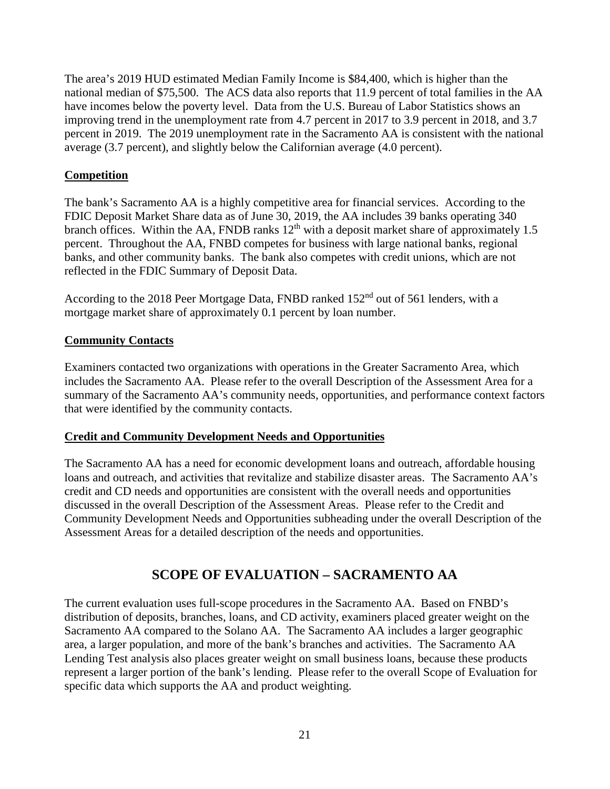The area's 2019 HUD estimated Median Family Income is \$84,400, which is higher than the national median of \$75,500. The ACS data also reports that 11.9 percent of total families in the AA have incomes below the poverty level. Data from the U.S. Bureau of Labor Statistics shows an improving trend in the unemployment rate from 4.7 percent in 2017 to 3.9 percent in 2018, and 3.7 percent in 2019. The 2019 unemployment rate in the Sacramento AA is consistent with the national average (3.7 percent), and slightly below the Californian average (4.0 percent).

### **Competition**

The bank's Sacramento AA is a highly competitive area for financial services. According to the FDIC Deposit Market Share data as of June 30, 2019, the AA includes 39 banks operating 340 branch offices. Within the AA, FNDB ranks  $12<sup>th</sup>$  with a deposit market share of approximately 1.5 percent. Throughout the AA, FNBD competes for business with large national banks, regional banks, and other community banks. The bank also competes with credit unions, which are not reflected in the FDIC Summary of Deposit Data.

According to the 2018 Peer Mortgage Data, FNBD ranked 152<sup>nd</sup> out of 561 lenders, with a mortgage market share of approximately 0.1 percent by loan number.

#### **Community Contacts**

Examiners contacted two organizations with operations in the Greater Sacramento Area, which includes the Sacramento AA. Please refer to the overall Description of the Assessment Area for a summary of the Sacramento AA's community needs, opportunities, and performance context factors that were identified by the community contacts.

#### **Credit and Community Development Needs and Opportunities**

The Sacramento AA has a need for economic development loans and outreach, affordable housing loans and outreach, and activities that revitalize and stabilize disaster areas. The Sacramento AA's credit and CD needs and opportunities are consistent with the overall needs and opportunities discussed in the overall Description of the Assessment Areas. Please refer to the Credit and Community Development Needs and Opportunities subheading under the overall Description of the Assessment Areas for a detailed description of the needs and opportunities.

# **SCOPE OF EVALUATION – SACRAMENTO AA**

The current evaluation uses full-scope procedures in the Sacramento AA. Based on FNBD's distribution of deposits, branches, loans, and CD activity, examiners placed greater weight on the Sacramento AA compared to the Solano AA. The Sacramento AA includes a larger geographic area, a larger population, and more of the bank's branches and activities. The Sacramento AA Lending Test analysis also places greater weight on small business loans, because these products represent a larger portion of the bank's lending. Please refer to the overall Scope of Evaluation for specific data which supports the AA and product weighting.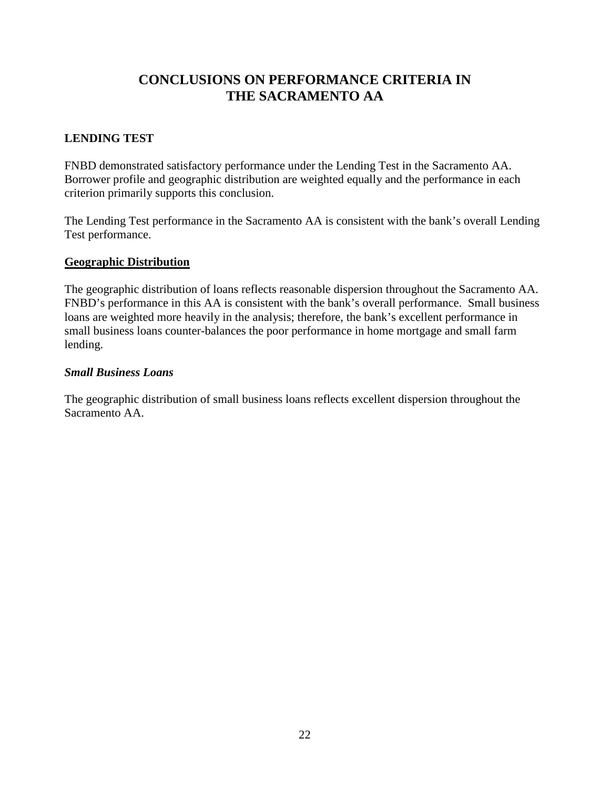# **CONCLUSIONS ON PERFORMANCE CRITERIA IN THE SACRAMENTO AA**

### **LENDING TEST**

FNBD demonstrated satisfactory performance under the Lending Test in the Sacramento AA. Borrower profile and geographic distribution are weighted equally and the performance in each criterion primarily supports this conclusion.

The Lending Test performance in the Sacramento AA is consistent with the bank's overall Lending Test performance.

#### **Geographic Distribution**

The geographic distribution of loans reflects reasonable dispersion throughout the Sacramento AA. FNBD's performance in this AA is consistent with the bank's overall performance. Small business loans are weighted more heavily in the analysis; therefore, the bank's excellent performance in small business loans counter-balances the poor performance in home mortgage and small farm lending.

#### *Small Business Loans*

The geographic distribution of small business loans reflects excellent dispersion throughout the Sacramento AA.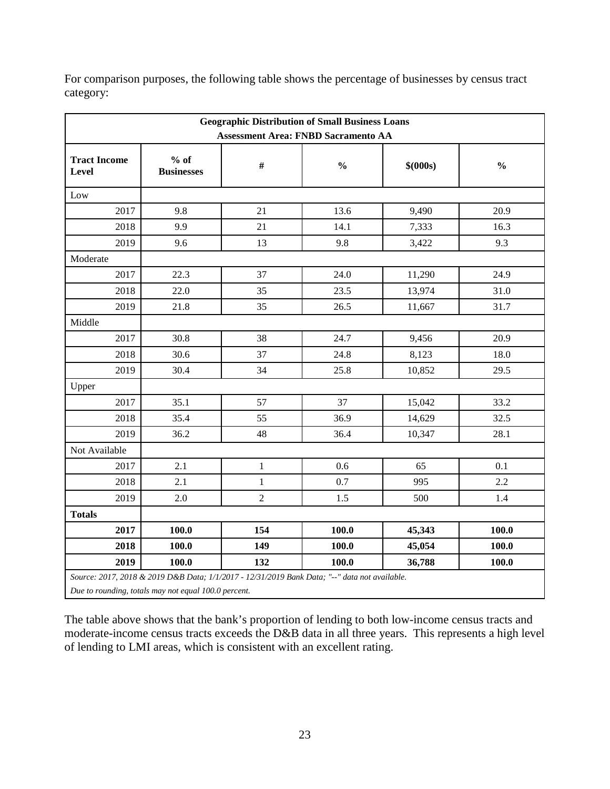| <b>Geographic Distribution of Small Business Loans</b><br><b>Assessment Area: FNBD Sacramento AA</b> |                             |                |               |           |               |  |  |  |  |
|------------------------------------------------------------------------------------------------------|-----------------------------|----------------|---------------|-----------|---------------|--|--|--|--|
| <b>Tract Income</b><br>Level                                                                         | $%$ of<br><b>Businesses</b> | $\#$           | $\frac{0}{0}$ | \$ (000s) | $\frac{0}{0}$ |  |  |  |  |
| Low                                                                                                  |                             |                |               |           |               |  |  |  |  |
| 2017                                                                                                 | 9.8                         | 21             | 13.6          | 9,490     | 20.9          |  |  |  |  |
| 2018                                                                                                 | 9.9                         | 21             | 14.1          | 7,333     | 16.3          |  |  |  |  |
| 2019                                                                                                 | 9.6                         | 13             | 9.8           | 3,422     | 9.3           |  |  |  |  |
| Moderate                                                                                             |                             |                |               |           |               |  |  |  |  |
| 2017                                                                                                 | 22.3                        | 37             | 24.0          | 11,290    | 24.9          |  |  |  |  |
| 2018                                                                                                 | 22.0                        | 35             | 23.5          | 13,974    | 31.0          |  |  |  |  |
| 2019                                                                                                 | 21.8                        | 35             | 26.5          | 11,667    | 31.7          |  |  |  |  |
| Middle                                                                                               |                             |                |               |           |               |  |  |  |  |
| 2017                                                                                                 | 30.8                        | 38             | 24.7          | 9,456     | 20.9          |  |  |  |  |
| 2018                                                                                                 | 30.6                        | 37             | 24.8          | 8,123     | 18.0          |  |  |  |  |
| 2019                                                                                                 | 30.4                        | 34             | 25.8          | 10,852    | 29.5          |  |  |  |  |
| Upper                                                                                                |                             |                |               |           |               |  |  |  |  |
| 2017                                                                                                 | 35.1                        | 57             | 37            | 15,042    | 33.2          |  |  |  |  |
| 2018                                                                                                 | 35.4                        | 55             | 36.9          | 14,629    | 32.5          |  |  |  |  |
| 2019                                                                                                 | 36.2                        | 48             | 36.4          | 10,347    | 28.1          |  |  |  |  |
| Not Available                                                                                        |                             |                |               |           |               |  |  |  |  |
| 2017                                                                                                 | 2.1                         | $\mathbf{1}$   | 0.6           | 65        | 0.1           |  |  |  |  |
| 2018                                                                                                 | 2.1                         | $\mathbf{1}$   | 0.7           | 995       | 2.2           |  |  |  |  |
| 2019                                                                                                 | 2.0                         | $\overline{2}$ | 1.5           | 500       | 1.4           |  |  |  |  |
| <b>Totals</b>                                                                                        |                             |                |               |           |               |  |  |  |  |
| 2017                                                                                                 | 100.0                       | 154            | 100.0         | 45,343    | 100.0         |  |  |  |  |
| 2018                                                                                                 | 100.0                       | 149            | 100.0         | 45,054    | 100.0         |  |  |  |  |
| 2019                                                                                                 | 100.0                       | 132            | 100.0         | 36,788    | 100.0         |  |  |  |  |

For comparison purposes, the following table shows the percentage of businesses by census tract category:

The table above shows that the bank's proportion of lending to both low-income census tracts and moderate-income census tracts exceeds the D&B data in all three years. This represents a high level of lending to LMI areas, which is consistent with an excellent rating.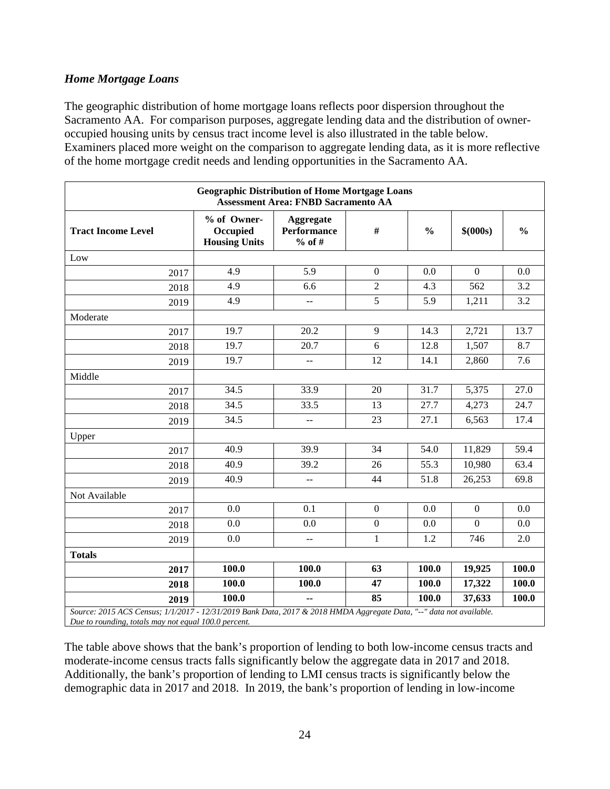### *Home Mortgage Loans*

The geographic distribution of home mortgage loans reflects poor dispersion throughout the Sacramento AA. For comparison purposes, aggregate lending data and the distribution of owneroccupied housing units by census tract income level is also illustrated in the table below. Examiners placed more weight on the comparison to aggregate lending data, as it is more reflective of the home mortgage credit needs and lending opportunities in the Sacramento AA.

|                                                                                                                                                                             | <b>Geographic Distribution of Home Mortgage Loans</b> | <b>Assessment Area: FNBD Sacramento AA</b>    |                    |       |                  |                  |
|-----------------------------------------------------------------------------------------------------------------------------------------------------------------------------|-------------------------------------------------------|-----------------------------------------------|--------------------|-------|------------------|------------------|
| <b>Tract Income Level</b>                                                                                                                                                   | % of Owner-<br>Occupied<br><b>Housing Units</b>       | Aggregate<br><b>Performance</b><br>$%$ of #   | #<br>$\frac{0}{0}$ |       | \$ (000s)        | $\frac{0}{0}$    |
| Low                                                                                                                                                                         |                                                       |                                               |                    |       |                  |                  |
| 2017                                                                                                                                                                        | 4.9                                                   | 5.9                                           | $\boldsymbol{0}$   | 0.0   | $\Omega$         | 0.0              |
| 2018                                                                                                                                                                        | 4.9                                                   | 6.6                                           | $\overline{2}$     | 4.3   | 562              | $\overline{3.2}$ |
| 2019                                                                                                                                                                        | 4.9                                                   | $\overline{a}$                                | $\overline{5}$     | 5.9   | 1,211            | 3.2              |
| Moderate                                                                                                                                                                    |                                                       |                                               |                    |       |                  |                  |
| 2017                                                                                                                                                                        | 19.7                                                  | 20.2                                          | 9                  | 14.3  | 2,721            | 13.7             |
| 2018                                                                                                                                                                        | 19.7                                                  | $\overline{20.7}$                             | 6                  | 12.8  | 1,507            | 8.7              |
| 2019                                                                                                                                                                        | 19.7                                                  | $\overline{a}$                                | 12                 | 14.1  | 2,860            | 7.6              |
| Middle                                                                                                                                                                      |                                                       |                                               |                    |       |                  |                  |
| 2017                                                                                                                                                                        | 34.5                                                  | 33.9                                          | 20                 | 31.7  | 5,375            | 27.0             |
| 2018                                                                                                                                                                        | 34.5                                                  | 33.5                                          | 13                 | 27.7  | 4,273            | 24.7             |
| 2019                                                                                                                                                                        | 34.5                                                  | $\overline{a}$                                | 23                 | 27.1  | 6,563            | 17.4             |
| Upper                                                                                                                                                                       |                                                       |                                               |                    |       |                  |                  |
| 2017                                                                                                                                                                        | 40.9                                                  | 39.9                                          | 34                 | 54.0  | 11,829           | 59.4             |
| 2018                                                                                                                                                                        | 40.9                                                  | 39.2                                          | 26                 | 55.3  | 10,980           | 63.4             |
| 2019                                                                                                                                                                        | 40.9                                                  | $\overline{a}$                                | 44                 | 51.8  | 26,253           | 69.8             |
| Not Available                                                                                                                                                               |                                                       |                                               |                    |       |                  |                  |
| 2017                                                                                                                                                                        | 0.0                                                   | 0.1                                           | $\mathbf{0}$       | 0.0   | $\boldsymbol{0}$ | 0.0              |
| 2018                                                                                                                                                                        | 0.0                                                   | 0.0                                           | $\overline{0}$     | 0.0   | $\Omega$         | 0.0              |
| 2019                                                                                                                                                                        | 0.0                                                   | $\mathord{\hspace{1pt}\text{--}\hspace{1pt}}$ | $\mathbf{1}$       | 1.2   | 746              | 2.0              |
| <b>Totals</b>                                                                                                                                                               |                                                       |                                               |                    |       |                  |                  |
| 2017                                                                                                                                                                        | 100.0                                                 | 100.0                                         | 63                 | 100.0 | 19,925           | <b>100.0</b>     |
| 2018                                                                                                                                                                        | 100.0                                                 | 100.0                                         | 47                 | 100.0 | 17,322           | 100.0            |
| 2019                                                                                                                                                                        | 100.0                                                 | $\overline{\phantom{a}}$                      | 85                 | 100.0 | 37,633           | 100.0            |
| Source: 2015 ACS Census; 1/1/2017 - 12/31/2019 Bank Data, 2017 & 2018 HMDA Aggregate Data, "--" data not available.<br>Due to rounding, totals may not equal 100.0 percent. |                                                       |                                               |                    |       |                  |                  |

The table above shows that the bank's proportion of lending to both low-income census tracts and moderate-income census tracts falls significantly below the aggregate data in 2017 and 2018. Additionally, the bank's proportion of lending to LMI census tracts is significantly below the demographic data in 2017 and 2018. In 2019, the bank's proportion of lending in low-income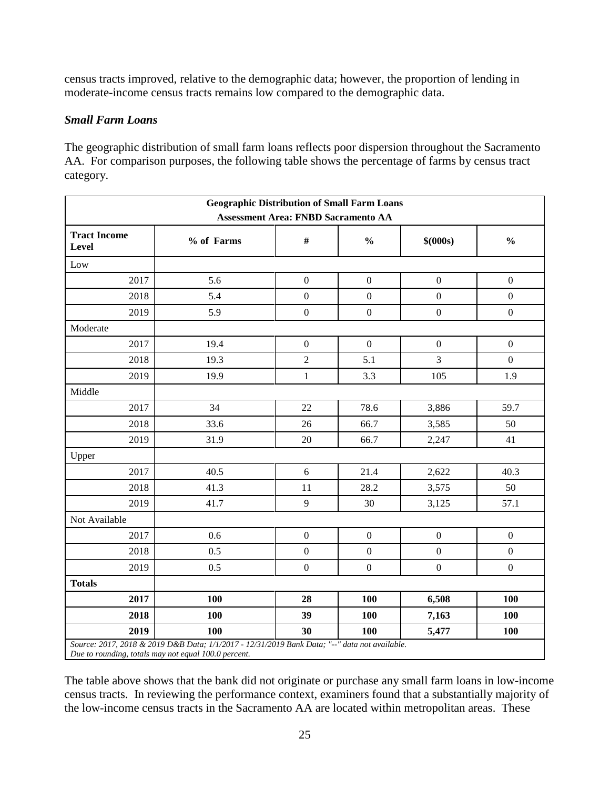census tracts improved, relative to the demographic data; however, the proportion of lending in moderate-income census tracts remains low compared to the demographic data.

#### *Small Farm Loans*

The geographic distribution of small farm loans reflects poor dispersion throughout the Sacramento AA. For comparison purposes, the following table shows the percentage of farms by census tract category.

| <b>Geographic Distribution of Small Farm Loans</b><br><b>Assessment Area: FNBD Sacramento AA</b> |                                                                                               |                  |                  |                  |                  |  |  |  |  |
|--------------------------------------------------------------------------------------------------|-----------------------------------------------------------------------------------------------|------------------|------------------|------------------|------------------|--|--|--|--|
| <b>Tract Income</b><br>Level                                                                     | % of Farms                                                                                    | $\#$             | $\frac{0}{0}$    | \$(000s)         | $\frac{0}{0}$    |  |  |  |  |
| Low                                                                                              |                                                                                               |                  |                  |                  |                  |  |  |  |  |
| 2017                                                                                             | 5.6                                                                                           | $\boldsymbol{0}$ | $\boldsymbol{0}$ | $\boldsymbol{0}$ | $\mathbf{0}$     |  |  |  |  |
| 2018                                                                                             | 5.4                                                                                           | $\overline{0}$   | $\boldsymbol{0}$ | $\boldsymbol{0}$ | $\boldsymbol{0}$ |  |  |  |  |
| 2019                                                                                             | 5.9                                                                                           | $\boldsymbol{0}$ | $\boldsymbol{0}$ | $\boldsymbol{0}$ | $\boldsymbol{0}$ |  |  |  |  |
| Moderate                                                                                         |                                                                                               |                  |                  |                  |                  |  |  |  |  |
| 2017                                                                                             | 19.4                                                                                          | $\boldsymbol{0}$ | $\mathbf{0}$     | $\boldsymbol{0}$ | $\mathbf{0}$     |  |  |  |  |
| 2018                                                                                             | 19.3                                                                                          | $\overline{c}$   | 5.1              | $\overline{3}$   | $\mathbf{0}$     |  |  |  |  |
| 2019                                                                                             | 19.9                                                                                          | $\mathbf 1$      | 3.3              | 105              | 1.9              |  |  |  |  |
| Middle                                                                                           |                                                                                               |                  |                  |                  |                  |  |  |  |  |
| 2017                                                                                             | 34                                                                                            | 22               | 78.6             | 3,886            | 59.7             |  |  |  |  |
| 2018                                                                                             | 33.6                                                                                          | 26               | 66.7             | 3,585            | 50               |  |  |  |  |
| 2019                                                                                             | 31.9                                                                                          | 20               | 66.7             | 2,247            | 41               |  |  |  |  |
| Upper                                                                                            |                                                                                               |                  |                  |                  |                  |  |  |  |  |
| 2017                                                                                             | 40.5                                                                                          | 6                | 21.4             | 2,622            | 40.3             |  |  |  |  |
| 2018                                                                                             | 41.3                                                                                          | 11               | 28.2             | 3,575            | 50               |  |  |  |  |
| 2019                                                                                             | 41.7                                                                                          | 9                | 30               | 3,125            | 57.1             |  |  |  |  |
| Not Available                                                                                    |                                                                                               |                  |                  |                  |                  |  |  |  |  |
| 2017                                                                                             | 0.6                                                                                           | $\boldsymbol{0}$ | $\boldsymbol{0}$ | $\boldsymbol{0}$ | $\boldsymbol{0}$ |  |  |  |  |
| 2018                                                                                             | 0.5                                                                                           | $\boldsymbol{0}$ | $\mathbf{0}$     | $\boldsymbol{0}$ | $\boldsymbol{0}$ |  |  |  |  |
| 2019                                                                                             | 0.5                                                                                           | $\boldsymbol{0}$ | $\boldsymbol{0}$ | $\boldsymbol{0}$ | $\boldsymbol{0}$ |  |  |  |  |
| <b>Totals</b>                                                                                    |                                                                                               |                  |                  |                  |                  |  |  |  |  |
| 2017                                                                                             | 100                                                                                           | 28               | 100              | 6,508            | 100              |  |  |  |  |
| 2018                                                                                             | 100                                                                                           | 39               | 100              | 7,163            | 100              |  |  |  |  |
| 2019                                                                                             | 100                                                                                           | 30               | 100              | 5,477            | 100              |  |  |  |  |
| Due to rounding, totals may not equal 100.0 percent.                                             | Source: 2017, 2018 & 2019 D&B Data; 1/1/2017 - 12/31/2019 Bank Data; "--" data not available. |                  |                  |                  |                  |  |  |  |  |

The table above shows that the bank did not originate or purchase any small farm loans in low-income census tracts. In reviewing the performance context, examiners found that a substantially majority of the low-income census tracts in the Sacramento AA are located within metropolitan areas. These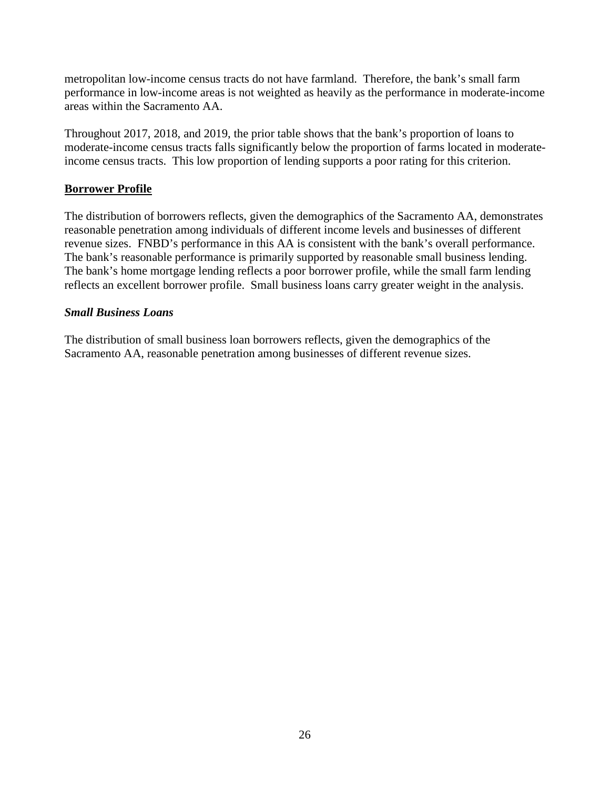metropolitan low-income census tracts do not have farmland. Therefore, the bank's small farm performance in low-income areas is not weighted as heavily as the performance in moderate-income areas within the Sacramento AA.

Throughout 2017, 2018, and 2019, the prior table shows that the bank's proportion of loans to moderate-income census tracts falls significantly below the proportion of farms located in moderateincome census tracts. This low proportion of lending supports a poor rating for this criterion.

#### **Borrower Profile**

The distribution of borrowers reflects, given the demographics of the Sacramento AA, demonstrates reasonable penetration among individuals of different income levels and businesses of different revenue sizes. FNBD's performance in this AA is consistent with the bank's overall performance. The bank's reasonable performance is primarily supported by reasonable small business lending. The bank's home mortgage lending reflects a poor borrower profile, while the small farm lending reflects an excellent borrower profile. Small business loans carry greater weight in the analysis.

#### *Small Business Loans*

The distribution of small business loan borrowers reflects, given the demographics of the Sacramento AA, reasonable penetration among businesses of different revenue sizes.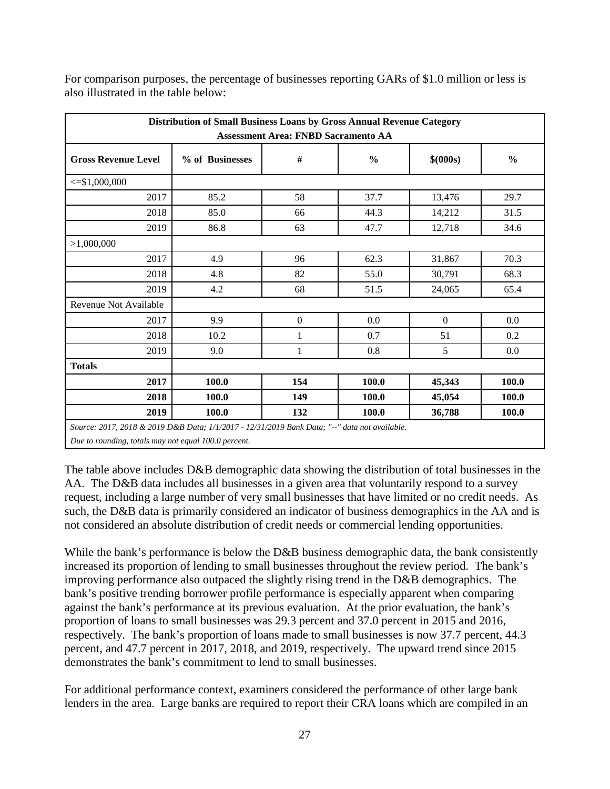|                                                                                               | Distribution of Small Business Loans by Gross Annual Revenue Category<br><b>Assessment Area: FNBD Sacramento AA</b> |                  |               |              |               |  |  |  |  |  |  |  |
|-----------------------------------------------------------------------------------------------|---------------------------------------------------------------------------------------------------------------------|------------------|---------------|--------------|---------------|--|--|--|--|--|--|--|
|                                                                                               |                                                                                                                     |                  |               |              |               |  |  |  |  |  |  |  |
| <b>Gross Revenue Level</b>                                                                    | % of Businesses                                                                                                     | $\#$             | $\frac{0}{0}$ | \$ (000s)    | $\frac{0}{0}$ |  |  |  |  |  |  |  |
| $\leq$ \$1,000,000                                                                            |                                                                                                                     |                  |               |              |               |  |  |  |  |  |  |  |
| 2017                                                                                          | 85.2                                                                                                                | 58               | 37.7          | 13,476       | 29.7          |  |  |  |  |  |  |  |
| 2018                                                                                          | 85.0                                                                                                                | 66               | 44.3          | 14,212       | 31.5          |  |  |  |  |  |  |  |
| 2019                                                                                          | 86.8                                                                                                                | 63               | 47.7          | 12,718       | 34.6          |  |  |  |  |  |  |  |
| >1,000,000                                                                                    |                                                                                                                     |                  |               |              |               |  |  |  |  |  |  |  |
| 2017                                                                                          | 4.9                                                                                                                 | 96               | 62.3          | 31,867       | 70.3          |  |  |  |  |  |  |  |
| 2018                                                                                          | 4.8                                                                                                                 | 82               | 55.0          | 30,791       | 68.3          |  |  |  |  |  |  |  |
| 2019                                                                                          | 4.2                                                                                                                 | 68               | 51.5          | 24,065       | 65.4          |  |  |  |  |  |  |  |
| <b>Revenue Not Available</b>                                                                  |                                                                                                                     |                  |               |              |               |  |  |  |  |  |  |  |
| 2017                                                                                          | 9.9                                                                                                                 | $\boldsymbol{0}$ | 0.0           | $\mathbf{0}$ | 0.0           |  |  |  |  |  |  |  |
| 2018                                                                                          | 10.2                                                                                                                | $\mathbf{1}$     | 0.7           | 51           | 0.2           |  |  |  |  |  |  |  |
| 2019                                                                                          | 9.0                                                                                                                 | 1                | 0.8           | 5            | 0.0           |  |  |  |  |  |  |  |
| <b>Totals</b>                                                                                 |                                                                                                                     |                  |               |              |               |  |  |  |  |  |  |  |
| 2017                                                                                          | 100.0                                                                                                               | 154              | 100.0         | 45,343       | 100.0         |  |  |  |  |  |  |  |
| 2018                                                                                          | 100.0                                                                                                               | 149              | 100.0         | 45,054       | 100.0         |  |  |  |  |  |  |  |
| 2019                                                                                          | 100.0                                                                                                               | 132              | 100.0         | 36,788       | 100.0         |  |  |  |  |  |  |  |
| Source: 2017, 2018 & 2019 D&B Data; 1/1/2017 - 12/31/2019 Bank Data; "--" data not available. |                                                                                                                     |                  |               |              |               |  |  |  |  |  |  |  |
| Due to rounding, totals may not equal 100.0 percent.                                          |                                                                                                                     |                  |               |              |               |  |  |  |  |  |  |  |

For comparison purposes, the percentage of businesses reporting GARs of \$1.0 million or less is also illustrated in the table below:

The table above includes D&B demographic data showing the distribution of total businesses in the AA. The D&B data includes all businesses in a given area that voluntarily respond to a survey request, including a large number of very small businesses that have limited or no credit needs. As such, the D&B data is primarily considered an indicator of business demographics in the AA and is not considered an absolute distribution of credit needs or commercial lending opportunities.

While the bank's performance is below the D&B business demographic data, the bank consistently increased its proportion of lending to small businesses throughout the review period. The bank's improving performance also outpaced the slightly rising trend in the D&B demographics. The bank's positive trending borrower profile performance is especially apparent when comparing against the bank's performance at its previous evaluation. At the prior evaluation, the bank's proportion of loans to small businesses was 29.3 percent and 37.0 percent in 2015 and 2016, respectively. The bank's proportion of loans made to small businesses is now 37.7 percent, 44.3 percent, and 47.7 percent in 2017, 2018, and 2019, respectively. The upward trend since 2015 demonstrates the bank's commitment to lend to small businesses.

For additional performance context, examiners considered the performance of other large bank lenders in the area. Large banks are required to report their CRA loans which are compiled in an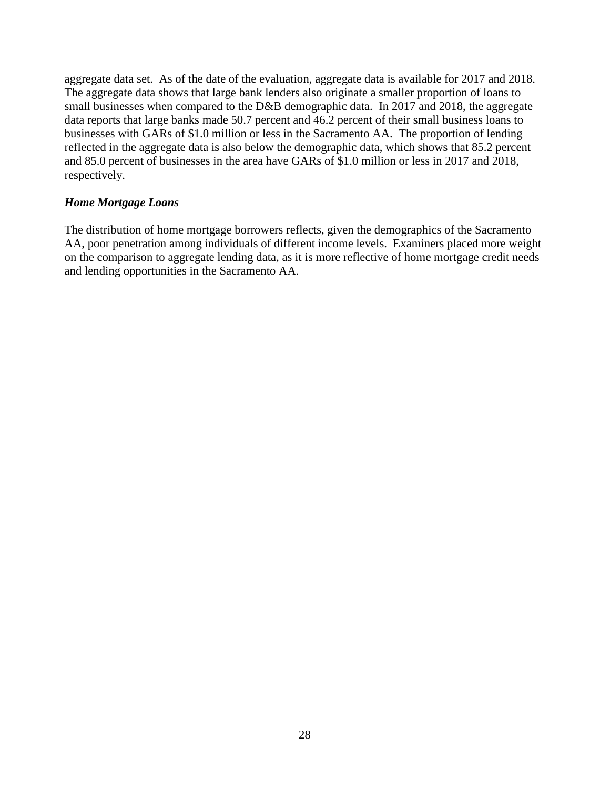aggregate data set. As of the date of the evaluation, aggregate data is available for 2017 and 2018. The aggregate data shows that large bank lenders also originate a smaller proportion of loans to small businesses when compared to the D&B demographic data. In 2017 and 2018, the aggregate data reports that large banks made 50.7 percent and 46.2 percent of their small business loans to businesses with GARs of \$1.0 million or less in the Sacramento AA. The proportion of lending reflected in the aggregate data is also below the demographic data, which shows that 85.2 percent and 85.0 percent of businesses in the area have GARs of \$1.0 million or less in 2017 and 2018, respectively.

#### *Home Mortgage Loans*

The distribution of home mortgage borrowers reflects, given the demographics of the Sacramento AA, poor penetration among individuals of different income levels. Examiners placed more weight on the comparison to aggregate lending data, as it is more reflective of home mortgage credit needs and lending opportunities in the Sacramento AA.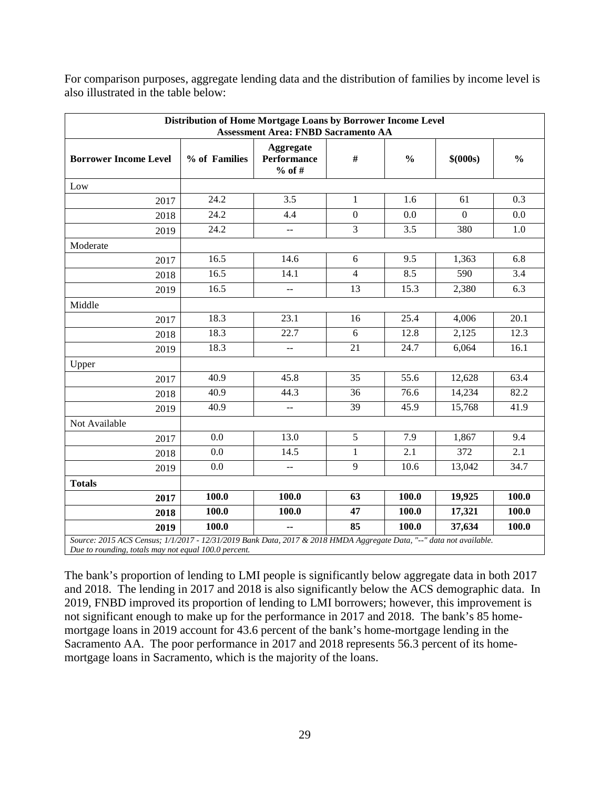|                                                                                                                  | Distribution of Home Mortgage Loans by Borrower Income Level<br><b>Assessment Area: FNBD Sacramento AA</b> |                                             |                  |               |              |               |  |  |  |  |  |  |
|------------------------------------------------------------------------------------------------------------------|------------------------------------------------------------------------------------------------------------|---------------------------------------------|------------------|---------------|--------------|---------------|--|--|--|--|--|--|
| <b>Borrower Income Level</b>                                                                                     | % of Families                                                                                              | <b>Aggregate</b><br>Performance<br>$%$ of # | #                | $\frac{0}{0}$ | \$ (000s)    | $\frac{0}{0}$ |  |  |  |  |  |  |
| Low                                                                                                              |                                                                                                            |                                             |                  |               |              |               |  |  |  |  |  |  |
| 2017                                                                                                             | 24.2                                                                                                       | 3.5                                         | 1                | 1.6           | 61           | 0.3           |  |  |  |  |  |  |
| 2018                                                                                                             | 24.2                                                                                                       | 4.4                                         | $\boldsymbol{0}$ | 0.0           | $\mathbf{0}$ | 0.0           |  |  |  |  |  |  |
| 2019                                                                                                             | 24.2                                                                                                       | $\overline{a}$                              | 3                | 3.5           | 380          | 1.0           |  |  |  |  |  |  |
| Moderate                                                                                                         |                                                                                                            |                                             |                  |               |              |               |  |  |  |  |  |  |
| 2017                                                                                                             | 16.5                                                                                                       | 14.6                                        | 6                | 9.5           | 1,363        | 6.8           |  |  |  |  |  |  |
| 2018                                                                                                             | 16.5                                                                                                       | 14.1                                        | $\overline{4}$   | 8.5           | 590          | 3.4           |  |  |  |  |  |  |
| 2019                                                                                                             | 16.5                                                                                                       | $\overline{\phantom{a}}$                    | 13               | 15.3          | 2,380        | 6.3           |  |  |  |  |  |  |
| Middle                                                                                                           |                                                                                                            |                                             |                  |               |              |               |  |  |  |  |  |  |
| 2017                                                                                                             | 18.3                                                                                                       | 23.1                                        | 16               | 25.4          | 4,006        | 20.1          |  |  |  |  |  |  |
| 2018                                                                                                             | 18.3                                                                                                       | 22.7                                        | 6                | 12.8          | 2,125        | 12.3          |  |  |  |  |  |  |
| 2019                                                                                                             | 18.3                                                                                                       | $\overline{a}$                              | 21               | 24.7          | 6,064        | 16.1          |  |  |  |  |  |  |
| Upper                                                                                                            |                                                                                                            |                                             |                  |               |              |               |  |  |  |  |  |  |
| 2017                                                                                                             | 40.9                                                                                                       | 45.8                                        | 35               | 55.6          | 12,628       | 63.4          |  |  |  |  |  |  |
| 2018                                                                                                             | 40.9                                                                                                       | 44.3                                        | 36               | 76.6          | 14,234       | 82.2          |  |  |  |  |  |  |
| 2019                                                                                                             | 40.9                                                                                                       | $\overline{a}$                              | 39               | 45.9          | 15,768       | 41.9          |  |  |  |  |  |  |
| Not Available                                                                                                    |                                                                                                            |                                             |                  |               |              |               |  |  |  |  |  |  |
| 2017                                                                                                             | 0.0                                                                                                        | 13.0                                        | 5                | 7.9           | 1,867        | 9.4           |  |  |  |  |  |  |
| 2018                                                                                                             | 0.0                                                                                                        | 14.5                                        | $\mathbf{1}$     | 2.1           | 372          | 2.1           |  |  |  |  |  |  |
| 2019                                                                                                             | 0.0                                                                                                        | $\overline{a}$                              | $\overline{9}$   | 10.6          | 13,042       | 34.7          |  |  |  |  |  |  |
| <b>Totals</b>                                                                                                    |                                                                                                            |                                             |                  |               |              |               |  |  |  |  |  |  |
| 2017                                                                                                             | 100.0                                                                                                      | 100.0                                       | 63               | 100.0         | 19,925       | 100.0         |  |  |  |  |  |  |
| 2018                                                                                                             | 100.0                                                                                                      | 100.0                                       | 47               | 100.0         | 17,321       | 100.0         |  |  |  |  |  |  |
| 2019                                                                                                             | 100.0                                                                                                      | $\overline{\phantom{a}}$                    | 85               | 100.0         | 37,634       | 100.0         |  |  |  |  |  |  |
| Source: 2015 ACS Census: 1/1/2017 - 12/31/2019 Bank Data 2017 & 2018 HMDA Agoregate Data "--" data not available |                                                                                                            |                                             |                  |               |              |               |  |  |  |  |  |  |

For comparison purposes, aggregate lending data and the distribution of families by income level is also illustrated in the table below:

*Source: 2015 ACS Census; 1/1/2017 - 12/31/2019 Bank Data, 2017 & 2018 HMDA Aggregate Data, "--" data not available. Due to rounding, totals may not equal 100.0 percent.*

The bank's proportion of lending to LMI people is significantly below aggregate data in both 2017 and 2018. The lending in 2017 and 2018 is also significantly below the ACS demographic data. In 2019, FNBD improved its proportion of lending to LMI borrowers; however, this improvement is not significant enough to make up for the performance in 2017 and 2018. The bank's 85 homemortgage loans in 2019 account for 43.6 percent of the bank's home-mortgage lending in the Sacramento AA. The poor performance in 2017 and 2018 represents 56.3 percent of its homemortgage loans in Sacramento, which is the majority of the loans.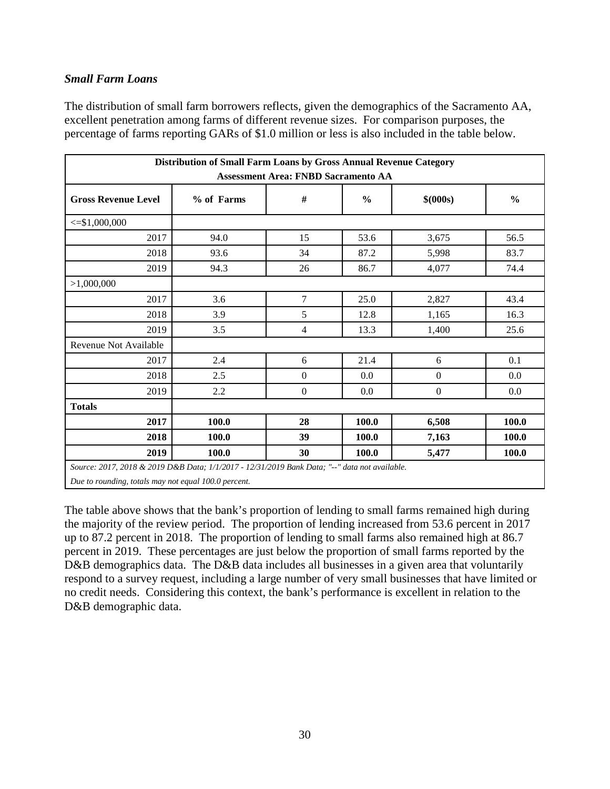#### *Small Farm Loans*

The distribution of small farm borrowers reflects, given the demographics of the Sacramento AA, excellent penetration among farms of different revenue sizes. For comparison purposes, the percentage of farms reporting GARs of \$1.0 million or less is also included in the table below.

| Distribution of Small Farm Loans by Gross Annual Revenue Category<br><b>Assessment Area: FNBD Sacramento AA</b> |            |                  |               |                  |               |  |  |  |  |  |
|-----------------------------------------------------------------------------------------------------------------|------------|------------------|---------------|------------------|---------------|--|--|--|--|--|
| <b>Gross Revenue Level</b>                                                                                      | % of Farms | $\#$             | $\frac{6}{6}$ | \$ (000s)        | $\frac{0}{0}$ |  |  |  |  |  |
| $\leq$ \$1,000,000                                                                                              |            |                  |               |                  |               |  |  |  |  |  |
| 2017                                                                                                            | 94.0       | 15               | 53.6          | 3,675            | 56.5          |  |  |  |  |  |
| 2018                                                                                                            | 93.6       | 34               | 87.2          | 5,998            | 83.7          |  |  |  |  |  |
| 2019                                                                                                            | 94.3       | 26               | 86.7          | 4,077            | 74.4          |  |  |  |  |  |
| >1,000,000                                                                                                      |            |                  |               |                  |               |  |  |  |  |  |
| 2017                                                                                                            | 3.6        | 7                | 25.0          | 2,827            | 43.4          |  |  |  |  |  |
| 2018                                                                                                            | 3.9        | 5                | 12.8          | 1,165            | 16.3          |  |  |  |  |  |
| 2019                                                                                                            | 3.5        | $\overline{4}$   | 13.3          | 1,400            | 25.6          |  |  |  |  |  |
| Revenue Not Available                                                                                           |            |                  |               |                  |               |  |  |  |  |  |
| 2017                                                                                                            | 2.4        | 6                | 21.4          | 6                | 0.1           |  |  |  |  |  |
| 2018                                                                                                            | 2.5        | $\boldsymbol{0}$ | 0.0           | $\boldsymbol{0}$ | 0.0           |  |  |  |  |  |
| 2019                                                                                                            | 2.2        | $\boldsymbol{0}$ | 0.0           | $\mathbf{0}$     | 0.0           |  |  |  |  |  |
| <b>Totals</b>                                                                                                   |            |                  |               |                  |               |  |  |  |  |  |
| 2017                                                                                                            | 100.0      | 28               | 100.0         | 6,508            | 100.0         |  |  |  |  |  |
| 2018                                                                                                            | 100.0      | 39               | 100.0         | 7,163            | 100.0         |  |  |  |  |  |
| 2019                                                                                                            | 100.0      | 30               | 100.0         | 5,477            | 100.0         |  |  |  |  |  |
| Source: 2017, 2018, & 2019, D&B, Data: 1/1/2017 - 12/31/2019, Bank Data: "--" data not grailable                |            |                  |               |                  |               |  |  |  |  |  |

*Source: 2017, 2018 & 2019 D&B Data; 1/1/2017 - 12/31/2019 Bank Data; "--" data not available.*

*Due to rounding, totals may not equal 100.0 percent.* 

The table above shows that the bank's proportion of lending to small farms remained high during the majority of the review period. The proportion of lending increased from 53.6 percent in 2017 up to 87.2 percent in 2018. The proportion of lending to small farms also remained high at 86.7 percent in 2019. These percentages are just below the proportion of small farms reported by the D&B demographics data. The D&B data includes all businesses in a given area that voluntarily respond to a survey request, including a large number of very small businesses that have limited or no credit needs. Considering this context, the bank's performance is excellent in relation to the D&B demographic data.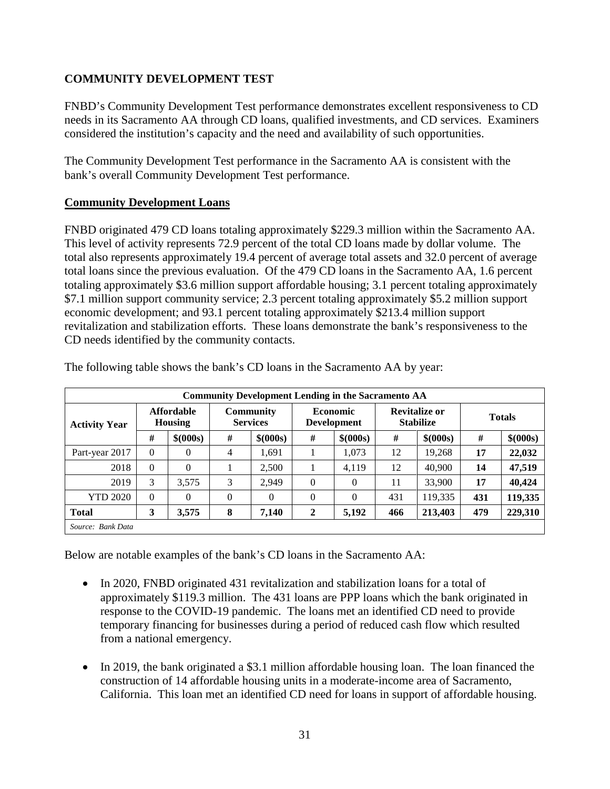### **COMMUNITY DEVELOPMENT TEST**

FNBD's Community Development Test performance demonstrates excellent responsiveness to CD needs in its Sacramento AA through CD loans, qualified investments, and CD services. Examiners considered the institution's capacity and the need and availability of such opportunities.

The Community Development Test performance in the Sacramento AA is consistent with the bank's overall Community Development Test performance.

### **Community Development Loans**

FNBD originated 479 CD loans totaling approximately \$229.3 million within the Sacramento AA. This level of activity represents 72.9 percent of the total CD loans made by dollar volume. The total also represents approximately 19.4 percent of average total assets and 32.0 percent of average total loans since the previous evaluation. Of the 479 CD loans in the Sacramento AA, 1.6 percent totaling approximately \$3.6 million support affordable housing; 3.1 percent totaling approximately \$7.1 million support community service; 2.3 percent totaling approximately \$5.2 million support economic development; and 93.1 percent totaling approximately \$213.4 million support revitalization and stabilization efforts. These loans demonstrate the bank's responsiveness to the CD needs identified by the community contacts.

| <b>Community Development Lending in the Sacramento AA</b> |                                     |           |          |                                     |              |                                       |     |                                          |               |           |
|-----------------------------------------------------------|-------------------------------------|-----------|----------|-------------------------------------|--------------|---------------------------------------|-----|------------------------------------------|---------------|-----------|
| <b>Activity Year</b>                                      | <b>Affordable</b><br><b>Housing</b> |           |          | <b>Community</b><br><b>Services</b> |              | <b>Economic</b><br><b>Development</b> |     | <b>Revitalize or</b><br><b>Stabilize</b> | <b>Totals</b> |           |
|                                                           | #                                   | \$ (000s) | #        | \$ (000s)                           | #            | \$ (000s)                             | #   | \$(000s)                                 | #             | \$ (000s) |
| Part-year 2017                                            | $\Omega$                            | $\Omega$  | 4        | 1,691                               |              | 1,073                                 | 12  | 19,268                                   | 17            | 22,032    |
| 2018                                                      | 0                                   | $\Omega$  |          | 2,500                               |              | 4,119                                 | 12  | 40,900                                   | 14            | 47,519    |
| 2019                                                      | 3                                   | 3.575     | 3        | 2,949                               | $\Omega$     | $\theta$                              | 11  | 33,900                                   | 17            | 40,424    |
| <b>YTD 2020</b>                                           | $\Omega$                            | $\Omega$  | $\Omega$ | $\theta$                            | $\Omega$     | $\overline{0}$                        | 431 | 119,335                                  | 431           | 119,335   |
| <b>Total</b>                                              | 3                                   | 3,575     | 8        | 7,140                               | $\mathbf{2}$ | 5,192                                 | 466 | 213,403                                  | 479           | 229,310   |
| Source: Bank Data                                         |                                     |           |          |                                     |              |                                       |     |                                          |               |           |

The following table shows the bank's CD loans in the Sacramento AA by year:

Below are notable examples of the bank's CD loans in the Sacramento AA:

- In 2020, FNBD originated 431 revitalization and stabilization loans for a total of approximately \$119.3 million. The 431 loans are PPP loans which the bank originated in response to the COVID-19 pandemic. The loans met an identified CD need to provide temporary financing for businesses during a period of reduced cash flow which resulted from a national emergency.
- In 2019, the bank originated a \$3.1 million affordable housing loan. The loan financed the construction of 14 affordable housing units in a moderate-income area of Sacramento, California. This loan met an identified CD need for loans in support of affordable housing.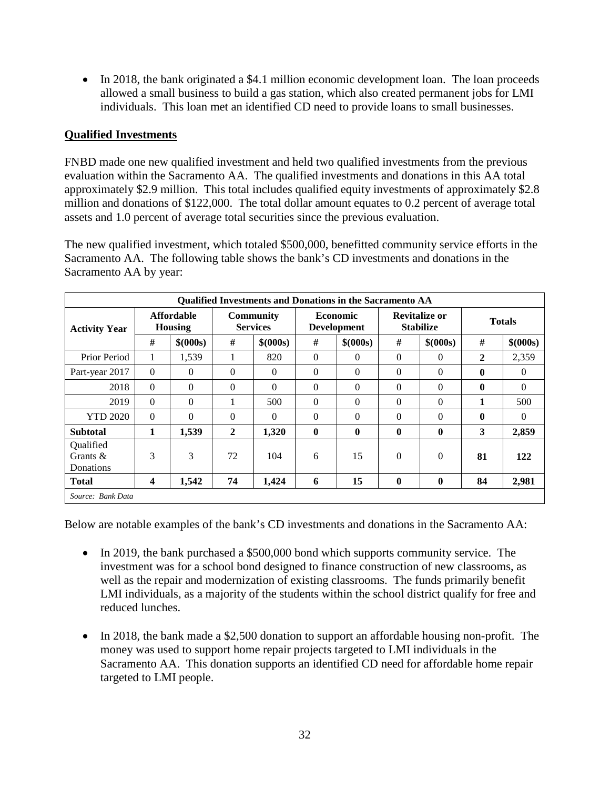• In 2018, the bank originated a \$4.1 million economic development loan. The loan proceeds allowed a small business to build a gas station, which also created permanent jobs for LMI individuals. This loan met an identified CD need to provide loans to small businesses.

#### **Qualified Investments**

FNBD made one new qualified investment and held two qualified investments from the previous evaluation within the Sacramento AA. The qualified investments and donations in this AA total approximately \$2.9 million. This total includes qualified equity investments of approximately \$2.8 million and donations of \$122,000. The total dollar amount equates to 0.2 percent of average total assets and 1.0 percent of average total securities since the previous evaluation.

The new qualified investment, which totaled \$500,000, benefitted community service efforts in the Sacramento AA. The following table shows the bank's CD investments and donations in the Sacramento AA by year:

|                                       | <b>Qualified Investments and Donations in the Sacramento AA</b> |           |                                     |           |              |                                       |          |                                          |               |           |  |
|---------------------------------------|-----------------------------------------------------------------|-----------|-------------------------------------|-----------|--------------|---------------------------------------|----------|------------------------------------------|---------------|-----------|--|
| <b>Activity Year</b>                  | <b>Affordable</b><br>Housing                                    |           | <b>Community</b><br><b>Services</b> |           |              | <b>Economic</b><br><b>Development</b> |          | <b>Revitalize or</b><br><b>Stabilize</b> | <b>Totals</b> |           |  |
|                                       | #                                                               | \$ (000s) | #                                   | \$ (000s) | #            | \$ (000s)                             | #        | \$ (000s)                                | #             | \$ (000s) |  |
| Prior Period                          | 1                                                               | 1,539     |                                     | 820       | $\Omega$     | $\Omega$                              | $\Omega$ | $\Omega$                                 | $\mathbf{2}$  | 2,359     |  |
| Part-year 2017                        | $\Omega$                                                        | $\Omega$  | $\Omega$                            | $\Omega$  | $\theta$     | $\theta$                              | $\Omega$ | $\Omega$                                 | $\mathbf{0}$  | $\Omega$  |  |
| 2018                                  | $\Omega$                                                        | $\Omega$  | $\Omega$                            | $\Omega$  | $\theta$     | $\Omega$                              | $\Omega$ | $\Omega$                                 | $\mathbf{0}$  | $\Omega$  |  |
| 2019                                  | $\Omega$                                                        | $\theta$  |                                     | 500       | $\Omega$     | $\theta$                              | $\Omega$ | $\Omega$                                 | 1             | 500       |  |
| <b>YTD 2020</b>                       | $\Omega$                                                        | $\Omega$  | $\Omega$                            | $\Omega$  | $\theta$     | $\theta$                              | $\Omega$ | $\Omega$                                 | $\mathbf{0}$  | $\Omega$  |  |
| <b>Subtotal</b>                       | 1                                                               | 1,539     | 2                                   | 1,320     | $\mathbf{0}$ | $\mathbf{0}$                          | $\bf{0}$ | $\boldsymbol{0}$                         | 3             | 2,859     |  |
| Qualified<br>Grants $\&$<br>Donations | 3                                                               | 3         | 72                                  | 104       | 6            | 15                                    | $\Omega$ | $\overline{0}$                           | 81            | 122       |  |
| <b>Total</b>                          | 4                                                               | 1,542     | 74                                  | 1,424     | 6            | 15                                    | $\bf{0}$ | $\mathbf 0$                              | 84            | 2,981     |  |
| Source: Bank Data                     |                                                                 |           |                                     |           |              |                                       |          |                                          |               |           |  |

Below are notable examples of the bank's CD investments and donations in the Sacramento AA:

- In 2019, the bank purchased a \$500,000 bond which supports community service. The investment was for a school bond designed to finance construction of new classrooms, as well as the repair and modernization of existing classrooms. The funds primarily benefit LMI individuals, as a majority of the students within the school district qualify for free and reduced lunches.
- In 2018, the bank made a \$2,500 donation to support an affordable housing non-profit. The money was used to support home repair projects targeted to LMI individuals in the Sacramento AA. This donation supports an identified CD need for affordable home repair targeted to LMI people.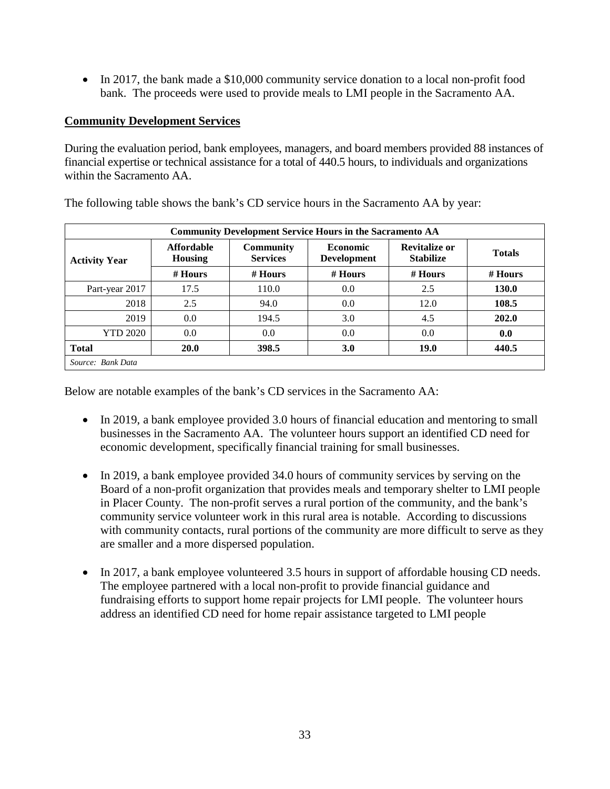• In 2017, the bank made a \$10,000 community service donation to a local non-profit food bank. The proceeds were used to provide meals to LMI people in the Sacramento AA.

#### **Community Development Services**

During the evaluation period, bank employees, managers, and board members provided 88 instances of financial expertise or technical assistance for a total of 440.5 hours, to individuals and organizations within the Sacramento AA.

| <b>Community Development Service Hours in the Sacramento AA</b> |                                     |                                     |                                       |                                          |               |  |  |  |  |  |
|-----------------------------------------------------------------|-------------------------------------|-------------------------------------|---------------------------------------|------------------------------------------|---------------|--|--|--|--|--|
| <b>Activity Year</b>                                            | <b>Affordable</b><br><b>Housing</b> | <b>Community</b><br><b>Services</b> | <b>Economic</b><br><b>Development</b> | <b>Revitalize or</b><br><b>Stabilize</b> | <b>Totals</b> |  |  |  |  |  |
|                                                                 | $#$ Hours                           | $#$ Hours                           | $#$ Hours                             | $#$ Hours                                | $#$ Hours     |  |  |  |  |  |
| Part-year 2017                                                  | 17.5                                | 110.0                               | 0.0                                   | 2.5                                      | <b>130.0</b>  |  |  |  |  |  |
| 2018                                                            | 2.5                                 | 94.0                                | 0.0                                   | 12.0                                     | 108.5         |  |  |  |  |  |
| 2019                                                            | 0.0                                 | 194.5                               | 3.0                                   | 4.5                                      | 202.0         |  |  |  |  |  |
| <b>YTD 2020</b>                                                 | 0.0                                 | 0.0                                 | 0.0                                   | 0.0                                      | 0.0           |  |  |  |  |  |
| <b>Total</b>                                                    | <b>20.0</b>                         | 398.5                               | <b>3.0</b>                            | <b>19.0</b>                              | 440.5         |  |  |  |  |  |
| Source: Bank Data                                               |                                     |                                     |                                       |                                          |               |  |  |  |  |  |

The following table shows the bank's CD service hours in the Sacramento AA by year:

Below are notable examples of the bank's CD services in the Sacramento AA:

- In 2019, a bank employee provided 3.0 hours of financial education and mentoring to small businesses in the Sacramento AA. The volunteer hours support an identified CD need for economic development, specifically financial training for small businesses.
- In 2019, a bank employee provided 34.0 hours of community services by serving on the Board of a non-profit organization that provides meals and temporary shelter to LMI people in Placer County. The non-profit serves a rural portion of the community, and the bank's community service volunteer work in this rural area is notable. According to discussions with community contacts, rural portions of the community are more difficult to serve as they are smaller and a more dispersed population.
- In 2017, a bank employee volunteered 3.5 hours in support of affordable housing CD needs. The employee partnered with a local non-profit to provide financial guidance and fundraising efforts to support home repair projects for LMI people. The volunteer hours address an identified CD need for home repair assistance targeted to LMI people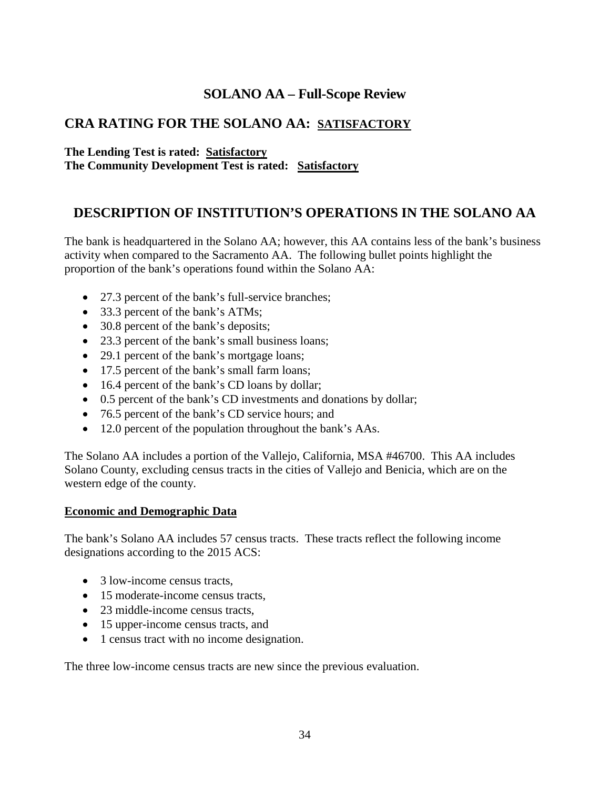# **SOLANO AA – Full-Scope Review**

## <span id="page-35-0"></span>**CRA RATING FOR THE SOLANO AA: SATISFACTORY**

#### **The Lending Test is rated: Satisfactory The Community Development Test is rated: Satisfactory**

## **DESCRIPTION OF INSTITUTION'S OPERATIONS IN THE SOLANO AA**

The bank is headquartered in the Solano AA; however, this AA contains less of the bank's business activity when compared to the Sacramento AA. The following bullet points highlight the proportion of the bank's operations found within the Solano AA:

- 27.3 percent of the bank's full-service branches;
- 33.3 percent of the bank's ATMs;
- 30.8 percent of the bank's deposits;
- 23.3 percent of the bank's small business loans;
- 29.1 percent of the bank's mortgage loans;
- 17.5 percent of the bank's small farm loans;
- 16.4 percent of the bank's CD loans by dollar;
- 0.5 percent of the bank's CD investments and donations by dollar;
- 76.5 percent of the bank's CD service hours; and
- 12.0 percent of the population throughout the bank's AAs.

The Solano AA includes a portion of the Vallejo, California, MSA #46700. This AA includes Solano County, excluding census tracts in the cities of Vallejo and Benicia, which are on the western edge of the county.

#### **Economic and Demographic Data**

The bank's Solano AA includes 57 census tracts. These tracts reflect the following income designations according to the 2015 ACS:

- 3 low-income census tracts,
- 15 moderate-income census tracts.
- 23 middle-income census tracts,
- 15 upper-income census tracts, and
- 1 census tract with no income designation.

The three low-income census tracts are new since the previous evaluation.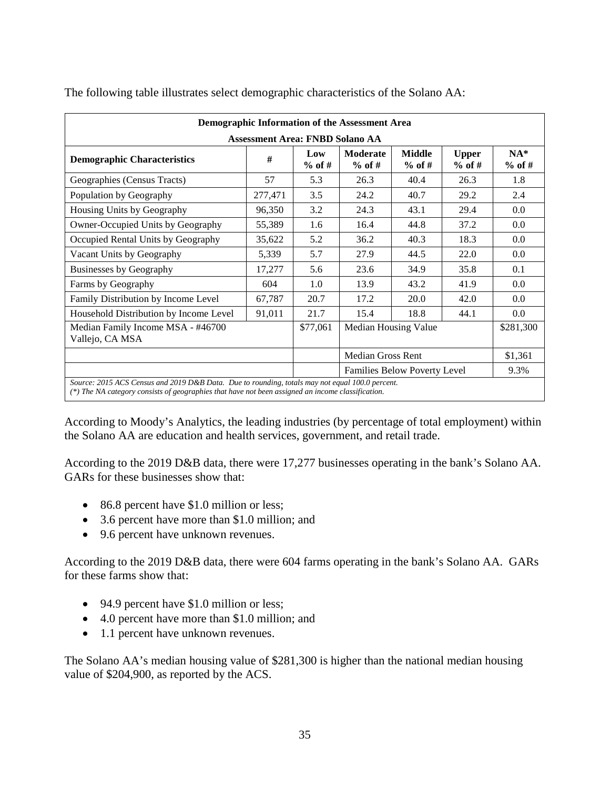|                                                                                                                                                                                                      |                                        |                 | Demographic Information of the Assessment Area |                           |                          |                   |  |  |  |  |  |  |
|------------------------------------------------------------------------------------------------------------------------------------------------------------------------------------------------------|----------------------------------------|-----------------|------------------------------------------------|---------------------------|--------------------------|-------------------|--|--|--|--|--|--|
|                                                                                                                                                                                                      | <b>Assessment Area: FNBD Solano AA</b> |                 |                                                |                           |                          |                   |  |  |  |  |  |  |
| <b>Demographic Characteristics</b>                                                                                                                                                                   | #                                      | Low<br>$%$ of # | <b>Moderate</b><br>$%$ of #                    | <b>Middle</b><br>$%$ of # | <b>Upper</b><br>$%$ of # | $NA*$<br>$%$ of # |  |  |  |  |  |  |
| Geographies (Census Tracts)                                                                                                                                                                          | 57                                     | 5.3             | 26.3                                           | 40.4                      | 26.3                     | 1.8               |  |  |  |  |  |  |
| Population by Geography                                                                                                                                                                              | 277,471                                | 3.5             | 24.2                                           | 40.7                      | 29.2                     | 2.4               |  |  |  |  |  |  |
| Housing Units by Geography                                                                                                                                                                           | 96,350                                 | 3.2             | 24.3                                           | 43.1                      | 29.4                     | 0.0               |  |  |  |  |  |  |
| Owner-Occupied Units by Geography                                                                                                                                                                    | 55,389                                 | 1.6             | 16.4                                           | 44.8                      | 37.2                     | 0.0               |  |  |  |  |  |  |
| Occupied Rental Units by Geography                                                                                                                                                                   | 35,622                                 | 5.2             | 36.2                                           | 40.3                      | 18.3                     | 0.0               |  |  |  |  |  |  |
| Vacant Units by Geography                                                                                                                                                                            | 5,339                                  | 5.7             | 27.9                                           | 44.5                      | 22.0                     | 0.0               |  |  |  |  |  |  |
| <b>Businesses by Geography</b>                                                                                                                                                                       | 17,277                                 | 5.6             | 23.6                                           | 34.9                      | 35.8                     | 0.1               |  |  |  |  |  |  |
| Farms by Geography                                                                                                                                                                                   | 604                                    | 1.0             | 13.9                                           | 43.2                      | 41.9                     | 0.0               |  |  |  |  |  |  |
| Family Distribution by Income Level                                                                                                                                                                  | 67,787                                 | 20.7            | 17.2                                           | 20.0                      | 42.0                     | 0.0               |  |  |  |  |  |  |
| Household Distribution by Income Level                                                                                                                                                               | 91,011                                 | 21.7            | 15.4                                           | 18.8                      | 44.1                     | 0.0               |  |  |  |  |  |  |
| Median Family Income MSA - #46700<br>Vallejo, CA MSA                                                                                                                                                 |                                        | \$77,061        | Median Housing Value                           |                           |                          | \$281,300         |  |  |  |  |  |  |
|                                                                                                                                                                                                      |                                        |                 | <b>Median Gross Rent</b>                       |                           |                          | \$1,361           |  |  |  |  |  |  |
|                                                                                                                                                                                                      |                                        |                 | <b>Families Below Poverty Level</b>            |                           | 9.3%                     |                   |  |  |  |  |  |  |
| Source: 2015 ACS Census and 2019 D&B Data. Due to rounding, totals may not equal 100.0 percent.<br>(*) The NA category consists of geographies that have not been assigned an income classification. |                                        |                 |                                                |                           |                          |                   |  |  |  |  |  |  |

The following table illustrates select demographic characteristics of the Solano AA:

According to Moody's Analytics, the leading industries (by percentage of total employment) within the Solano AA are education and health services, government, and retail trade.

According to the 2019 D&B data, there were 17,277 businesses operating in the bank's Solano AA. GARs for these businesses show that:

- 86.8 percent have \$1.0 million or less;
- 3.6 percent have more than \$1.0 million; and
- 9.6 percent have unknown revenues.

According to the 2019 D&B data, there were 604 farms operating in the bank's Solano AA. GARs for these farms show that:

- 94.9 percent have \$1.0 million or less;
- 4.0 percent have more than \$1.0 million; and
- 1.1 percent have unknown revenues.

The Solano AA's median housing value of \$281,300 is higher than the national median housing value of \$204,900, as reported by the ACS.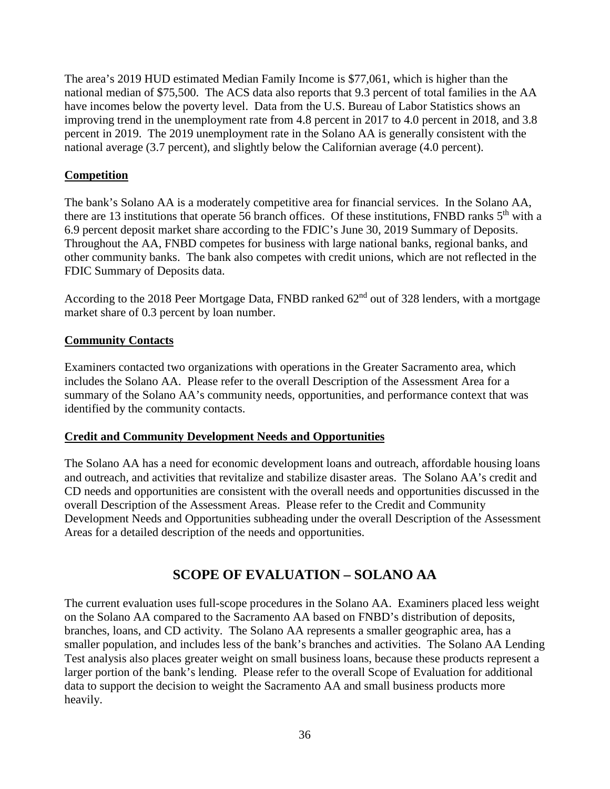The area's 2019 HUD estimated Median Family Income is \$77,061, which is higher than the national median of \$75,500. The ACS data also reports that 9.3 percent of total families in the AA have incomes below the poverty level. Data from the U.S. Bureau of Labor Statistics shows an improving trend in the unemployment rate from 4.8 percent in 2017 to 4.0 percent in 2018, and 3.8 percent in 2019. The 2019 unemployment rate in the Solano AA is generally consistent with the national average (3.7 percent), and slightly below the Californian average (4.0 percent).

### **Competition**

The bank's Solano AA is a moderately competitive area for financial services. In the Solano AA, there are 13 institutions that operate 56 branch offices. Of these institutions, FNBD ranks 5<sup>th</sup> with a 6.9 percent deposit market share according to the FDIC's June 30, 2019 Summary of Deposits. Throughout the AA, FNBD competes for business with large national banks, regional banks, and other community banks. The bank also competes with credit unions, which are not reflected in the FDIC Summary of Deposits data.

According to the 2018 Peer Mortgage Data, FNBD ranked  $62<sup>nd</sup>$  out of 328 lenders, with a mortgage market share of 0.3 percent by loan number.

#### **Community Contacts**

Examiners contacted two organizations with operations in the Greater Sacramento area, which includes the Solano AA. Please refer to the overall Description of the Assessment Area for a summary of the Solano AA's community needs, opportunities, and performance context that was identified by the community contacts.

#### **Credit and Community Development Needs and Opportunities**

The Solano AA has a need for economic development loans and outreach, affordable housing loans and outreach, and activities that revitalize and stabilize disaster areas. The Solano AA's credit and CD needs and opportunities are consistent with the overall needs and opportunities discussed in the overall Description of the Assessment Areas. Please refer to the Credit and Community Development Needs and Opportunities subheading under the overall Description of the Assessment Areas for a detailed description of the needs and opportunities.

## **SCOPE OF EVALUATION – SOLANO AA**

The current evaluation uses full-scope procedures in the Solano AA. Examiners placed less weight on the Solano AA compared to the Sacramento AA based on FNBD's distribution of deposits, branches, loans, and CD activity. The Solano AA represents a smaller geographic area, has a smaller population, and includes less of the bank's branches and activities. The Solano AA Lending Test analysis also places greater weight on small business loans, because these products represent a larger portion of the bank's lending. Please refer to the overall Scope of Evaluation for additional data to support the decision to weight the Sacramento AA and small business products more heavily.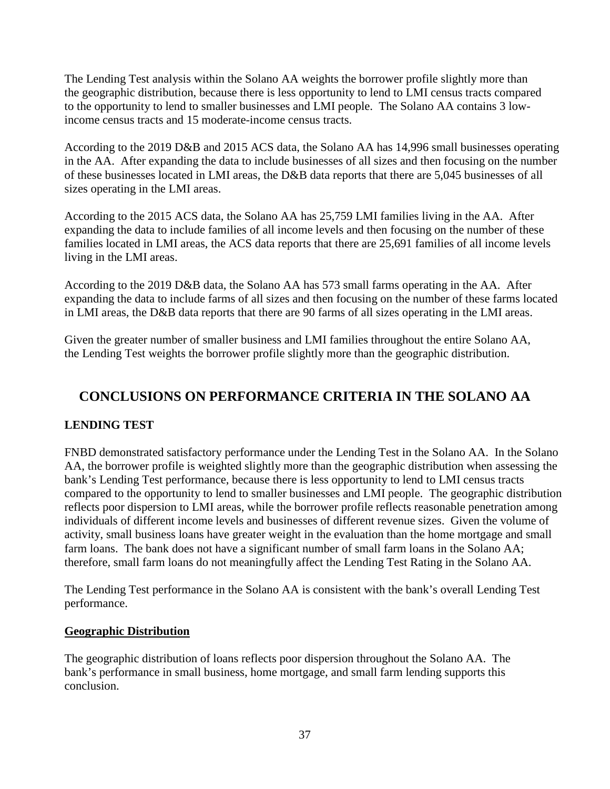The Lending Test analysis within the Solano AA weights the borrower profile slightly more than the geographic distribution, because there is less opportunity to lend to LMI census tracts compared to the opportunity to lend to smaller businesses and LMI people. The Solano AA contains 3 lowincome census tracts and 15 moderate-income census tracts.

According to the 2019 D&B and 2015 ACS data, the Solano AA has 14,996 small businesses operating in the AA. After expanding the data to include businesses of all sizes and then focusing on the number of these businesses located in LMI areas, the D&B data reports that there are 5,045 businesses of all sizes operating in the LMI areas.

According to the 2015 ACS data, the Solano AA has 25,759 LMI families living in the AA. After expanding the data to include families of all income levels and then focusing on the number of these families located in LMI areas, the ACS data reports that there are 25,691 families of all income levels living in the LMI areas.

According to the 2019 D&B data, the Solano AA has 573 small farms operating in the AA. After expanding the data to include farms of all sizes and then focusing on the number of these farms located in LMI areas, the D&B data reports that there are 90 farms of all sizes operating in the LMI areas.

Given the greater number of smaller business and LMI families throughout the entire Solano AA, the Lending Test weights the borrower profile slightly more than the geographic distribution.

# **CONCLUSIONS ON PERFORMANCE CRITERIA IN THE SOLANO AA**

#### **LENDING TEST**

FNBD demonstrated satisfactory performance under the Lending Test in the Solano AA. In the Solano AA, the borrower profile is weighted slightly more than the geographic distribution when assessing the bank's Lending Test performance, because there is less opportunity to lend to LMI census tracts compared to the opportunity to lend to smaller businesses and LMI people. The geographic distribution reflects poor dispersion to LMI areas, while the borrower profile reflects reasonable penetration among individuals of different income levels and businesses of different revenue sizes. Given the volume of activity, small business loans have greater weight in the evaluation than the home mortgage and small farm loans. The bank does not have a significant number of small farm loans in the Solano AA; therefore, small farm loans do not meaningfully affect the Lending Test Rating in the Solano AA.

The Lending Test performance in the Solano AA is consistent with the bank's overall Lending Test performance.

#### **Geographic Distribution**

The geographic distribution of loans reflects poor dispersion throughout the Solano AA. The bank's performance in small business, home mortgage, and small farm lending supports this conclusion.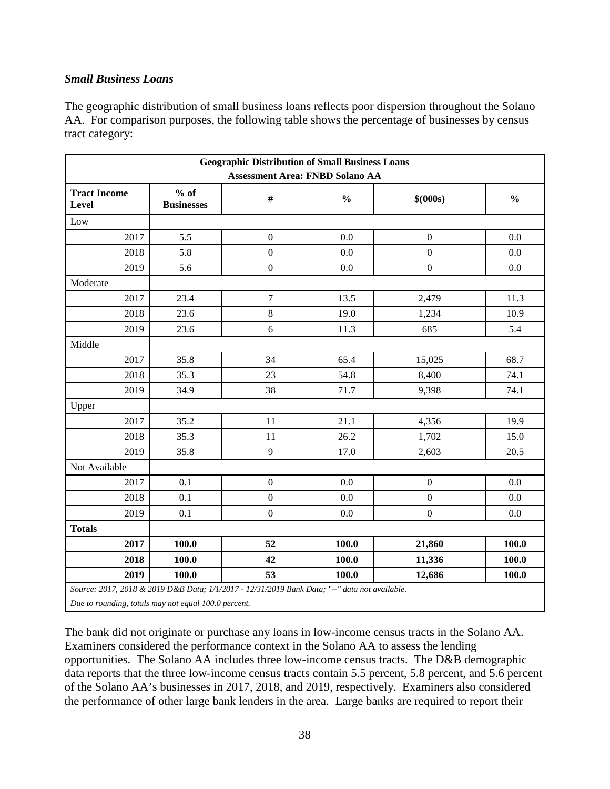### *Small Business Loans*

The geographic distribution of small business loans reflects poor dispersion throughout the Solano AA. For comparison purposes, the following table shows the percentage of businesses by census tract category:

| <b>Geographic Distribution of Small Business Loans</b><br><b>Assessment Area: FNBD Solano AA</b> |                             |                  |               |                  |               |  |  |  |
|--------------------------------------------------------------------------------------------------|-----------------------------|------------------|---------------|------------------|---------------|--|--|--|
| <b>Tract Income</b><br>Level                                                                     | $%$ of<br><b>Businesses</b> | $\#$             | $\frac{0}{0}$ | \$ (000s)        | $\frac{0}{0}$ |  |  |  |
| Low                                                                                              |                             |                  |               |                  |               |  |  |  |
| 2017                                                                                             | 5.5                         | $\boldsymbol{0}$ | 0.0           | $\boldsymbol{0}$ | 0.0           |  |  |  |
| 2018                                                                                             | 5.8                         | $\boldsymbol{0}$ | 0.0           | $\boldsymbol{0}$ | 0.0           |  |  |  |
| 2019                                                                                             | 5.6                         | $\boldsymbol{0}$ | 0.0           | $\boldsymbol{0}$ | 0.0           |  |  |  |
| Moderate                                                                                         |                             |                  |               |                  |               |  |  |  |
| 2017                                                                                             | 23.4                        | $\tau$           | 13.5          | 2,479            | 11.3          |  |  |  |
| 2018                                                                                             | 23.6                        | $8\,$            | 19.0          | 1,234            | 10.9          |  |  |  |
| 2019                                                                                             | 23.6                        | 6                | 11.3          | 685              | 5.4           |  |  |  |
| Middle                                                                                           |                             |                  |               |                  |               |  |  |  |
| 2017                                                                                             | 35.8                        | 34               | 65.4          | 15,025           | 68.7          |  |  |  |
| 2018                                                                                             | 35.3                        | 23               | 54.8          | 8,400            | 74.1          |  |  |  |
| 2019                                                                                             | 34.9                        | 38               | 71.7          | 9,398            | 74.1          |  |  |  |
| Upper                                                                                            |                             |                  |               |                  |               |  |  |  |
| 2017                                                                                             | 35.2                        | 11               | 21.1          | 4,356            | 19.9          |  |  |  |
| 2018                                                                                             | 35.3                        | 11               | 26.2          | 1,702            | 15.0          |  |  |  |
| 2019                                                                                             | 35.8                        | 9                | 17.0          | 2,603            | 20.5          |  |  |  |
| Not Available                                                                                    |                             |                  |               |                  |               |  |  |  |
| 2017                                                                                             | 0.1                         | $\boldsymbol{0}$ | 0.0           | $\boldsymbol{0}$ | 0.0           |  |  |  |
| 2018                                                                                             | 0.1                         | $\boldsymbol{0}$ | 0.0           | $\mathbf{0}$     | 0.0           |  |  |  |
| 2019                                                                                             | 0.1                         | $\boldsymbol{0}$ | 0.0           | $\boldsymbol{0}$ | 0.0           |  |  |  |
| <b>Totals</b>                                                                                    |                             |                  |               |                  |               |  |  |  |
| 2017                                                                                             | 100.0                       | 52               | 100.0         | 21,860           | 100.0         |  |  |  |
| 2018                                                                                             | 100.0                       | 42               | 100.0         | 11,336           | 100.0         |  |  |  |
| 2019                                                                                             | 100.0                       | 53               | 100.0         | 12,686           | 100.0         |  |  |  |
| Source: 2017, 2018 & 2019 D&B Data; 1/1/2017 - 12/31/2019 Bank Data; "--" data not available.    |                             |                  |               |                  |               |  |  |  |

*Due to rounding, totals may not equal 100.0 percent.* 

The bank did not originate or purchase any loans in low-income census tracts in the Solano AA. Examiners considered the performance context in the Solano AA to assess the lending opportunities. The Solano AA includes three low-income census tracts. The D&B demographic data reports that the three low-income census tracts contain 5.5 percent, 5.8 percent, and 5.6 percent of the Solano AA's businesses in 2017, 2018, and 2019, respectively. Examiners also considered the performance of other large bank lenders in the area. Large banks are required to report their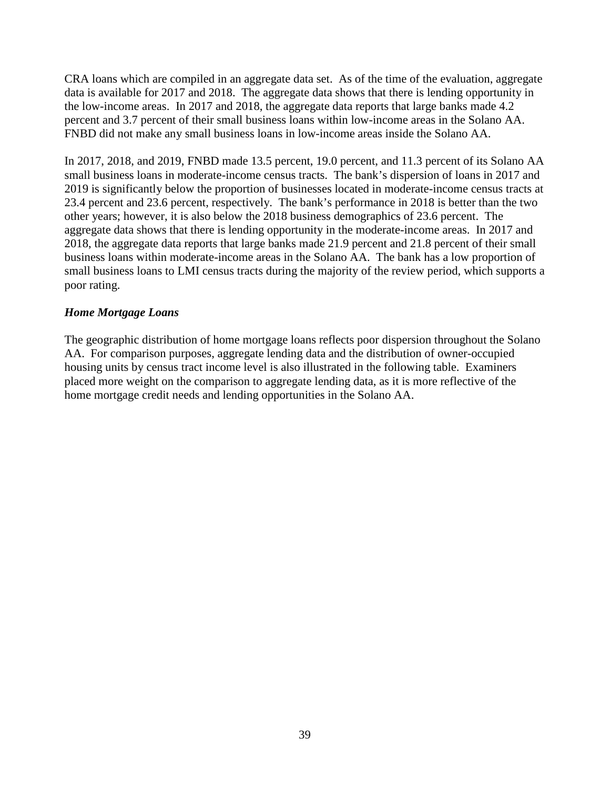CRA loans which are compiled in an aggregate data set. As of the time of the evaluation, aggregate data is available for 2017 and 2018. The aggregate data shows that there is lending opportunity in the low-income areas. In 2017 and 2018, the aggregate data reports that large banks made 4.2 percent and 3.7 percent of their small business loans within low-income areas in the Solano AA. FNBD did not make any small business loans in low-income areas inside the Solano AA.

In 2017, 2018, and 2019, FNBD made 13.5 percent, 19.0 percent, and 11.3 percent of its Solano AA small business loans in moderate-income census tracts. The bank's dispersion of loans in 2017 and 2019 is significantly below the proportion of businesses located in moderate-income census tracts at 23.4 percent and 23.6 percent, respectively. The bank's performance in 2018 is better than the two other years; however, it is also below the 2018 business demographics of 23.6 percent. The aggregate data shows that there is lending opportunity in the moderate-income areas. In 2017 and 2018, the aggregate data reports that large banks made 21.9 percent and 21.8 percent of their small business loans within moderate-income areas in the Solano AA. The bank has a low proportion of small business loans to LMI census tracts during the majority of the review period, which supports a poor rating.

#### *Home Mortgage Loans*

The geographic distribution of home mortgage loans reflects poor dispersion throughout the Solano AA. For comparison purposes, aggregate lending data and the distribution of owner-occupied housing units by census tract income level is also illustrated in the following table. Examiners placed more weight on the comparison to aggregate lending data, as it is more reflective of the home mortgage credit needs and lending opportunities in the Solano AA.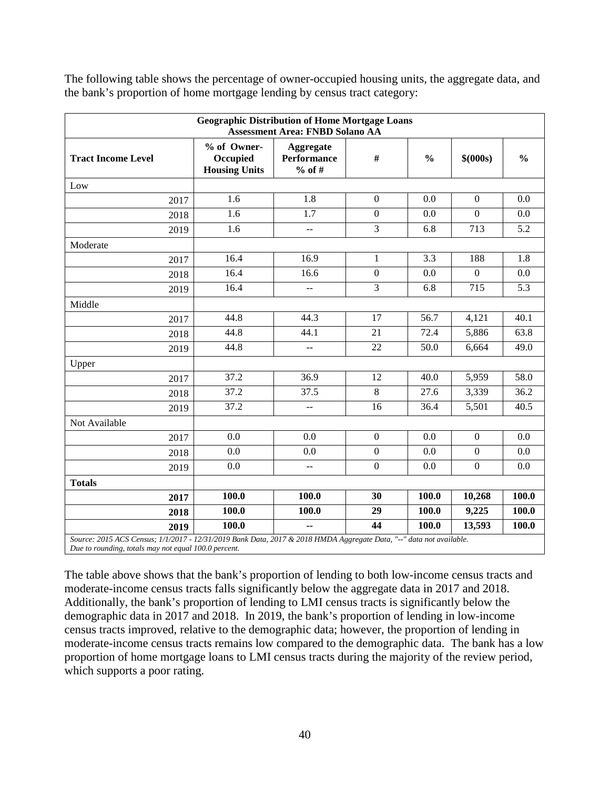|                                                                                                                     | <b>Geographic Distribution of Home Mortgage Loans</b><br><b>Assessment Area: FNBD Solano AA</b> |                                             |                  |                  |                  |                  |  |  |  |  |  |
|---------------------------------------------------------------------------------------------------------------------|-------------------------------------------------------------------------------------------------|---------------------------------------------|------------------|------------------|------------------|------------------|--|--|--|--|--|
| <b>Tract Income Level</b>                                                                                           | % of Owner-<br>Occupied<br><b>Housing Units</b>                                                 | Aggregate<br><b>Performance</b><br>$%$ of # | $\#$             | $\frac{0}{0}$    | \$ (000s)        | $\frac{0}{0}$    |  |  |  |  |  |
| Low                                                                                                                 |                                                                                                 |                                             |                  |                  |                  |                  |  |  |  |  |  |
| 2017                                                                                                                | 1.6                                                                                             | 1.8                                         | $\boldsymbol{0}$ | 0.0              | $\mathbf{0}$     | 0.0              |  |  |  |  |  |
| 2018                                                                                                                | 1.6                                                                                             | 1.7                                         | $\boldsymbol{0}$ | 0.0              | $\overline{0}$   | 0.0              |  |  |  |  |  |
| 2019                                                                                                                | 1.6                                                                                             | $\overline{a}$                              | $\overline{3}$   | 6.8              | 713              | 5.2              |  |  |  |  |  |
| Moderate                                                                                                            |                                                                                                 |                                             |                  |                  |                  |                  |  |  |  |  |  |
| 2017                                                                                                                | 16.4                                                                                            | 16.9                                        | $\mathbf{1}$     | $\overline{3.3}$ | 188              | $\overline{1.8}$ |  |  |  |  |  |
| 2018                                                                                                                | 16.4                                                                                            | 16.6                                        | $\boldsymbol{0}$ | 0.0              | $\boldsymbol{0}$ | 0.0              |  |  |  |  |  |
| 2019                                                                                                                | 16.4                                                                                            | 44                                          | $\overline{3}$   | 6.8              | 715              | 5.3              |  |  |  |  |  |
| Middle                                                                                                              |                                                                                                 |                                             |                  |                  |                  |                  |  |  |  |  |  |
| 2017                                                                                                                | 44.8                                                                                            | 44.3                                        | 17               | 56.7             | 4,121            | 40.1             |  |  |  |  |  |
| 2018                                                                                                                | 44.8                                                                                            | 44.1                                        | 21               | 72.4             | 5,886            | 63.8             |  |  |  |  |  |
| 2019                                                                                                                | 44.8                                                                                            | $\overline{a}$                              | 22               | 50.0             | 6,664            | 49.0             |  |  |  |  |  |
| Upper                                                                                                               |                                                                                                 |                                             |                  |                  |                  |                  |  |  |  |  |  |
| 2017                                                                                                                | 37.2                                                                                            | 36.9                                        | 12               | 40.0             | 5,959            | 58.0             |  |  |  |  |  |
| 2018                                                                                                                | 37.2                                                                                            | 37.5                                        | 8                | 27.6             | 3,339            | 36.2             |  |  |  |  |  |
| 2019                                                                                                                | 37.2                                                                                            | $\overline{\phantom{a}}$                    | 16               | 36.4             | 5,501            | 40.5             |  |  |  |  |  |
| Not Available                                                                                                       |                                                                                                 |                                             |                  |                  |                  |                  |  |  |  |  |  |
| 2017                                                                                                                | 0.0                                                                                             | 0.0                                         | $\boldsymbol{0}$ | 0.0              | $\boldsymbol{0}$ | 0.0              |  |  |  |  |  |
| 2018                                                                                                                | 0.0                                                                                             | 0.0                                         | $\mathbf{0}$     | 0.0              | $\overline{0}$   | 0.0              |  |  |  |  |  |
| 2019                                                                                                                | 0.0                                                                                             | $\overline{a}$                              | $\boldsymbol{0}$ | 0.0              | $\boldsymbol{0}$ | 0.0              |  |  |  |  |  |
| <b>Totals</b>                                                                                                       |                                                                                                 |                                             |                  |                  |                  |                  |  |  |  |  |  |
| 2017                                                                                                                | 100.0                                                                                           | 100.0                                       | 30               | 100.0            | 10,268           | 100.0            |  |  |  |  |  |
| 2018                                                                                                                | 100.0                                                                                           | 100.0                                       | 29               | 100.0            | 9,225            | 100.0            |  |  |  |  |  |
| 2019                                                                                                                | 100.0                                                                                           |                                             | 44               | 100.0            | 13,593           | 100.0            |  |  |  |  |  |
| Source: 2015 ACS Census; 1/1/2017 - 12/31/2019 Bank Data, 2017 & 2018 HMDA Aggregate Data, "--" data not available. |                                                                                                 |                                             |                  |                  |                  |                  |  |  |  |  |  |

The following table shows the percentage of owner-occupied housing units, the aggregate data, and the bank's proportion of home mortgage lending by census tract category:

*Due to rounding, totals may not equal 100.0 percent.* 

The table above shows that the bank's proportion of lending to both low-income census tracts and moderate-income census tracts falls significantly below the aggregate data in 2017 and 2018. Additionally, the bank's proportion of lending to LMI census tracts is significantly below the demographic data in 2017 and 2018. In 2019, the bank's proportion of lending in low-income census tracts improved, relative to the demographic data; however, the proportion of lending in moderate-income census tracts remains low compared to the demographic data. The bank has a low proportion of home mortgage loans to LMI census tracts during the majority of the review period, which supports a poor rating.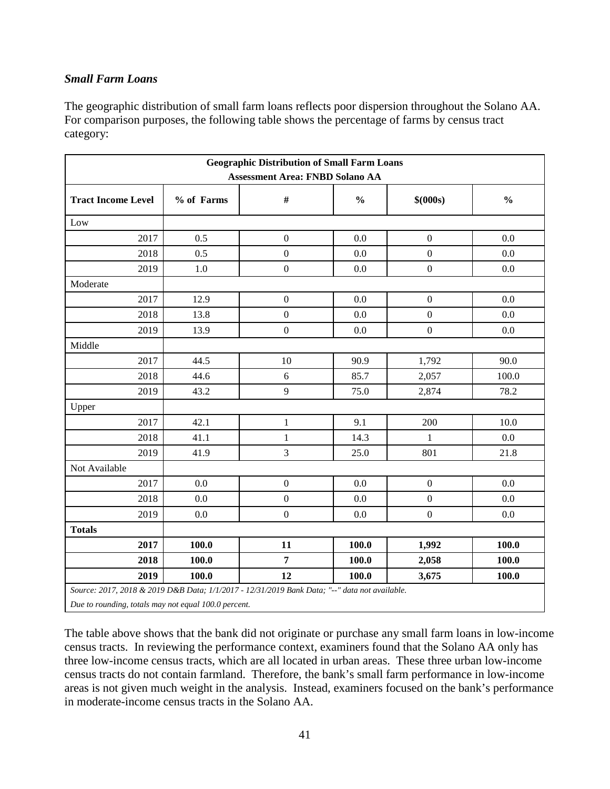### *Small Farm Loans*

The geographic distribution of small farm loans reflects poor dispersion throughout the Solano AA. For comparison purposes, the following table shows the percentage of farms by census tract category:

|                                                                                               | <b>Geographic Distribution of Small Farm Loans</b> |                                        |               |                  |               |  |  |  |  |
|-----------------------------------------------------------------------------------------------|----------------------------------------------------|----------------------------------------|---------------|------------------|---------------|--|--|--|--|
|                                                                                               |                                                    | <b>Assessment Area: FNBD Solano AA</b> |               |                  |               |  |  |  |  |
| <b>Tract Income Level</b>                                                                     | % of Farms                                         | $\#$                                   | $\frac{0}{0}$ | \$ (000s)        | $\frac{0}{0}$ |  |  |  |  |
| Low                                                                                           |                                                    |                                        |               |                  |               |  |  |  |  |
| 2017                                                                                          | 0.5                                                | $\boldsymbol{0}$                       | 0.0           | $\mathbf{0}$     | 0.0           |  |  |  |  |
| 2018                                                                                          | 0.5                                                | $\boldsymbol{0}$                       | 0.0           | $\boldsymbol{0}$ | 0.0           |  |  |  |  |
| 2019                                                                                          | $1.0\,$                                            | $\boldsymbol{0}$                       | 0.0           | $\boldsymbol{0}$ | 0.0           |  |  |  |  |
| Moderate                                                                                      |                                                    |                                        |               |                  |               |  |  |  |  |
| 2017                                                                                          | 12.9                                               | $\overline{0}$                         | 0.0           | $\overline{0}$   | 0.0           |  |  |  |  |
| 2018                                                                                          | 13.8                                               | $\boldsymbol{0}$                       | 0.0           | $\boldsymbol{0}$ | 0.0           |  |  |  |  |
| 2019                                                                                          | 13.9                                               | $\boldsymbol{0}$                       | 0.0           | $\boldsymbol{0}$ | 0.0           |  |  |  |  |
| Middle                                                                                        |                                                    |                                        |               |                  |               |  |  |  |  |
| 2017                                                                                          | 44.5                                               | 10                                     | 90.9          | 1,792            | 90.0          |  |  |  |  |
| 2018                                                                                          | 44.6                                               | 6                                      | 85.7          | 2,057            | 100.0         |  |  |  |  |
| 2019                                                                                          | 43.2                                               | 9                                      | 75.0          | 2,874            | 78.2          |  |  |  |  |
| Upper                                                                                         |                                                    |                                        |               |                  |               |  |  |  |  |
| 2017                                                                                          | 42.1                                               | $\mathbf{1}$                           | 9.1           | 200              | 10.0          |  |  |  |  |
| 2018                                                                                          | 41.1                                               | $\mathbf{1}$                           | 14.3          | $\mathbf{1}$     | 0.0           |  |  |  |  |
| 2019                                                                                          | 41.9                                               | 3                                      | 25.0          | 801              | 21.8          |  |  |  |  |
| Not Available                                                                                 |                                                    |                                        |               |                  |               |  |  |  |  |
| 2017                                                                                          | 0.0                                                | $\boldsymbol{0}$                       | 0.0           | $\mathbf{0}$     | 0.0           |  |  |  |  |
| 2018                                                                                          | 0.0                                                | $\boldsymbol{0}$                       | 0.0           | $\boldsymbol{0}$ | 0.0           |  |  |  |  |
| 2019                                                                                          | 0.0                                                | $\overline{0}$                         | 0.0           | $\mathbf{0}$     | 0.0           |  |  |  |  |
| <b>Totals</b>                                                                                 |                                                    |                                        |               |                  |               |  |  |  |  |
| 2017                                                                                          | 100.0                                              | 11                                     | 100.0         | 1,992            | 100.0         |  |  |  |  |
| 2018                                                                                          | 100.0                                              | $\overline{7}$                         | 100.0         | 2,058            | 100.0         |  |  |  |  |
| 2019                                                                                          | 100.0                                              | 12                                     | 100.0         | 3,675            | 100.0         |  |  |  |  |
| Source: 2017, 2018 & 2019 D&B Data; 1/1/2017 - 12/31/2019 Bank Data; "--" data not available. |                                                    |                                        |               |                  |               |  |  |  |  |

*Due to rounding, totals may not equal 100.0 percent.* 

The table above shows that the bank did not originate or purchase any small farm loans in low-income census tracts. In reviewing the performance context, examiners found that the Solano AA only has three low-income census tracts, which are all located in urban areas. These three urban low-income census tracts do not contain farmland. Therefore, the bank's small farm performance in low-income areas is not given much weight in the analysis. Instead, examiners focused on the bank's performance in moderate-income census tracts in the Solano AA.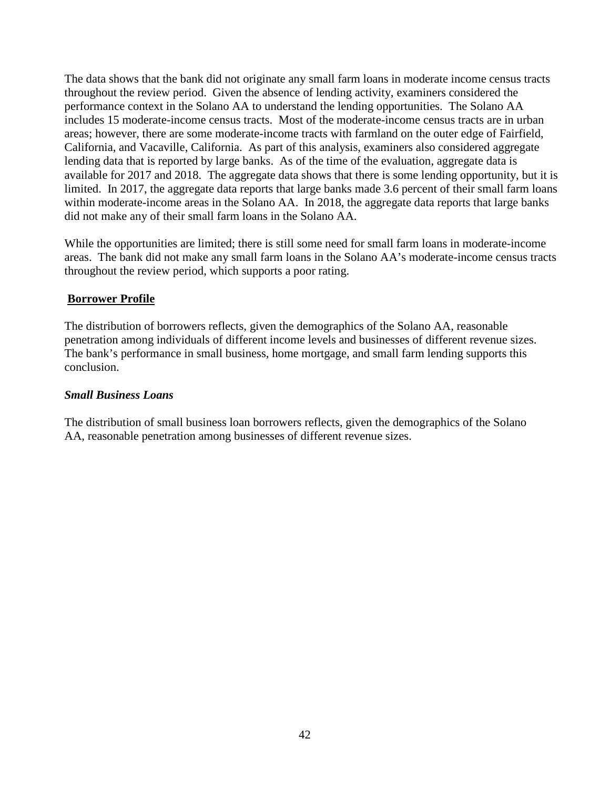The data shows that the bank did not originate any small farm loans in moderate income census tracts throughout the review period. Given the absence of lending activity, examiners considered the performance context in the Solano AA to understand the lending opportunities. The Solano AA includes 15 moderate-income census tracts. Most of the moderate-income census tracts are in urban areas; however, there are some moderate-income tracts with farmland on the outer edge of Fairfield, California, and Vacaville, California. As part of this analysis, examiners also considered aggregate lending data that is reported by large banks. As of the time of the evaluation, aggregate data is available for 2017 and 2018. The aggregate data shows that there is some lending opportunity, but it is limited. In 2017, the aggregate data reports that large banks made 3.6 percent of their small farm loans within moderate-income areas in the Solano AA. In 2018, the aggregate data reports that large banks did not make any of their small farm loans in the Solano AA.

While the opportunities are limited; there is still some need for small farm loans in moderate-income areas. The bank did not make any small farm loans in the Solano AA's moderate-income census tracts throughout the review period, which supports a poor rating.

#### **Borrower Profile**

The distribution of borrowers reflects, given the demographics of the Solano AA, reasonable penetration among individuals of different income levels and businesses of different revenue sizes. The bank's performance in small business, home mortgage, and small farm lending supports this conclusion.

#### *Small Business Loans*

The distribution of small business loan borrowers reflects, given the demographics of the Solano AA, reasonable penetration among businesses of different revenue sizes.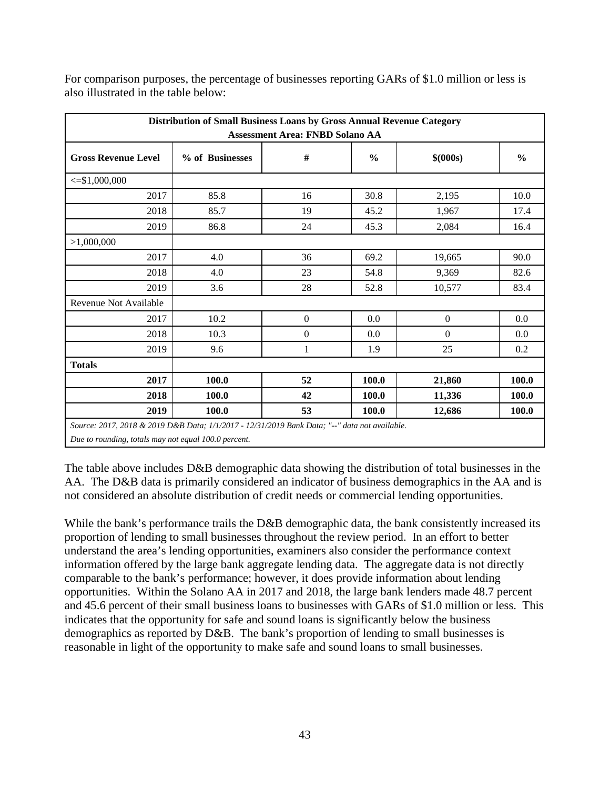| Distribution of Small Business Loans by Gross Annual Revenue Category<br><b>Assessment Area: FNBD Solano AA</b> |                 |                |               |              |               |  |  |  |  |
|-----------------------------------------------------------------------------------------------------------------|-----------------|----------------|---------------|--------------|---------------|--|--|--|--|
| <b>Gross Revenue Level</b>                                                                                      | % of Businesses | #              | $\frac{0}{0}$ | \$ (000s)    | $\frac{0}{0}$ |  |  |  |  |
| $\leq$ \$1,000,000                                                                                              |                 |                |               |              |               |  |  |  |  |
| 2017                                                                                                            | 85.8            | 16             | 30.8          | 2,195        | 10.0          |  |  |  |  |
| 2018                                                                                                            | 85.7            | 19             | 45.2          | 1,967        | 17.4          |  |  |  |  |
| 2019                                                                                                            | 86.8            | 24             | 45.3          | 2,084        | 16.4          |  |  |  |  |
| >1,000,000                                                                                                      |                 |                |               |              |               |  |  |  |  |
| 2017                                                                                                            | 4.0             | 36             | 69.2          | 19,665       | 90.0          |  |  |  |  |
| 2018                                                                                                            | 4.0             | 23             | 54.8          | 9,369        | 82.6          |  |  |  |  |
| 2019                                                                                                            | 3.6             | 28             | 52.8          | 10,577       | 83.4          |  |  |  |  |
| <b>Revenue Not Available</b>                                                                                    |                 |                |               |              |               |  |  |  |  |
| 2017                                                                                                            | 10.2            | $\overline{0}$ | 0.0           | $\mathbf{0}$ | 0.0           |  |  |  |  |
| 2018                                                                                                            | 10.3            | $\overline{0}$ | 0.0           | $\mathbf{0}$ | 0.0           |  |  |  |  |
| 2019                                                                                                            | 9.6             | 1              | 1.9           | 25           | 0.2           |  |  |  |  |
| <b>Totals</b>                                                                                                   |                 |                |               |              |               |  |  |  |  |
| 2017                                                                                                            | 100.0           | 52             | 100.0         | 21,860       | 100.0         |  |  |  |  |
| 2018                                                                                                            | 100.0           | 42             | 100.0         | 11,336       | 100.0         |  |  |  |  |
| 2019                                                                                                            | 100.0           | 53             | 100.0         | 12,686       | 100.0         |  |  |  |  |
| Source: 2017, 2018 & 2019 D&B Data; 1/1/2017 - 12/31/2019 Bank Data; "--" data not available.                   |                 |                |               |              |               |  |  |  |  |
| Due to rounding, totals may not equal 100.0 percent.                                                            |                 |                |               |              |               |  |  |  |  |

For comparison purposes, the percentage of businesses reporting GARs of \$1.0 million or less is also illustrated in the table below:

The table above includes D&B demographic data showing the distribution of total businesses in the AA. The D&B data is primarily considered an indicator of business demographics in the AA and is not considered an absolute distribution of credit needs or commercial lending opportunities.

While the bank's performance trails the D&B demographic data, the bank consistently increased its proportion of lending to small businesses throughout the review period. In an effort to better understand the area's lending opportunities, examiners also consider the performance context information offered by the large bank aggregate lending data. The aggregate data is not directly comparable to the bank's performance; however, it does provide information about lending opportunities. Within the Solano AA in 2017 and 2018, the large bank lenders made 48.7 percent and 45.6 percent of their small business loans to businesses with GARs of \$1.0 million or less. This indicates that the opportunity for safe and sound loans is significantly below the business demographics as reported by D&B. The bank's proportion of lending to small businesses is reasonable in light of the opportunity to make safe and sound loans to small businesses.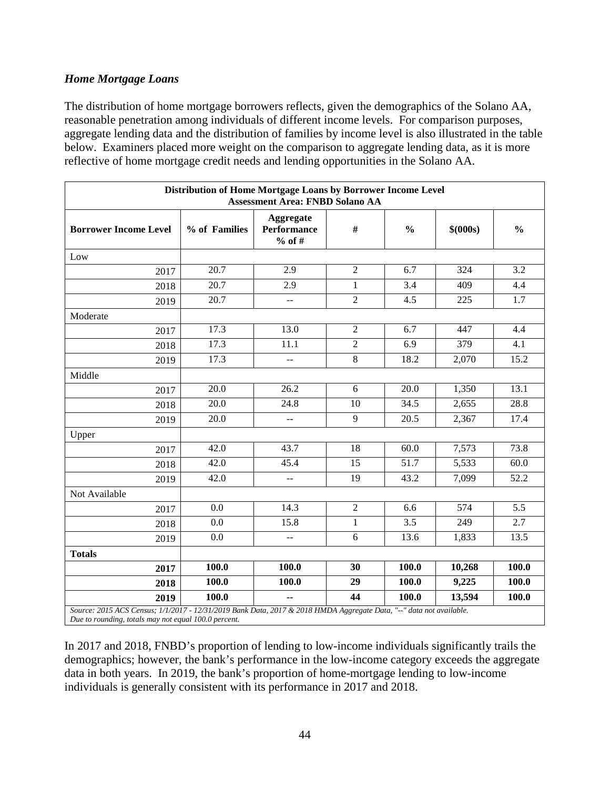#### *Home Mortgage Loans*

The distribution of home mortgage borrowers reflects, given the demographics of the Solano AA, reasonable penetration among individuals of different income levels. For comparison purposes, aggregate lending data and the distribution of families by income level is also illustrated in the table below. Examiners placed more weight on the comparison to aggregate lending data, as it is more reflective of home mortgage credit needs and lending opportunities in the Solano AA.

|                                                                                                                                                                             | Distribution of Home Mortgage Loans by Borrower Income Level<br><b>Assessment Area: FNBD Solano AA</b> |                                               |                |               |           |               |  |  |
|-----------------------------------------------------------------------------------------------------------------------------------------------------------------------------|--------------------------------------------------------------------------------------------------------|-----------------------------------------------|----------------|---------------|-----------|---------------|--|--|
| <b>Borrower Income Level</b>                                                                                                                                                | % of Families                                                                                          | Aggregate<br><b>Performance</b><br>$%$ of #   | $\#$           | $\frac{0}{0}$ | \$ (000s) | $\frac{6}{6}$ |  |  |
| Low                                                                                                                                                                         |                                                                                                        |                                               |                |               |           |               |  |  |
| 2017                                                                                                                                                                        | 20.7                                                                                                   | 2.9                                           | $\overline{2}$ | 6.7           | 324       | 3.2           |  |  |
| 2018                                                                                                                                                                        | 20.7                                                                                                   | 2.9                                           | $\mathbf{1}$   | 3.4           | 409       | 4.4           |  |  |
| 2019                                                                                                                                                                        | 20.7                                                                                                   | $\overline{\phantom{a}}$                      | $\overline{2}$ | 4.5           | 225       | 1.7           |  |  |
| Moderate                                                                                                                                                                    |                                                                                                        |                                               |                |               |           |               |  |  |
| 2017                                                                                                                                                                        | 17.3                                                                                                   | 13.0                                          | $\overline{2}$ | 6.7           | 447       | 4.4           |  |  |
| 2018                                                                                                                                                                        | 17.3                                                                                                   | 11.1                                          | $\overline{2}$ | 6.9           | 379       | 4.1           |  |  |
| 2019                                                                                                                                                                        | 17.3                                                                                                   | $\overline{\phantom{m}}$                      | $\overline{8}$ | 18.2          | 2,070     | 15.2          |  |  |
| Middle                                                                                                                                                                      |                                                                                                        |                                               |                |               |           |               |  |  |
| 2017                                                                                                                                                                        | 20.0                                                                                                   | 26.2                                          | 6              | 20.0          | 1,350     | 13.1          |  |  |
| 2018                                                                                                                                                                        | 20.0                                                                                                   | 24.8                                          | 10             | 34.5          | 2,655     | 28.8          |  |  |
| 2019                                                                                                                                                                        | 20.0                                                                                                   | $\overline{\phantom{a}}$                      | 9              | 20.5          | 2,367     | 17.4          |  |  |
| Upper                                                                                                                                                                       |                                                                                                        |                                               |                |               |           |               |  |  |
| 2017                                                                                                                                                                        | 42.0                                                                                                   | 43.7                                          | 18             | 60.0          | 7,573     | 73.8          |  |  |
| 2018                                                                                                                                                                        | 42.0                                                                                                   | 45.4                                          | 15             | 51.7          | 5,533     | 60.0          |  |  |
| 2019                                                                                                                                                                        | 42.0                                                                                                   | $\mathord{\hspace{1pt}\text{--}\hspace{1pt}}$ | 19             | 43.2          | 7,099     | 52.2          |  |  |
| Not Available                                                                                                                                                               |                                                                                                        |                                               |                |               |           |               |  |  |
| 2017                                                                                                                                                                        | 0.0                                                                                                    | 14.3                                          | $\overline{2}$ | 6.6           | 574       | 5.5           |  |  |
| 2018                                                                                                                                                                        | 0.0                                                                                                    | 15.8                                          | $\mathbf{1}$   | 3.5           | 249       | 2.7           |  |  |
| 2019                                                                                                                                                                        | 0.0                                                                                                    | $\overline{a}$                                | 6              | 13.6          | 1,833     | 13.5          |  |  |
| <b>Totals</b>                                                                                                                                                               |                                                                                                        |                                               |                |               |           |               |  |  |
| 2017                                                                                                                                                                        | 100.0                                                                                                  | 100.0                                         | 30             | 100.0         | 10,268    | 100.0         |  |  |
| 2018                                                                                                                                                                        | 100.0                                                                                                  | 100.0                                         | 29             | 100.0         | 9,225     | 100.0         |  |  |
| 2019                                                                                                                                                                        | 100.0                                                                                                  | μ.                                            | 44             | 100.0         | 13,594    | 100.0         |  |  |
| Source: 2015 ACS Census; 1/1/2017 - 12/31/2019 Bank Data, 2017 & 2018 HMDA Aggregate Data, "--" data not available.<br>Due to rounding, totals may not equal 100.0 percent. |                                                                                                        |                                               |                |               |           |               |  |  |

In 2017 and 2018, FNBD's proportion of lending to low-income individuals significantly trails the demographics; however, the bank's performance in the low-income category exceeds the aggregate data in both years. In 2019, the bank's proportion of home-mortgage lending to low-income individuals is generally consistent with its performance in 2017 and 2018.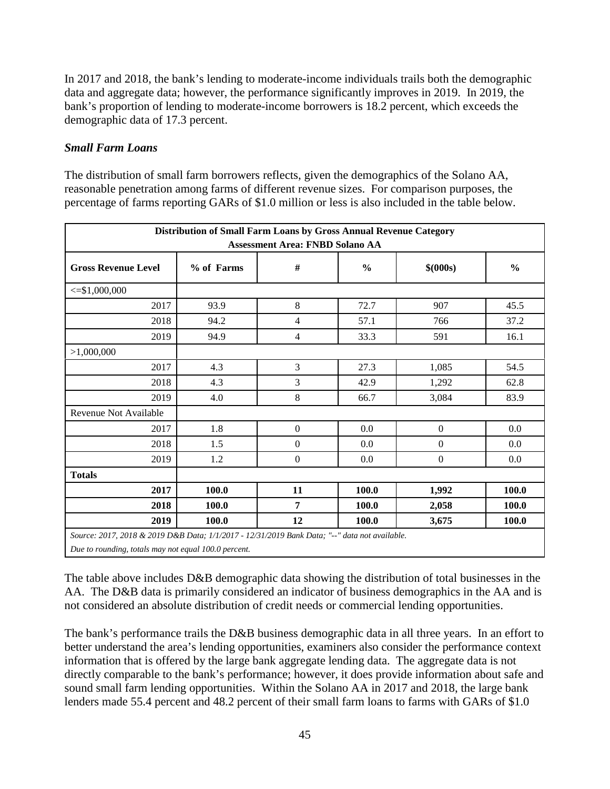In 2017 and 2018, the bank's lending to moderate-income individuals trails both the demographic data and aggregate data; however, the performance significantly improves in 2019. In 2019, the bank's proportion of lending to moderate-income borrowers is 18.2 percent, which exceeds the demographic data of 17.3 percent.

#### *Small Farm Loans*

The distribution of small farm borrowers reflects, given the demographics of the Solano AA, reasonable penetration among farms of different revenue sizes. For comparison purposes, the percentage of farms reporting GARs of \$1.0 million or less is also included in the table below.

| Distribution of Small Farm Loans by Gross Annual Revenue Category<br><b>Assessment Area: FNBD Solano AA</b> |            |                       |       |                  |               |  |  |  |  |
|-------------------------------------------------------------------------------------------------------------|------------|-----------------------|-------|------------------|---------------|--|--|--|--|
| <b>Gross Revenue Level</b>                                                                                  | % of Farms | $\#$<br>$\frac{0}{0}$ |       | \$ (000s)        | $\frac{0}{0}$ |  |  |  |  |
| $\leq$ \$1,000,000                                                                                          |            |                       |       |                  |               |  |  |  |  |
| 2017                                                                                                        | 93.9       | 8                     | 72.7  | 907              | 45.5          |  |  |  |  |
| 2018                                                                                                        | 94.2       | $\overline{4}$        | 57.1  | 766              | 37.2          |  |  |  |  |
| 2019                                                                                                        | 94.9       | $\overline{4}$        | 33.3  | 591              | 16.1          |  |  |  |  |
| >1,000,000                                                                                                  |            |                       |       |                  |               |  |  |  |  |
| 2017                                                                                                        | 4.3        | 3                     | 27.3  | 1,085            | 54.5          |  |  |  |  |
| 2018                                                                                                        | 4.3        | 3                     | 42.9  | 1,292            | 62.8          |  |  |  |  |
| 2019                                                                                                        | 4.0        | $\,8\,$               | 66.7  | 3,084            | 83.9          |  |  |  |  |
| Revenue Not Available                                                                                       |            |                       |       |                  |               |  |  |  |  |
| 2017                                                                                                        | 1.8        | $\mathbf{0}$          | 0.0   | $\boldsymbol{0}$ | 0.0           |  |  |  |  |
| 2018                                                                                                        | 1.5        | $\mathbf{0}$          | 0.0   | $\boldsymbol{0}$ | 0.0           |  |  |  |  |
| 2019                                                                                                        | 1.2        | $\boldsymbol{0}$      | 0.0   | $\boldsymbol{0}$ | 0.0           |  |  |  |  |
| <b>Totals</b>                                                                                               |            |                       |       |                  |               |  |  |  |  |
| 2017                                                                                                        | 100.0      | 11                    | 100.0 | 1,992            | 100.0         |  |  |  |  |
| 2018                                                                                                        | 100.0      | $\overline{7}$        | 100.0 | 2,058            | 100.0         |  |  |  |  |
| 2019                                                                                                        | 100.0      | 12                    | 100.0 | 3,675            | 100.0         |  |  |  |  |
| Source: 2017, 2018 & 2019 D&B Data; 1/1/2017 - 12/31/2019 Bank Data; "--" data not available.               |            |                       |       |                  |               |  |  |  |  |

*Due to rounding, totals may not equal 100.0 percent.* 

The table above includes D&B demographic data showing the distribution of total businesses in the AA. The D&B data is primarily considered an indicator of business demographics in the AA and is not considered an absolute distribution of credit needs or commercial lending opportunities.

The bank's performance trails the D&B business demographic data in all three years. In an effort to better understand the area's lending opportunities, examiners also consider the performance context information that is offered by the large bank aggregate lending data. The aggregate data is not directly comparable to the bank's performance; however, it does provide information about safe and sound small farm lending opportunities. Within the Solano AA in 2017 and 2018, the large bank lenders made 55.4 percent and 48.2 percent of their small farm loans to farms with GARs of \$1.0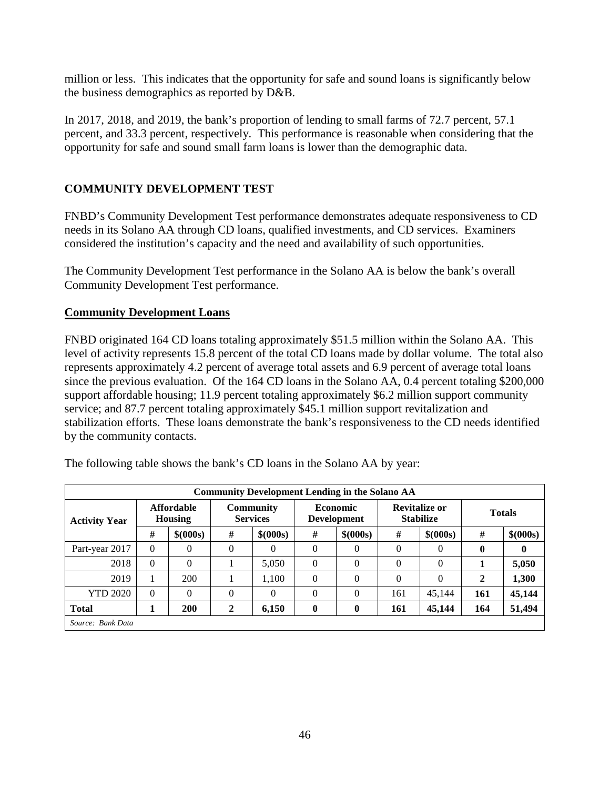million or less. This indicates that the opportunity for safe and sound loans is significantly below the business demographics as reported by D&B.

In 2017, 2018, and 2019, the bank's proportion of lending to small farms of 72.7 percent, 57.1 percent, and 33.3 percent, respectively. This performance is reasonable when considering that the opportunity for safe and sound small farm loans is lower than the demographic data.

### **COMMUNITY DEVELOPMENT TEST**

FNBD's Community Development Test performance demonstrates adequate responsiveness to CD needs in its Solano AA through CD loans, qualified investments, and CD services. Examiners considered the institution's capacity and the need and availability of such opportunities.

The Community Development Test performance in the Solano AA is below the bank's overall Community Development Test performance.

#### **Community Development Loans**

FNBD originated 164 CD loans totaling approximately \$51.5 million within the Solano AA. This level of activity represents 15.8 percent of the total CD loans made by dollar volume. The total also represents approximately 4.2 percent of average total assets and 6.9 percent of average total loans since the previous evaluation. Of the 164 CD loans in the Solano AA, 0.4 percent totaling \$200,000 support affordable housing; 11.9 percent totaling approximately \$6.2 million support community service; and 87.7 percent totaling approximately \$45.1 million support revitalization and stabilization efforts. These loans demonstrate the bank's responsiveness to the CD needs identified by the community contacts.

| <b>Community Development Lending in the Solano AA</b> |                              |           |   |                                     |              |                                       |          |                                          |              |               |
|-------------------------------------------------------|------------------------------|-----------|---|-------------------------------------|--------------|---------------------------------------|----------|------------------------------------------|--------------|---------------|
| <b>Activity Year</b>                                  | <b>Affordable</b><br>Housing |           |   | <b>Community</b><br><b>Services</b> |              | <b>Economic</b><br><b>Development</b> |          | <b>Revitalize or</b><br><b>Stabilize</b> |              | <b>Totals</b> |
|                                                       | #                            | \$ (000s) | # | \$ (000s)                           | #            | \$ (000s)                             | #        | \$ (000s)                                | #            | \$ (000s)     |
| Part-year 2017                                        | $\Omega$                     | 0         | 0 | $\overline{0}$                      | $\Omega$     | $\theta$                              | $\theta$ | $\Omega$                                 | $\mathbf{0}$ | 0             |
| 2018                                                  | $\Omega$                     | $\theta$  |   | 5,050                               | $\Omega$     | $\theta$                              | $\theta$ | $\theta$                                 |              | 5,050         |
| 2019                                                  |                              | 200       |   | 1.100                               | $\Omega$     | $\theta$                              | $\theta$ | $\theta$                                 | 2            | 1,300         |
| <b>YTD 2020</b>                                       | $\Omega$                     | $\theta$  | 0 | $\Omega$                            | $\Omega$     | $\theta$                              | 161      | 45,144                                   | 161          | 45,144        |
| <b>Total</b>                                          |                              | 200       | 2 | 6,150                               | $\mathbf{0}$ | $\bf{0}$                              | 161      | 45,144                                   | 164          | 51,494        |
| Source: Bank Data                                     |                              |           |   |                                     |              |                                       |          |                                          |              |               |

The following table shows the bank's CD loans in the Solano AA by year: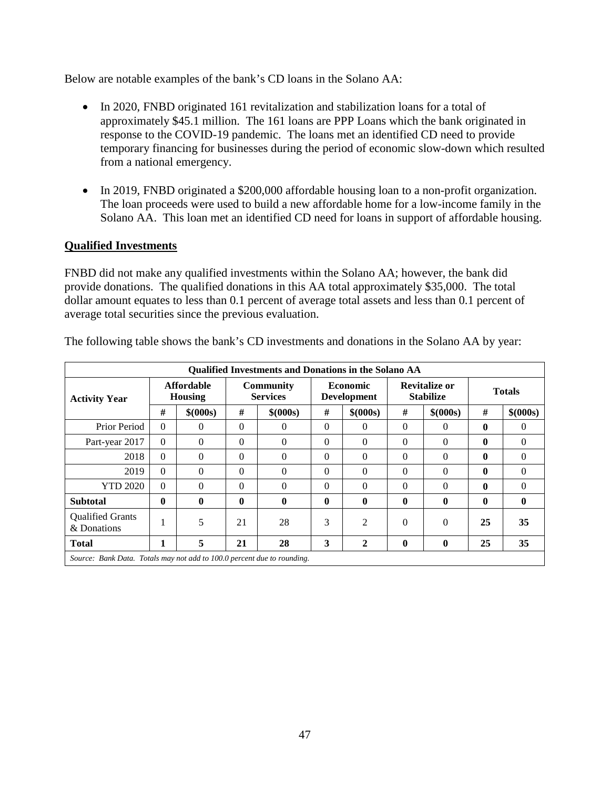Below are notable examples of the bank's CD loans in the Solano AA:

- In 2020, FNBD originated 161 revitalization and stabilization loans for a total of approximately \$45.1 million. The 161 loans are PPP Loans which the bank originated in response to the COVID-19 pandemic. The loans met an identified CD need to provide temporary financing for businesses during the period of economic slow-down which resulted from a national emergency.
- In 2019, FNBD originated a \$200,000 affordable housing loan to a non-profit organization. The loan proceeds were used to build a new affordable home for a low-income family in the Solano AA. This loan met an identified CD need for loans in support of affordable housing.

#### **Qualified Investments**

FNBD did not make any qualified investments within the Solano AA; however, the bank did provide donations. The qualified donations in this AA total approximately \$35,000. The total dollar amount equates to less than 0.1 percent of average total assets and less than 0.1 percent of average total securities since the previous evaluation.

| <b>Qualified Investments and Donations in the Solano AA</b>             |              |                              |             |                                     |              |                                       |              |                                          |               |                |
|-------------------------------------------------------------------------|--------------|------------------------------|-------------|-------------------------------------|--------------|---------------------------------------|--------------|------------------------------------------|---------------|----------------|
| <b>Activity Year</b>                                                    |              | <b>Affordable</b><br>Housing |             | <b>Community</b><br><b>Services</b> |              | <b>Economic</b><br><b>Development</b> |              | <b>Revitalize or</b><br><b>Stabilize</b> | <b>Totals</b> |                |
|                                                                         | #            | \$ (000s)                    | #           | \$ (000s)                           | #            | \$ (000s)                             | #            | \$ (000s)                                | #             | \$ (000s)      |
| Prior Period                                                            | $\Omega$     | $\Omega$                     | $\Omega$    | $\Omega$                            | $\Omega$     | $\Omega$                              | $\Omega$     | $\Omega$                                 | $\mathbf{0}$  | $\Omega$       |
| Part-year 2017                                                          | $\Omega$     | $\Omega$                     | $\Omega$    | $\Omega$                            | $\Omega$     | $\Omega$                              | $\Omega$     | $\Omega$                                 | $\mathbf{0}$  | $\Omega$       |
| 2018                                                                    | $\Omega$     | $\Omega$                     | $\Omega$    | $\Omega$                            | $\Omega$     | $\Omega$                              | $\theta$     | $\Omega$                                 | $\mathbf 0$   | $\overline{0}$ |
| 2019                                                                    | $\Omega$     | $\Omega$                     | $\Omega$    | $\Omega$                            | $\Omega$     | $\Omega$                              | $\Omega$     | $\Omega$                                 | $\mathbf{0}$  | $\Omega$       |
| <b>YTD 2020</b>                                                         | $\Omega$     | $\Omega$                     | $\Omega$    | $\Omega$                            | $\Omega$     | $\Omega$                              | $\Omega$     | $\Omega$                                 | $\mathbf{0}$  | $\Omega$       |
| <b>Subtotal</b>                                                         | $\mathbf{0}$ | $\bf{0}$                     | $\mathbf 0$ | $\mathbf{0}$                        | $\mathbf{0}$ | $\mathbf{0}$                          | $\mathbf{0}$ | $\mathbf 0$                              | $\mathbf{0}$  | $\mathbf{0}$   |
| <b>Qualified Grants</b><br>& Donations                                  | 1            | 5                            | 21          | 28                                  | 3            | $\overline{2}$                        | $\Omega$     | $\Omega$                                 | 25            | 35             |
| <b>Total</b>                                                            | 1            | 5                            | 21          | 28                                  | 3            | $\overline{2}$                        | $\mathbf{0}$ | $\bf{0}$                                 | 25            | 35             |
| Source: Bank Data. Totals may not add to 100.0 percent due to rounding. |              |                              |             |                                     |              |                                       |              |                                          |               |                |

The following table shows the bank's CD investments and donations in the Solano AA by year: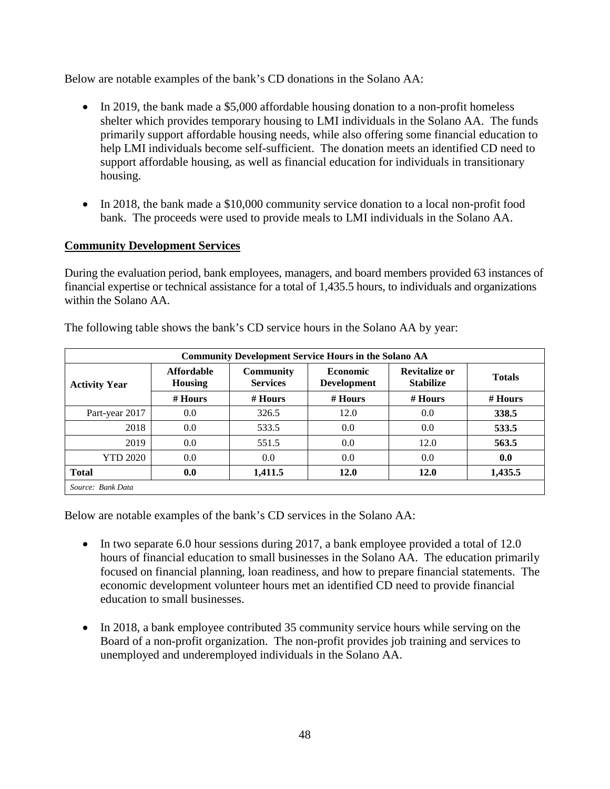Below are notable examples of the bank's CD donations in the Solano AA:

- In 2019, the bank made a \$5,000 affordable housing donation to a non-profit homeless shelter which provides temporary housing to LMI individuals in the Solano AA. The funds primarily support affordable housing needs, while also offering some financial education to help LMI individuals become self-sufficient. The donation meets an identified CD need to support affordable housing, as well as financial education for individuals in transitionary housing.
- In 2018, the bank made a \$10,000 community service donation to a local non-profit food bank. The proceeds were used to provide meals to LMI individuals in the Solano AA.

### **Community Development Services**

During the evaluation period, bank employees, managers, and board members provided 63 instances of financial expertise or technical assistance for a total of 1,435.5 hours, to individuals and organizations within the Solano AA.

| <b>Community Development Service Hours in the Solano AA</b> |                                     |                                     |                                       |                                          |               |  |  |  |  |  |
|-------------------------------------------------------------|-------------------------------------|-------------------------------------|---------------------------------------|------------------------------------------|---------------|--|--|--|--|--|
| <b>Activity Year</b>                                        | <b>Affordable</b><br><b>Housing</b> | <b>Community</b><br><b>Services</b> | <b>Economic</b><br><b>Development</b> | <b>Revitalize or</b><br><b>Stabilize</b> | <b>Totals</b> |  |  |  |  |  |
|                                                             | $#$ Hours                           | # Hours                             | $#$ Hours                             | $#$ Hours                                | $#$ Hours     |  |  |  |  |  |
| Part-year 2017                                              | 0.0                                 | 326.5                               | 12.0                                  | 0.0                                      | 338.5         |  |  |  |  |  |
| 2018                                                        | 0.0                                 | 533.5                               | 0.0                                   | 0.0                                      | 533.5         |  |  |  |  |  |
| 2019                                                        | 0.0                                 | 551.5                               | 0.0                                   | 12.0                                     | 563.5         |  |  |  |  |  |
| <b>YTD 2020</b>                                             | 0.0                                 | 0.0                                 | 0.0                                   | 0.0                                      | 0.0           |  |  |  |  |  |
| <b>Total</b>                                                | 0.0                                 | 1,411.5                             | 12.0                                  | 12.0                                     | 1,435.5       |  |  |  |  |  |
| Source: Bank Data                                           |                                     |                                     |                                       |                                          |               |  |  |  |  |  |

The following table shows the bank's CD service hours in the Solano AA by year:

Below are notable examples of the bank's CD services in the Solano AA:

- In two separate 6.0 hour sessions during 2017, a bank employee provided a total of 12.0 hours of financial education to small businesses in the Solano AA. The education primarily focused on financial planning, loan readiness, and how to prepare financial statements. The economic development volunteer hours met an identified CD need to provide financial education to small businesses.
- In 2018, a bank employee contributed 35 community service hours while serving on the Board of a non-profit organization. The non-profit provides job training and services to unemployed and underemployed individuals in the Solano AA.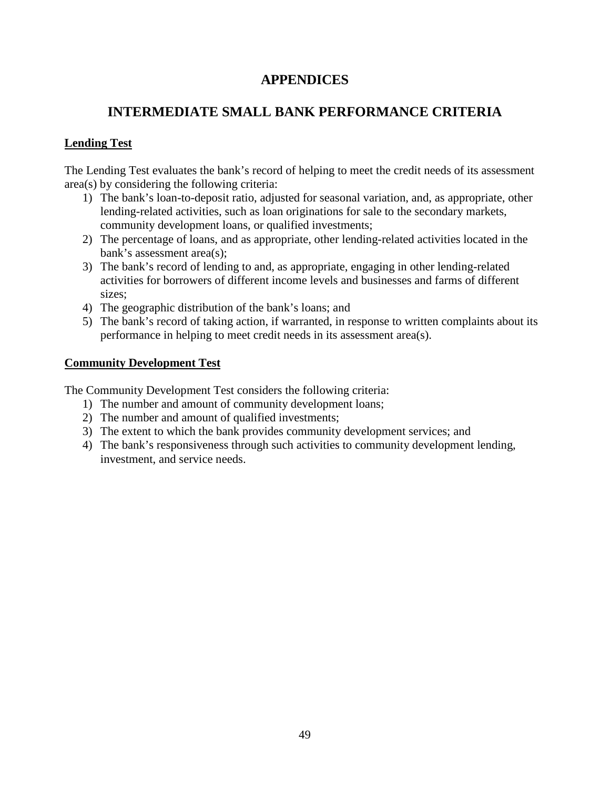## **APPENDICES**

# <span id="page-50-0"></span>**INTERMEDIATE SMALL BANK PERFORMANCE CRITERIA**

### <span id="page-50-1"></span>**Lending Test**

The Lending Test evaluates the bank's record of helping to meet the credit needs of its assessment area(s) by considering the following criteria:

- 1) The bank's loan-to-deposit ratio, adjusted for seasonal variation, and, as appropriate, other lending-related activities, such as loan originations for sale to the secondary markets, community development loans, or qualified investments;
- 2) The percentage of loans, and as appropriate, other lending-related activities located in the bank's assessment area(s);
- 3) The bank's record of lending to and, as appropriate, engaging in other lending-related activities for borrowers of different income levels and businesses and farms of different sizes;
- 4) The geographic distribution of the bank's loans; and
- 5) The bank's record of taking action, if warranted, in response to written complaints about its performance in helping to meet credit needs in its assessment area(s).

#### **Community Development Test**

The Community Development Test considers the following criteria:

- 1) The number and amount of community development loans;
- 2) The number and amount of qualified investments;
- 3) The extent to which the bank provides community development services; and
- 4) The bank's responsiveness through such activities to community development lending, investment, and service needs.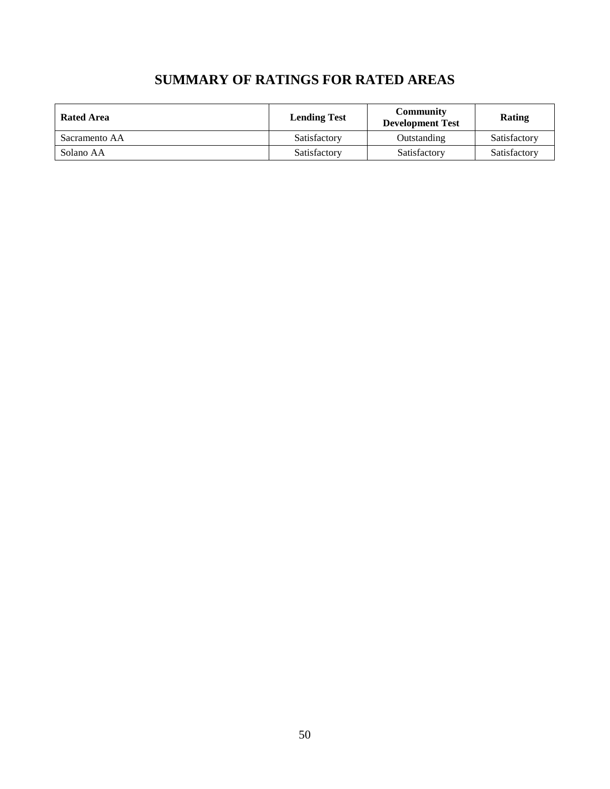| <b>SUMMARY OF RATINGS FOR RATED AREAS</b> |  |  |  |  |  |
|-------------------------------------------|--|--|--|--|--|
|-------------------------------------------|--|--|--|--|--|

<span id="page-51-0"></span>

| Rated Area    | <b>Lending Test</b> | Community<br><b>Development Test</b> | Rating       |
|---------------|---------------------|--------------------------------------|--------------|
| Sacramento AA | Satisfactory        | Outstanding                          | Satisfactory |
| Solano AA     | Satisfactory        | Satisfactory                         | Satisfactory |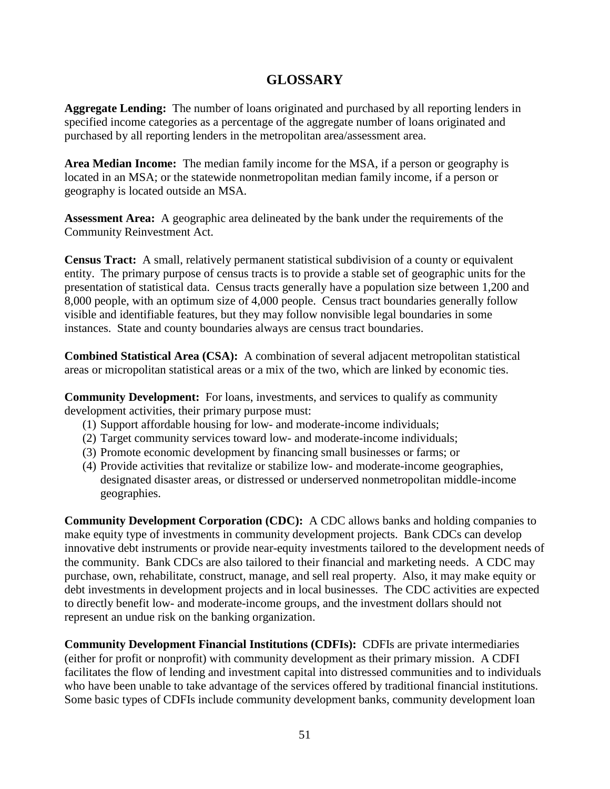## **GLOSSARY**

<span id="page-52-0"></span>**Aggregate Lending:** The number of loans originated and purchased by all reporting lenders in specified income categories as a percentage of the aggregate number of loans originated and purchased by all reporting lenders in the metropolitan area/assessment area.

**Area Median Income:** The median family income for the MSA, if a person or geography is located in an MSA; or the statewide nonmetropolitan median family income, if a person or geography is located outside an MSA*.*

**Assessment Area:** A geographic area delineated by the bank under the requirements of the Community Reinvestment Act.

**Census Tract:** A small, relatively permanent statistical subdivision of a county or equivalent entity. The primary purpose of census tracts is to provide a stable set of geographic units for the presentation of statistical data. Census tracts generally have a population size between 1,200 and 8,000 people, with an optimum size of 4,000 people. Census tract boundaries generally follow visible and identifiable features, but they may follow nonvisible legal boundaries in some instances. State and county boundaries always are census tract boundaries.

**Combined Statistical Area (CSA):** A combination of several adjacent metropolitan statistical areas or micropolitan statistical areas or a mix of the two, which are linked by economic ties.

**Community Development:** For loans, investments, and services to qualify as community development activities, their primary purpose must:

- (1) Support affordable housing for low- and moderate-income individuals;
- (2) Target community services toward low- and moderate-income individuals;
- (3) Promote economic development by financing small businesses or farms; or
- (4) Provide activities that revitalize or stabilize low- and moderate-income geographies, designated disaster areas, or distressed or underserved nonmetropolitan middle-income geographies.

**Community Development Corporation (CDC):** A CDC allows banks and holding companies to make equity type of investments in community development projects. Bank CDCs can develop innovative debt instruments or provide near-equity investments tailored to the development needs of the community. Bank CDCs are also tailored to their financial and marketing needs. A CDC may purchase, own, rehabilitate, construct, manage, and sell real property. Also, it may make equity or debt investments in development projects and in local businesses. The CDC activities are expected to directly benefit low- and moderate-income groups, and the investment dollars should not represent an undue risk on the banking organization.

**Community Development Financial Institutions (CDFIs):** CDFIs are private intermediaries (either for profit or nonprofit) with community development as their primary mission. A CDFI facilitates the flow of lending and investment capital into distressed communities and to individuals who have been unable to take advantage of the services offered by traditional financial institutions. Some basic types of CDFIs include community development banks, community development loan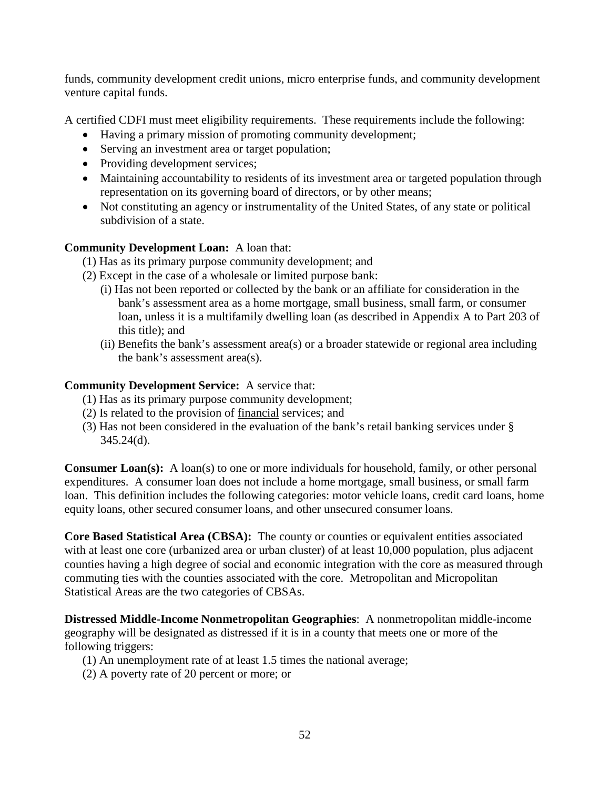funds, community development credit unions, micro enterprise funds, and community development venture capital funds.

A certified CDFI must meet eligibility requirements. These requirements include the following:

- Having a primary mission of promoting community development;
- Serving an investment area or target population;
- Providing development services;
- Maintaining accountability to residents of its investment area or targeted population through representation on its governing board of directors, or by other means;
- Not constituting an agency or instrumentality of the United States, of any state or political subdivision of a state.

#### **Community Development Loan:** A loan that:

(1) Has as its primary purpose community development; and

- (2) Except in the case of a wholesale or limited purpose bank:
	- (i) Has not been reported or collected by the bank or an affiliate for consideration in the bank's assessment area as a home mortgage, small business, small farm, or consumer loan, unless it is a multifamily dwelling loan (as described in Appendix A to Part 203 of this title); and
	- (ii) Benefits the bank's assessment area(s) or a broader statewide or regional area including the bank's assessment area(s).

#### **Community Development Service:** A service that:

- (1) Has as its primary purpose community development;
- (2) Is related to the provision of financial services; and
- (3) Has not been considered in the evaluation of the bank's retail banking services under § 345.24(d).

**Consumer Loan(s):** A loan(s) to one or more individuals for household, family, or other personal expenditures. A consumer loan does not include a home mortgage, small business, or small farm loan. This definition includes the following categories: motor vehicle loans, credit card loans, home equity loans, other secured consumer loans, and other unsecured consumer loans.

**Core Based Statistical Area (CBSA):** The county or counties or equivalent entities associated with at least one core (urbanized area or urban cluster) of at least 10,000 population, plus adjacent counties having a high degree of social and economic integration with the core as measured through commuting ties with the counties associated with the core. Metropolitan and Micropolitan Statistical Areas are the two categories of CBSAs.

**Distressed Middle-Income Nonmetropolitan Geographies**: A nonmetropolitan middle-income geography will be designated as distressed if it is in a county that meets one or more of the following triggers:

- (1) An unemployment rate of at least 1.5 times the national average;
- (2) A poverty rate of 20 percent or more; or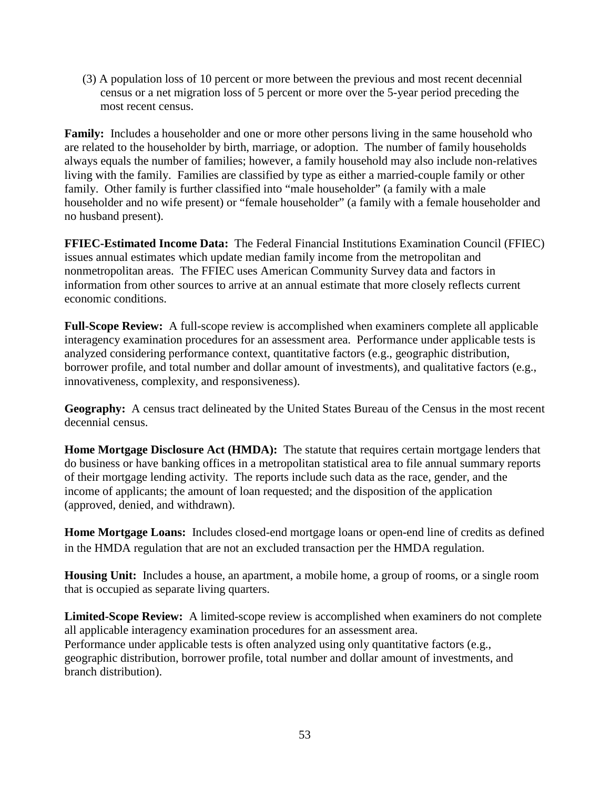(3) A population loss of 10 percent or more between the previous and most recent decennial census or a net migration loss of 5 percent or more over the 5-year period preceding the most recent census.

**Family:** Includes a householder and one or more other persons living in the same household who are related to the householder by birth, marriage, or adoption. The number of family households always equals the number of families; however, a family household may also include non-relatives living with the family. Families are classified by type as either a married-couple family or other family. Other family is further classified into "male householder" (a family with a male householder and no wife present) or "female householder" (a family with a female householder and no husband present).

**FFIEC-Estimated Income Data:** The Federal Financial Institutions Examination Council (FFIEC) issues annual estimates which update median family income from the metropolitan and nonmetropolitan areas. The FFIEC uses American Community Survey data and factors in information from other sources to arrive at an annual estimate that more closely reflects current economic conditions.

**Full-Scope Review:** A full-scope review is accomplished when examiners complete all applicable interagency examination procedures for an assessment area. Performance under applicable tests is analyzed considering performance context, quantitative factors (e.g., geographic distribution, borrower profile, and total number and dollar amount of investments), and qualitative factors (e.g., innovativeness, complexity, and responsiveness).

**Geography:** A census tract delineated by the United States Bureau of the Census in the most recent decennial census.

**Home Mortgage Disclosure Act (HMDA):** The statute that requires certain mortgage lenders that do business or have banking offices in a metropolitan statistical area to file annual summary reports of their mortgage lending activity. The reports include such data as the race, gender, and the income of applicants; the amount of loan requested; and the disposition of the application (approved, denied, and withdrawn).

**Home Mortgage Loans:** Includes closed-end mortgage loans or open-end line of credits as defined in the HMDA regulation that are not an excluded transaction per the HMDA regulation.

**Housing Unit:** Includes a house, an apartment, a mobile home, a group of rooms, or a single room that is occupied as separate living quarters.

**Limited-Scope Review:** A limited-scope review is accomplished when examiners do not complete all applicable interagency examination procedures for an assessment area. Performance under applicable tests is often analyzed using only quantitative factors (e.g., geographic distribution, borrower profile, total number and dollar amount of investments, and branch distribution).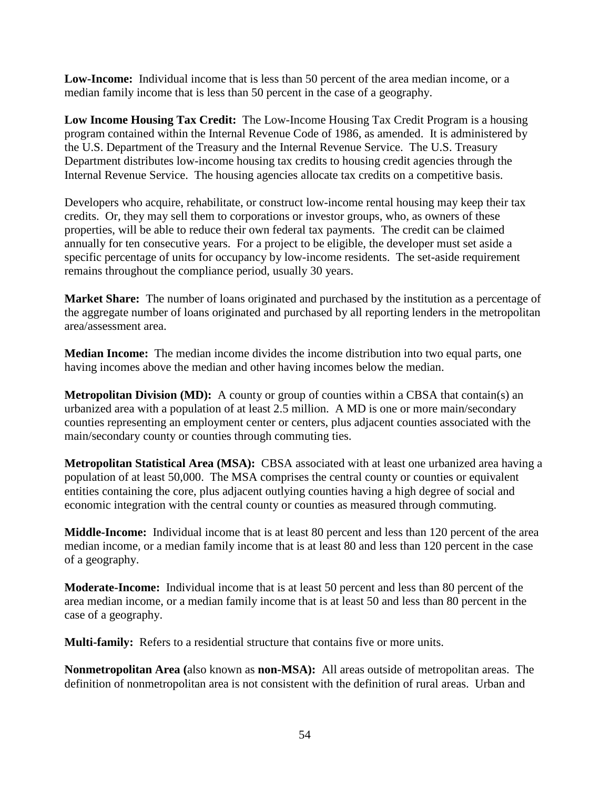**Low-Income:** Individual income that is less than 50 percent of the area median income, or a median family income that is less than 50 percent in the case of a geography.

**Low Income Housing Tax Credit:** The Low-Income Housing Tax Credit Program is a housing program contained within the Internal Revenue Code of 1986, as amended. It is administered by the U.S. Department of the Treasury and the Internal Revenue Service. The U.S. Treasury Department distributes low-income housing tax credits to housing credit agencies through the Internal Revenue Service. The housing agencies allocate tax credits on a competitive basis.

Developers who acquire, rehabilitate, or construct low-income rental housing may keep their tax credits. Or, they may sell them to corporations or investor groups, who, as owners of these properties, will be able to reduce their own federal tax payments. The credit can be claimed annually for ten consecutive years. For a project to be eligible, the developer must set aside a specific percentage of units for occupancy by low-income residents. The set-aside requirement remains throughout the compliance period, usually 30 years.

**Market Share:** The number of loans originated and purchased by the institution as a percentage of the aggregate number of loans originated and purchased by all reporting lenders in the metropolitan area/assessment area.

**Median Income:** The median income divides the income distribution into two equal parts, one having incomes above the median and other having incomes below the median.

**Metropolitan Division (MD):** A county or group of counties within a CBSA that contain(s) an urbanized area with a population of at least 2.5 million. A MD is one or more main/secondary counties representing an employment center or centers, plus adjacent counties associated with the main/secondary county or counties through commuting ties.

**Metropolitan Statistical Area (MSA):** CBSA associated with at least one urbanized area having a population of at least 50,000. The MSA comprises the central county or counties or equivalent entities containing the core, plus adjacent outlying counties having a high degree of social and economic integration with the central county or counties as measured through commuting.

**Middle-Income:** Individual income that is at least 80 percent and less than 120 percent of the area median income, or a median family income that is at least 80 and less than 120 percent in the case of a geography.

**Moderate-Income:** Individual income that is at least 50 percent and less than 80 percent of the area median income, or a median family income that is at least 50 and less than 80 percent in the case of a geography.

**Multi-family:** Refers to a residential structure that contains five or more units.

**Nonmetropolitan Area (**also known as **non-MSA):** All areas outside of metropolitan areas. The definition of nonmetropolitan area is not consistent with the definition of rural areas. Urban and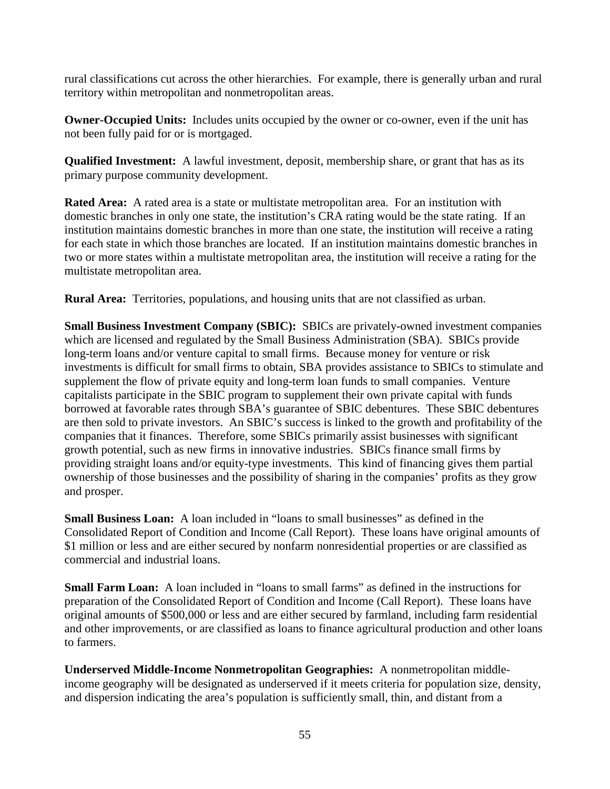rural classifications cut across the other hierarchies. For example, there is generally urban and rural territory within metropolitan and nonmetropolitan areas.

**Owner-Occupied Units:** Includes units occupied by the owner or co-owner, even if the unit has not been fully paid for or is mortgaged.

**Qualified Investment:** A lawful investment, deposit, membership share, or grant that has as its primary purpose community development.

**Rated Area:** A rated area is a state or multistate metropolitan area. For an institution with domestic branches in only one state, the institution's CRA rating would be the state rating. If an institution maintains domestic branches in more than one state, the institution will receive a rating for each state in which those branches are located. If an institution maintains domestic branches in two or more states within a multistate metropolitan area, the institution will receive a rating for the multistate metropolitan area.

**Rural Area:** Territories, populations, and housing units that are not classified as urban.

**Small Business Investment Company (SBIC):** SBICs are privately-owned investment companies which are licensed and regulated by the Small Business Administration (SBA). SBICs provide long-term loans and/or venture capital to small firms. Because money for venture or risk investments is difficult for small firms to obtain, SBA provides assistance to SBICs to stimulate and supplement the flow of private equity and long-term loan funds to small companies. Venture capitalists participate in the SBIC program to supplement their own private capital with funds borrowed at favorable rates through SBA's guarantee of SBIC debentures. These SBIC debentures are then sold to private investors. An SBIC's success is linked to the growth and profitability of the companies that it finances. Therefore, some SBICs primarily assist businesses with significant growth potential, such as new firms in innovative industries. SBICs finance small firms by providing straight loans and/or equity-type investments. This kind of financing gives them partial ownership of those businesses and the possibility of sharing in the companies' profits as they grow and prosper.

**Small Business Loan:** A loan included in "loans to small businesses" as defined in the Consolidated Report of Condition and Income (Call Report). These loans have original amounts of \$1 million or less and are either secured by nonfarm nonresidential properties or are classified as commercial and industrial loans.

**Small Farm Loan:** A loan included in "loans to small farms" as defined in the instructions for preparation of the Consolidated Report of Condition and Income (Call Report). These loans have original amounts of \$500,000 or less and are either secured by farmland, including farm residential and other improvements, or are classified as loans to finance agricultural production and other loans to farmers.

**Underserved Middle-Income Nonmetropolitan Geographies:** A nonmetropolitan middleincome geography will be designated as underserved if it meets criteria for population size, density, and dispersion indicating the area's population is sufficiently small, thin, and distant from a